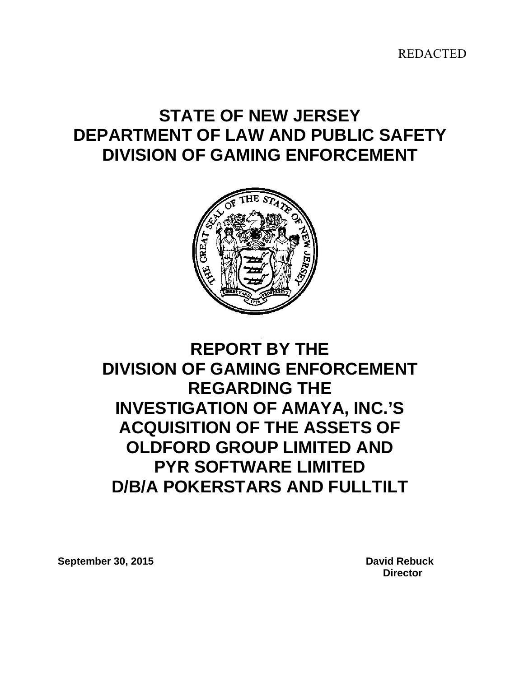REDACTED

# **STATE OF NEW JERSEY DEPARTMENT OF LAW AND PUBLIC SAFETY DIVISION OF GAMING ENFORCEMENT**



# **REPORT BY THE DIVISION OF GAMING ENFORCEMENT REGARDING THE INVESTIGATION OF AMAYA, INC.'S ACQUISITION OF THE ASSETS OF OLDFORD GROUP LIMITED AND PYR SOFTWARE LIMITED D/B/A POKERSTARS AND FULLTILT**

<span id="page-0-0"></span>**September 30, 2015 David Rebuck**

 **Director**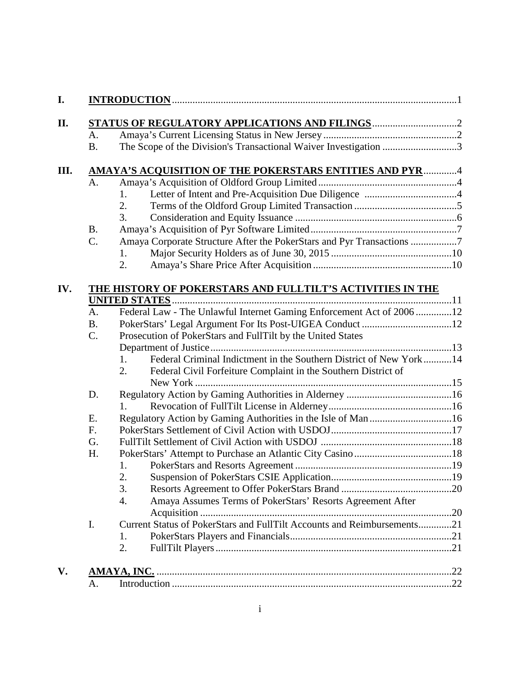| A.             |                                                                         |
|----------------|-------------------------------------------------------------------------|
| <b>B.</b>      | The Scope of the Division's Transactional Waiver Investigation 3        |
|                | AMAYA'S ACQUISITION OF THE POKERSTARS ENTITIES AND PYR 4                |
| A <sub>1</sub> |                                                                         |
|                | 1.                                                                      |
|                | 2.                                                                      |
|                | 3.                                                                      |
| <b>B.</b>      |                                                                         |
| C.             | Amaya Corporate Structure After the PokerStars and Pyr Transactions 7   |
|                | 1.                                                                      |
|                | 2.                                                                      |
|                | THE HISTORY OF POKERSTARS AND FULLTILT'S ACTIVITIES IN THE              |
|                |                                                                         |
| A.             | Federal Law - The Unlawful Internet Gaming Enforcement Act of 2006 12   |
| <b>B.</b>      |                                                                         |
| C.             | Prosecution of PokerStars and FullTilt by the United States             |
|                | Federal Criminal Indictment in the Southern District of New York14      |
|                | 1.                                                                      |
|                | Federal Civil Forfeiture Complaint in the Southern District of<br>2.    |
| D.             |                                                                         |
|                | $1_{\cdot}$                                                             |
| E.             | Regulatory Action by Gaming Authorities in the Isle of Man 16           |
| F.             |                                                                         |
|                |                                                                         |
|                |                                                                         |
|                | 1.                                                                      |
|                |                                                                         |
|                |                                                                         |
|                | 3.                                                                      |
|                | Amaya Assumes Terms of PokerStars' Resorts Agreement After<br>4.        |
| G.<br>H.       |                                                                         |
| I.             | Current Status of PokerStars and FullTilt Accounts and Reimbursements21 |
|                | 1.<br>2.                                                                |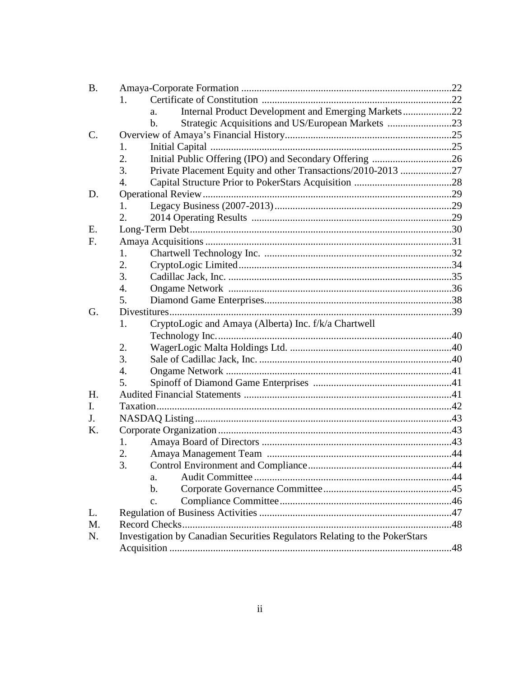| <b>B.</b> |                                                                            |  |
|-----------|----------------------------------------------------------------------------|--|
|           | 1.                                                                         |  |
|           | Internal Product Development and Emerging Markets22<br>a.                  |  |
|           | Strategic Acquisitions and US/European Markets 23<br>$\mathbf{b}$ .        |  |
| C.        |                                                                            |  |
|           | 1.                                                                         |  |
|           | 2.                                                                         |  |
|           | 3.<br>Private Placement Equity and other Transactions/2010-2013 27         |  |
|           | 4.                                                                         |  |
| D.        |                                                                            |  |
|           | 1.                                                                         |  |
|           | 2.                                                                         |  |
| Ε.        |                                                                            |  |
| F.        |                                                                            |  |
|           | 1.                                                                         |  |
|           | 2.                                                                         |  |
|           | 3.                                                                         |  |
|           | $\overline{4}$ .                                                           |  |
|           | 5.                                                                         |  |
| G.        |                                                                            |  |
|           | CryptoLogic and Amaya (Alberta) Inc. f/k/a Chartwell<br>1.                 |  |
|           |                                                                            |  |
|           | 2.                                                                         |  |
|           | $\overline{3}$ .                                                           |  |
|           | 4.                                                                         |  |
|           | 5.                                                                         |  |
| H.        |                                                                            |  |
| I.        |                                                                            |  |
| J.        |                                                                            |  |
| K.        |                                                                            |  |
|           | 1.                                                                         |  |
|           | 2.                                                                         |  |
|           | 3.                                                                         |  |
|           | a.                                                                         |  |
|           | $b$ .                                                                      |  |
|           | $\mathbf{c}$ .                                                             |  |
| L.        |                                                                            |  |
| M.        | Record Checks                                                              |  |
| N.        | Investigation by Canadian Securities Regulators Relating to the PokerStars |  |
|           |                                                                            |  |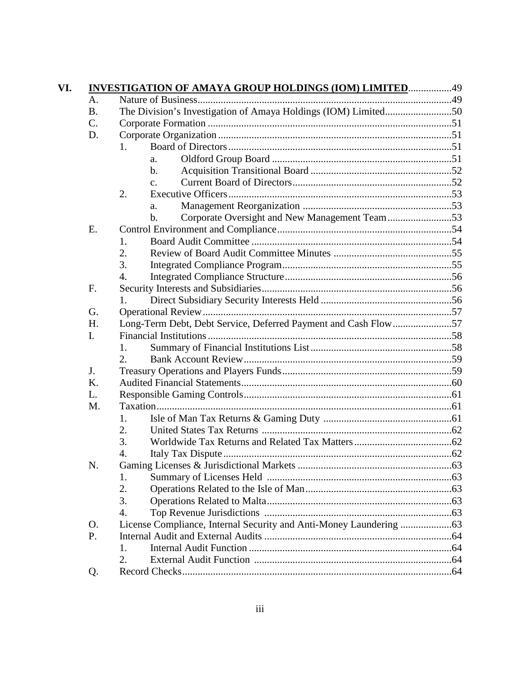|                 | <b>INVESTIGATION OF AMAYA GROUP HOLDINGS (IOM) LIMITED49</b>    |  |  |  |  |
|-----------------|-----------------------------------------------------------------|--|--|--|--|
| A.              |                                                                 |  |  |  |  |
| <b>B.</b>       | The Division's Investigation of Amaya Holdings (IOM) Limited50  |  |  |  |  |
| $\mathcal{C}$ . |                                                                 |  |  |  |  |
| D.              |                                                                 |  |  |  |  |
|                 | 1.                                                              |  |  |  |  |
|                 | a.                                                              |  |  |  |  |
|                 | $\mathbf{b}$ .                                                  |  |  |  |  |
|                 | $\mathbf{c}$ .                                                  |  |  |  |  |
|                 | 2.                                                              |  |  |  |  |
|                 | a.                                                              |  |  |  |  |
|                 | Corporate Oversight and New Management Team53<br>$\mathbf{b}$ . |  |  |  |  |
| Ε.              |                                                                 |  |  |  |  |
|                 | 1.                                                              |  |  |  |  |
|                 | 2.                                                              |  |  |  |  |
|                 | 3.                                                              |  |  |  |  |
|                 | $\overline{4}$ .                                                |  |  |  |  |
| F.              |                                                                 |  |  |  |  |
|                 | 1.                                                              |  |  |  |  |
| G.              |                                                                 |  |  |  |  |
| H.              | Long-Term Debt, Debt Service, Deferred Payment and Cash Flow57  |  |  |  |  |
| I.              |                                                                 |  |  |  |  |
|                 | 1.                                                              |  |  |  |  |
|                 | 2.                                                              |  |  |  |  |
| J.              |                                                                 |  |  |  |  |
| K.              |                                                                 |  |  |  |  |
| L.              |                                                                 |  |  |  |  |
| M.              |                                                                 |  |  |  |  |
|                 | 1.                                                              |  |  |  |  |
|                 | 2.                                                              |  |  |  |  |
|                 | 3.                                                              |  |  |  |  |
|                 | 4.                                                              |  |  |  |  |
| N               | Gaming Licenses & Jurisdictional Markets                        |  |  |  |  |
|                 | 1.                                                              |  |  |  |  |
|                 | 2.                                                              |  |  |  |  |
|                 | 3.                                                              |  |  |  |  |
|                 | $\overline{4}$ .                                                |  |  |  |  |
| O.              |                                                                 |  |  |  |  |
| P.              |                                                                 |  |  |  |  |
|                 | 1.                                                              |  |  |  |  |
|                 | 2.                                                              |  |  |  |  |
| Q.              |                                                                 |  |  |  |  |
|                 |                                                                 |  |  |  |  |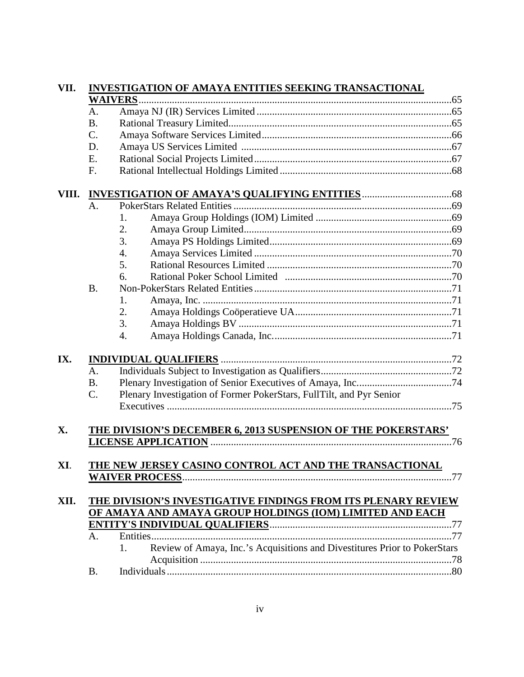| A <sub>1</sub>  |                                 |                                                                                                                                                                                                                                                                                                                                                                                                                                                                                                                      |
|-----------------|---------------------------------|----------------------------------------------------------------------------------------------------------------------------------------------------------------------------------------------------------------------------------------------------------------------------------------------------------------------------------------------------------------------------------------------------------------------------------------------------------------------------------------------------------------------|
| <b>B.</b>       |                                 |                                                                                                                                                                                                                                                                                                                                                                                                                                                                                                                      |
| $\mathcal{C}$ . |                                 |                                                                                                                                                                                                                                                                                                                                                                                                                                                                                                                      |
| D.              |                                 |                                                                                                                                                                                                                                                                                                                                                                                                                                                                                                                      |
| Ε.              |                                 |                                                                                                                                                                                                                                                                                                                                                                                                                                                                                                                      |
| F.              |                                 |                                                                                                                                                                                                                                                                                                                                                                                                                                                                                                                      |
|                 |                                 |                                                                                                                                                                                                                                                                                                                                                                                                                                                                                                                      |
| A.              |                                 |                                                                                                                                                                                                                                                                                                                                                                                                                                                                                                                      |
|                 | 1.                              |                                                                                                                                                                                                                                                                                                                                                                                                                                                                                                                      |
|                 |                                 |                                                                                                                                                                                                                                                                                                                                                                                                                                                                                                                      |
|                 |                                 |                                                                                                                                                                                                                                                                                                                                                                                                                                                                                                                      |
|                 | $\overline{4}$ .                |                                                                                                                                                                                                                                                                                                                                                                                                                                                                                                                      |
|                 | 5.                              |                                                                                                                                                                                                                                                                                                                                                                                                                                                                                                                      |
|                 | 6.                              |                                                                                                                                                                                                                                                                                                                                                                                                                                                                                                                      |
|                 |                                 |                                                                                                                                                                                                                                                                                                                                                                                                                                                                                                                      |
|                 | 1.                              |                                                                                                                                                                                                                                                                                                                                                                                                                                                                                                                      |
|                 |                                 |                                                                                                                                                                                                                                                                                                                                                                                                                                                                                                                      |
|                 |                                 |                                                                                                                                                                                                                                                                                                                                                                                                                                                                                                                      |
|                 | 4.                              |                                                                                                                                                                                                                                                                                                                                                                                                                                                                                                                      |
|                 |                                 |                                                                                                                                                                                                                                                                                                                                                                                                                                                                                                                      |
| $A_{\cdot}$     |                                 |                                                                                                                                                                                                                                                                                                                                                                                                                                                                                                                      |
|                 |                                 |                                                                                                                                                                                                                                                                                                                                                                                                                                                                                                                      |
|                 |                                 |                                                                                                                                                                                                                                                                                                                                                                                                                                                                                                                      |
|                 |                                 |                                                                                                                                                                                                                                                                                                                                                                                                                                                                                                                      |
|                 |                                 |                                                                                                                                                                                                                                                                                                                                                                                                                                                                                                                      |
|                 |                                 |                                                                                                                                                                                                                                                                                                                                                                                                                                                                                                                      |
|                 |                                 |                                                                                                                                                                                                                                                                                                                                                                                                                                                                                                                      |
|                 |                                 |                                                                                                                                                                                                                                                                                                                                                                                                                                                                                                                      |
|                 |                                 |                                                                                                                                                                                                                                                                                                                                                                                                                                                                                                                      |
|                 |                                 |                                                                                                                                                                                                                                                                                                                                                                                                                                                                                                                      |
|                 |                                 |                                                                                                                                                                                                                                                                                                                                                                                                                                                                                                                      |
|                 |                                 |                                                                                                                                                                                                                                                                                                                                                                                                                                                                                                                      |
| A.              |                                 |                                                                                                                                                                                                                                                                                                                                                                                                                                                                                                                      |
|                 | 1.                              |                                                                                                                                                                                                                                                                                                                                                                                                                                                                                                                      |
| <b>B.</b>       |                                 |                                                                                                                                                                                                                                                                                                                                                                                                                                                                                                                      |
|                 | <b>B.</b><br><b>B.</b><br>$C$ . | <b>INVESTIGATION OF AMAYA ENTITIES SEEKING TRANSACTIONAL</b><br><b>WAIVERS</b><br>2.<br>3.<br>2.<br>3.<br>Plenary Investigation of Former PokerStars, FullTilt, and Pyr Senior<br>THE DIVISION'S DECEMBER 6, 2013 SUSPENSION OF THE POKERSTARS'<br>THE NEW JERSEY CASINO CONTROL ACT AND THE TRANSACTIONAL<br>THE DIVISION'S INVESTIGATIVE FINDINGS FROM ITS PLENARY REVIEW<br>OF AMAYA AND AMAYA GROUP HOLDINGS (IOM) LIMITED AND EACH<br>Review of Amaya, Inc.'s Acquisitions and Divestitures Prior to PokerStars |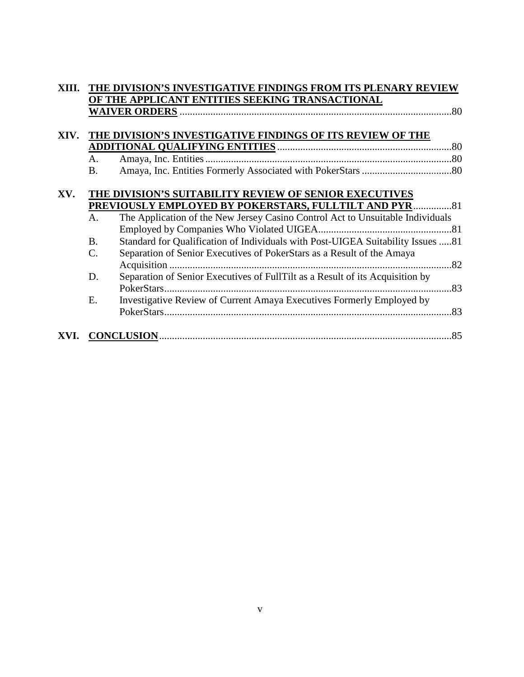| XIII. |                 | THE DIVISION'S INVESTIGATIVE FINDINGS FROM ITS PLENARY REVIEW                   |
|-------|-----------------|---------------------------------------------------------------------------------|
|       |                 | OF THE APPLICANT ENTITIES SEEKING TRANSACTIONAL                                 |
|       |                 |                                                                                 |
|       |                 |                                                                                 |
| XIV.  |                 | THE DIVISION'S INVESTIGATIVE FINDINGS OF ITS REVIEW OF THE                      |
|       |                 |                                                                                 |
|       | A.              |                                                                                 |
|       | В.              |                                                                                 |
|       |                 |                                                                                 |
| XV.   |                 | THE DIVISION'S SUITABILITY REVIEW OF SENIOR EXECUTIVES                          |
|       |                 | PREVIOUSLY EMPLOYED BY POKERSTARS, FULLTILT AND PYR81                           |
|       | A.              | The Application of the New Jersey Casino Control Act to Unsuitable Individuals  |
|       |                 |                                                                                 |
|       | <b>B.</b>       | Standard for Qualification of Individuals with Post-UIGEA Suitability Issues 81 |
|       | $\mathcal{C}$ . | Separation of Senior Executives of PokerStars as a Result of the Amaya          |
|       |                 |                                                                                 |
|       | D.              | Separation of Senior Executives of FullTilt as a Result of its Acquisition by   |
|       |                 |                                                                                 |
|       | E.              | Investigative Review of Current Amaya Executives Formerly Employed by           |
|       |                 |                                                                                 |
|       |                 |                                                                                 |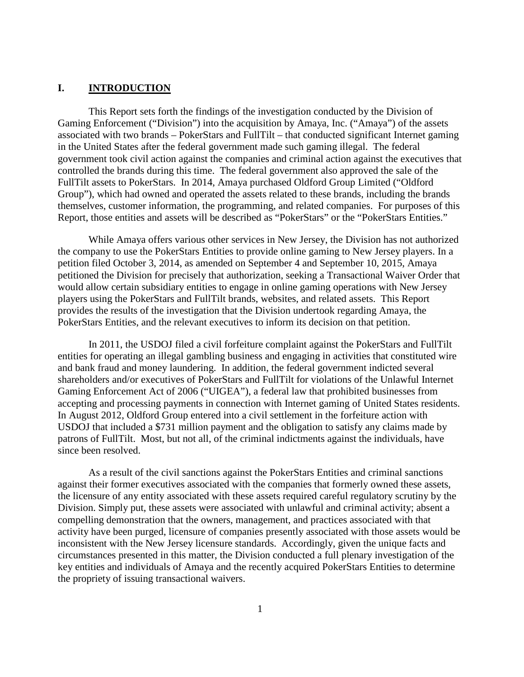## **I. INTRODUCTION**

This Report sets forth the findings of the investigation conducted by the Division of Gaming Enforcement ("Division") into the acquisition by Amaya, Inc. ("Amaya") of the assets associated with two brands – PokerStars and FullTilt – that conducted significant Internet gaming in the United States after the federal government made such gaming illegal. The federal government took civil action against the companies and criminal action against the executives that controlled the brands during this time. The federal government also approved the sale of the FullTilt assets to PokerStars. In 2014, Amaya purchased Oldford Group Limited ("Oldford Group"), which had owned and operated the assets related to these brands, including the brands themselves, customer information, the programming, and related companies. For purposes of this Report, those entities and assets will be described as "PokerStars" or the "PokerStars Entities."

While Amaya offers various other services in New Jersey, the Division has not authorized the company to use the PokerStars Entities to provide online gaming to New Jersey players. In a petition filed October 3, 2014, as amended on September 4 and September 10, 2015, Amaya petitioned the Division for precisely that authorization, seeking a Transactional Waiver Order that would allow certain subsidiary entities to engage in online gaming operations with New Jersey players using the PokerStars and FullTilt brands, websites, and related assets. This Report provides the results of the investigation that the Division undertook regarding Amaya, the PokerStars Entities, and the relevant executives to inform its decision on that petition.

In 2011, the USDOJ filed a civil forfeiture complaint against the PokerStars and FullTilt entities for operating an illegal gambling business and engaging in activities that constituted wire and bank fraud and money laundering. In addition, the federal government indicted several shareholders and/or executives of PokerStars and FullTilt for violations of the Unlawful Internet Gaming Enforcement Act of 2006 ("UIGEA"), a federal law that prohibited businesses from accepting and processing payments in connection with Internet gaming of United States residents. In August 2012, Oldford Group entered into a civil settlement in the forfeiture action with USDOJ that included a \$731 million payment and the obligation to satisfy any claims made by patrons of FullTilt. Most, but not all, of the criminal indictments against the individuals, have since been resolved.

As a result of the civil sanctions against the PokerStars Entities and criminal sanctions against their former executives associated with the companies that formerly owned these assets, the licensure of any entity associated with these assets required careful regulatory scrutiny by the Division. Simply put, these assets were associated with unlawful and criminal activity; absent a compelling demonstration that the owners, management, and practices associated with that activity have been purged, licensure of companies presently associated with those assets would be inconsistent with the New Jersey licensure standards. Accordingly, given the unique facts and circumstances presented in this matter, the Division conducted a full plenary investigation of the key entities and individuals of Amaya and the recently acquired PokerStars Entities to determine the propriety of issuing transactional waivers.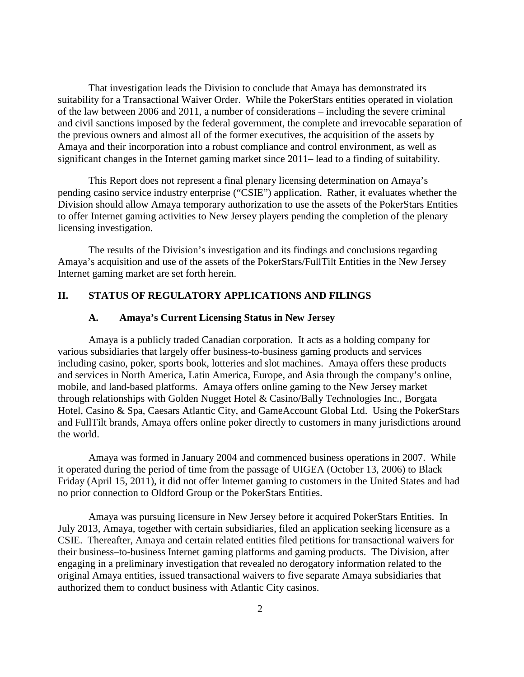That investigation leads the Division to conclude that Amaya has demonstrated its suitability for a Transactional Waiver Order. While the PokerStars entities operated in violation of the law between 2006 and 2011, a number of considerations – including the severe criminal and civil sanctions imposed by the federal government, the complete and irrevocable separation of the previous owners and almost all of the former executives, the acquisition of the assets by Amaya and their incorporation into a robust compliance and control environment, as well as significant changes in the Internet gaming market since 2011– lead to a finding of suitability.

This Report does not represent a final plenary licensing determination on Amaya's pending casino service industry enterprise ("CSIE") application. Rather, it evaluates whether the Division should allow Amaya temporary authorization to use the assets of the PokerStars Entities to offer Internet gaming activities to New Jersey players pending the completion of the plenary licensing investigation.

The results of the Division's investigation and its findings and conclusions regarding Amaya's acquisition and use of the assets of the PokerStars/FullTilt Entities in the New Jersey Internet gaming market are set forth herein.

# **II. STATUS OF REGULATORY APPLICATIONS AND FILINGS**

### **A. Amaya's Current Licensing Status in New Jersey**

Amaya is a publicly traded Canadian corporation. It acts as a holding company for various subsidiaries that largely offer business-to-business gaming products and services including casino, poker, sports book, lotteries and slot machines. Amaya offers these products and services in North America, Latin America, Europe, and Asia through the company's online, mobile, and land-based platforms. Amaya offers online gaming to the New Jersey market through relationships with Golden Nugget Hotel & Casino/Bally Technologies Inc., Borgata Hotel, Casino & Spa, Caesars Atlantic City, and GameAccount Global Ltd. Using the PokerStars and FullTilt brands, Amaya offers online poker directly to customers in many jurisdictions around the world.

Amaya was formed in January 2004 and commenced business operations in 2007. While it operated during the period of time from the passage of UIGEA (October 13, 2006) to Black Friday (April 15, 2011), it did not offer Internet gaming to customers in the United States and had no prior connection to Oldford Group or the PokerStars Entities.

Amaya was pursuing licensure in New Jersey before it acquired PokerStars Entities. In July 2013, Amaya, together with certain subsidiaries, filed an application seeking licensure as a CSIE. Thereafter, Amaya and certain related entities filed petitions for transactional waivers for their business–to-business Internet gaming platforms and gaming products. The Division, after engaging in a preliminary investigation that revealed no derogatory information related to the original Amaya entities, issued transactional waivers to five separate Amaya subsidiaries that authorized them to conduct business with Atlantic City casinos.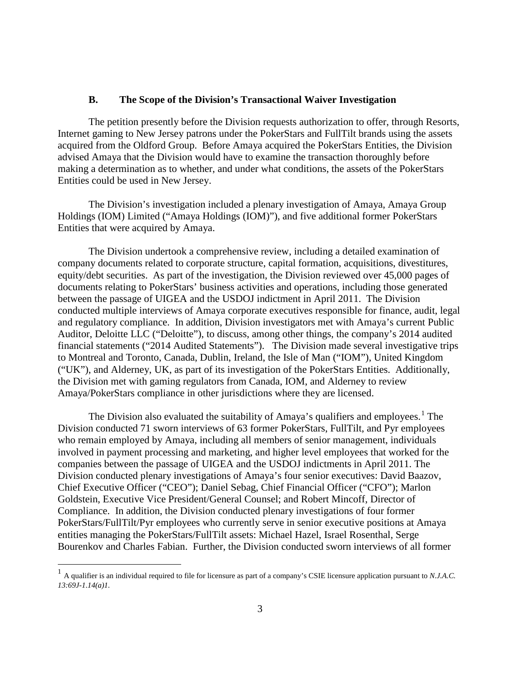### **B. The Scope of the Division's Transactional Waiver Investigation**

The petition presently before the Division requests authorization to offer, through Resorts, Internet gaming to New Jersey patrons under the PokerStars and FullTilt brands using the assets acquired from the Oldford Group. Before Amaya acquired the PokerStars Entities, the Division advised Amaya that the Division would have to examine the transaction thoroughly before making a determination as to whether, and under what conditions, the assets of the PokerStars Entities could be used in New Jersey.

The Division's investigation included a plenary investigation of Amaya, Amaya Group Holdings (IOM) Limited ("Amaya Holdings (IOM)"), and five additional former PokerStars Entities that were acquired by Amaya.

The Division undertook a comprehensive review, including a detailed examination of company documents related to corporate structure, capital formation, acquisitions, divestitures, equity/debt securities. As part of the investigation, the Division reviewed over 45,000 pages of documents relating to PokerStars' business activities and operations, including those generated between the passage of UIGEA and the USDOJ indictment in April 2011. The Division conducted multiple interviews of Amaya corporate executives responsible for finance, audit, legal and regulatory compliance. In addition, Division investigators met with Amaya's current Public Auditor, Deloitte LLC ("Deloitte"), to discuss, among other things, the company's 2014 audited financial statements ("2014 Audited Statements"). The Division made several investigative trips to Montreal and Toronto, Canada, Dublin, Ireland, the Isle of Man ("IOM"), United Kingdom ("UK"), and Alderney, UK, as part of its investigation of the PokerStars Entities. Additionally, the Division met with gaming regulators from Canada, IOM, and Alderney to review Amaya/PokerStars compliance in other jurisdictions where they are licensed.

The Division also evaluated the suitability of Amaya's qualifiers and employees.<sup>[1](#page-0-0)</sup> The Division conducted 71 sworn interviews of 63 former PokerStars, FullTilt, and Pyr employees who remain employed by Amaya, including all members of senior management, individuals involved in payment processing and marketing, and higher level employees that worked for the companies between the passage of UIGEA and the USDOJ indictments in April 2011. The Division conducted plenary investigations of Amaya's four senior executives: David Baazov, Chief Executive Officer ("CEO"); Daniel Sebag, Chief Financial Officer ("CFO"); Marlon Goldstein, Executive Vice President/General Counsel; and Robert Mincoff, Director of Compliance. In addition, the Division conducted plenary investigations of four former PokerStars/FullTilt/Pyr employees who currently serve in senior executive positions at Amaya entities managing the PokerStars/FullTilt assets: Michael Hazel, Israel Rosenthal, Serge Bourenkov and Charles Fabian. Further, the Division conducted sworn interviews of all former

<span id="page-8-0"></span> <sup>1</sup> A qualifier is an individual required to file for licensure as part of a company's CSIE licensure application pursuant to *N.J.A.C. 13:69J-1.14(a)1.*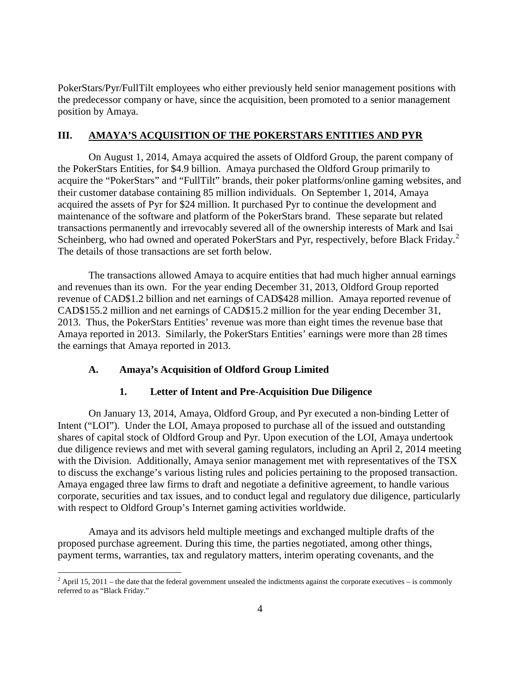PokerStars/Pyr/FullTilt employees who either previously held senior management positions with the predecessor company or have, since the acquisition, been promoted to a senior management position by Amaya.

### **III. AMAYA'S ACQUISITION OF THE POKERSTARS ENTITIES AND PYR**

On August 1, 2014, Amaya acquired the assets of Oldford Group, the parent company of the PokerStars Entities, for \$4.9 billion. Amaya purchased the Oldford Group primarily to acquire the "PokerStars" and "FullTilt" brands, their poker platforms/online gaming websites, and their customer database containing 85 million individuals. On September 1, 2014, Amaya acquired the assets of Pyr for \$24 million. It purchased Pyr to continue the development and maintenance of the software and platform of the PokerStars brand. These separate but related transactions permanently and irrevocably severed all of the ownership interests of Mark and Isai Scheinberg, who had owned and operated PokerStars and Pyr, respectively, before Black Friday.<sup>[2](#page-8-0)</sup> The details of those transactions are set forth below.

The transactions allowed Amaya to acquire entities that had much higher annual earnings and revenues than its own. For the year ending December 31, 2013, Oldford Group reported revenue of CAD\$1.2 billion and net earnings of CAD\$428 million. Amaya reported revenue of CAD\$155.2 million and net earnings of CAD\$15.2 million for the year ending December 31, 2013. Thus, the PokerStars Entities' revenue was more than eight times the revenue base that Amaya reported in 2013. Similarly, the PokerStars Entities' earnings were more than 28 times the earnings that Amaya reported in 2013.

### **A. Amaya's Acquisition of Oldford Group Limited**

### **1. Letter of Intent and Pre-Acquisition Due Diligence**

On January 13, 2014, Amaya, Oldford Group, and Pyr executed a non-binding Letter of Intent ("LOI"). Under the LOI, Amaya proposed to purchase all of the issued and outstanding shares of capital stock of Oldford Group and Pyr. Upon execution of the LOI, Amaya undertook due diligence reviews and met with several gaming regulators, including an April 2, 2014 meeting with the Division. Additionally, Amaya senior management met with representatives of the TSX to discuss the exchange's various listing rules and policies pertaining to the proposed transaction. Amaya engaged three law firms to draft and negotiate a definitive agreement, to handle various corporate, securities and tax issues, and to conduct legal and regulatory due diligence, particularly with respect to Oldford Group's Internet gaming activities worldwide.

<span id="page-9-0"></span>Amaya and its advisors held multiple meetings and exchanged multiple drafts of the proposed purchase agreement. During this time, the parties negotiated, among other things, payment terms, warranties, tax and regulatory matters, interim operating covenants, and the

 $2$  April 15, 2011 – the date that the federal government unsealed the indictments against the corporate executives – is commonly referred to as "Black Friday."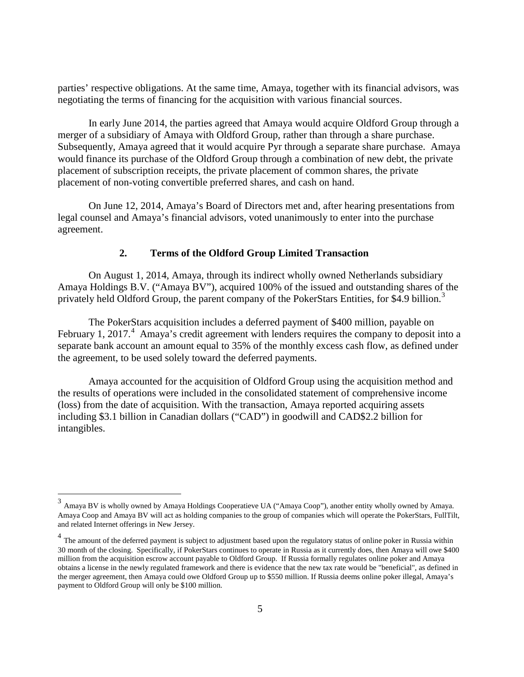parties' respective obligations. At the same time, Amaya, together with its financial advisors, was negotiating the terms of financing for the acquisition with various financial sources.

In early June 2014, the parties agreed that Amaya would acquire Oldford Group through a merger of a subsidiary of Amaya with Oldford Group, rather than through a share purchase. Subsequently, Amaya agreed that it would acquire Pyr through a separate share purchase. Amaya would finance its purchase of the Oldford Group through a combination of new debt, the private placement of subscription receipts, the private placement of common shares, the private placement of non-voting convertible preferred shares, and cash on hand.

On June 12, 2014, Amaya's Board of Directors met and, after hearing presentations from legal counsel and Amaya's financial advisors, voted unanimously to enter into the purchase agreement.

# **2. Terms of the Oldford Group Limited Transaction**

On August 1, 2014, Amaya, through its indirect wholly owned Netherlands subsidiary Amaya Holdings B.V. ("Amaya BV"), acquired 100% of the issued and outstanding shares of the privately held Oldford Group, the parent company of the PokerStars Entities, for \$4.9 billion.<sup>[3](#page-9-0)</sup>

The PokerStars acquisition includes a deferred payment of \$400 million, payable on February 1, 2017.<sup>[4](#page-10-0)</sup> Amaya's credit agreement with lenders requires the company to deposit into a separate bank account an amount equal to 35% of the monthly excess cash flow, as defined under the agreement, to be used solely toward the deferred payments.

Amaya accounted for the acquisition of Oldford Group using the acquisition method and the results of operations were included in the consolidated statement of comprehensive income (loss) from the date of acquisition. With the transaction, Amaya reported acquiring assets including \$3.1 billion in Canadian dollars ("CAD") in goodwill and CAD\$2.2 billion for intangibles.

 $3$  Amaya BV is wholly owned by Amaya Holdings Cooperatieve UA ("Amaya Coop"), another entity wholly owned by Amaya. Amaya Coop and Amaya BV will act as holding companies to the group of companies which will operate the PokerStars, FullTilt, and related Internet offerings in New Jersey.

<span id="page-10-1"></span><span id="page-10-0"></span><sup>&</sup>lt;sup>4</sup> The amount of the deferred payment is subject to adjustment based upon the regulatory status of online poker in Russia within 30 month of the closing. Specifically, if PokerStars continues to operate in Russia as it currently does, then Amaya will owe \$400 million from the acquisition escrow account payable to Oldford Group. If Russia formally regulates online poker and Amaya obtains a license in the newly regulated framework and there is evidence that the new tax rate would be "beneficial", as defined in the merger agreement, then Amaya could owe Oldford Group up to \$550 million. If Russia deems online poker illegal, Amaya's payment to Oldford Group will only be \$100 million.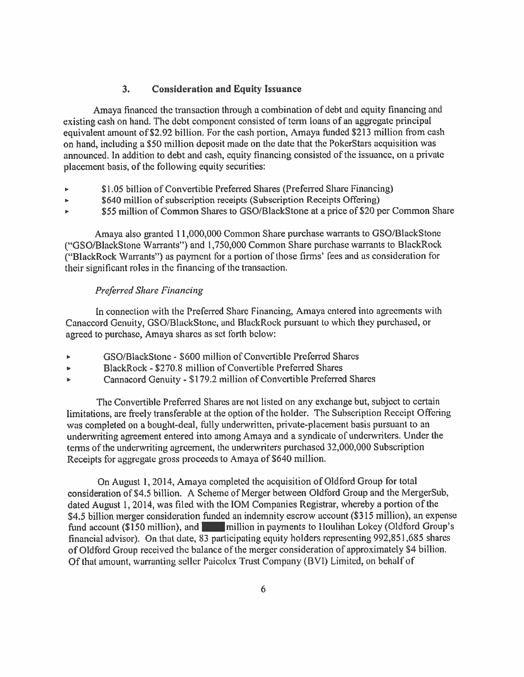### **Consideration and Equity Issuance**  $3.$

Amaya financed the transaction through a combination of debt and equity financing and existing cash on hand. The debt component consisted of term loans of an aggregate principal equivalent amount of \$2.92 billion. For the cash portion, Amaya funded \$213 million from cash on hand, including a \$50 million deposit made on the date that the PokerStars acquisition was announced. In addition to debt and cash, equity financing consisted of the issuance, on a private placement basis, of the following equity securities:

- \$1.05 billion of Convertible Preferred Shares (Preferred Share Financing)
- \$640 million of subscription receipts (Subscription Receipts Offering) ы
- \$55 million of Common Shares to GSO/BlackStone at a price of \$20 per Common Share

Amaya also granted 11,000,000 Common Share purchase warrants to GSO/BlackStone ("GSO/BlackStone Warrants") and 1,750,000 Common Share purchase warrants to BlackRock ("BlackRock Warrants") as payment for a portion of those firms' fees and as consideration for their significant roles in the financing of the transaction.

### **Preferred Share Financing**

In connection with the Preferred Share Financing, Amaya entered into agreements with Canaccord Genuity, GSO/BlackStone, and BlackRock pursuant to which they purchased, or agreed to purchase, Amaya shares as set forth below:

- GSO/BlackStone \$600 million of Convertible Preferred Shares  $\bar{\mathbf{P}}$
- BlackRock \$270.8 million of Convertible Preferred Shares  $\bullet$
- Cannacord Genuity \$179.2 million of Convertible Preferred Shares k.

The Convertible Preferred Shares are not listed on any exchange but, subject to certain limitations, are freely transferable at the option of the holder. The Subscription Receipt Offering was completed on a bought-deal, fully underwritten, private-placement basis pursuant to an underwriting agreement entered into among Amaya and a syndicate of underwriters. Under the terms of the underwriting agreement, the underwriters purchased 32,000,000 Subscription Receipts for aggregate gross proceeds to Amaya of \$640 million.

On August 1, 2014, Amaya completed the acquisition of Oldford Group for total consideration of \$4.5 billion. A Scheme of Merger between Oldford Group and the MergerSub, dated August 1, 2014, was filed with the IOM Companies Registrar, whereby a portion of the \$4.5 billion merger consideration funded an indemnity escrow account (\$315 million), an expense fund account (\$150 million), and **The million in payments to Houlihan Lokey** (Oldford Group's financial advisor). On that date, 83 participating equity holders representing 992,851,685 shares of Oldford Group received the balance of the merger consideration of approximately \$4 billion. Of that amount, warranting seller Paicolex Trust Company (BVI) Limited, on behalf of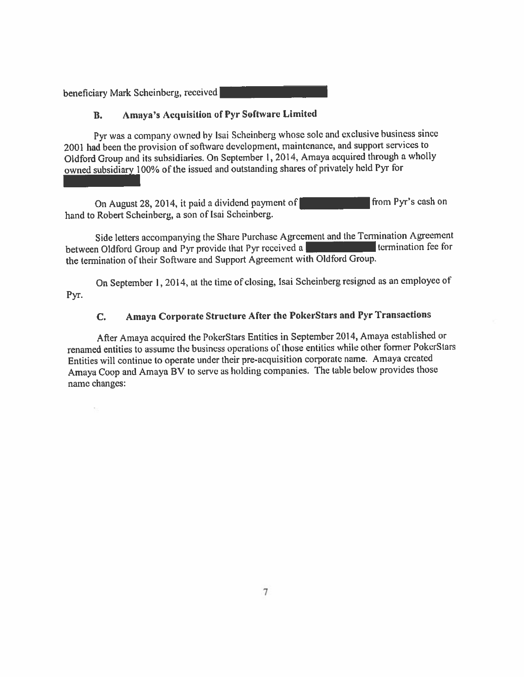beneficiary Mark Scheinberg, received

### **Amaya's Acquisition of Pyr Software Limited .**

Pyr was a company owned by Isai Scheinberg whose sole and exclusive business since 2001 had been the provision of software development, maintenance, and support services to Oldford Group and its subsidiaries. On September 1, 2014, Amaya acquired through a wholly owned subsidiary 100% of the issued and outstanding shares of privately held Pyr for

On August 28, 2014, it paid a dividend payment of from Pyr's cash on hand to Robert Scheinberg, a son of Isai Scheinberg.

Side letters accompanying the Share Purchase Agreement and the Termination Agreement between Oldford Group and Pyr provide that Pyr received a termination fee for the termination of their Software and Support Agreement with Oldford Group.

On September 1, 2014, at the time of closing, Isai Scheinberg resigned as an employee of Pyr.

### Amaya Corporate Structure After the PokerStars and Pyr Transactions  $C_{\bullet}$

After Amaya acquired the PokerStars Entities in September 2014, Amaya established or renamed entities to assume the business operations of those entities while other former PokerStars Entities will continue to operate under their pre-acquisition corporate name. Amaya created Amaya Coop and Amaya BV to serve as holding companies. The table below provides those name changes: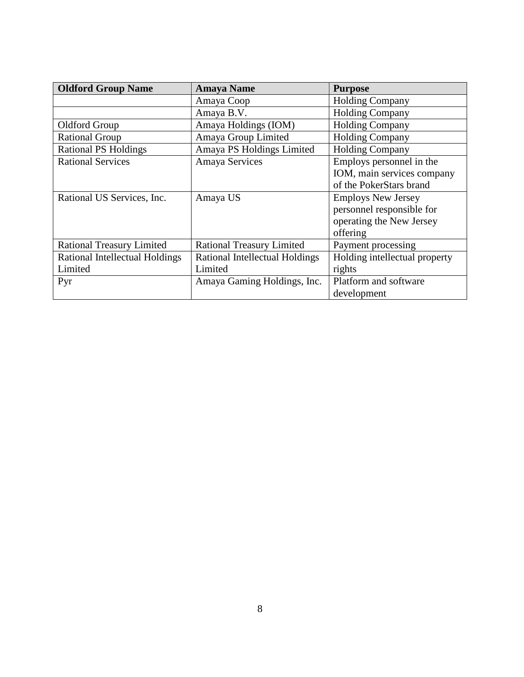| <b>Oldford Group Name</b>        | <b>Amaya Name</b>                | <b>Purpose</b>                |
|----------------------------------|----------------------------------|-------------------------------|
|                                  | Amaya Coop                       | <b>Holding Company</b>        |
|                                  | Amaya B.V.                       | <b>Holding Company</b>        |
| Oldford Group                    | Amaya Holdings (IOM)             | <b>Holding Company</b>        |
| <b>Rational Group</b>            | Amaya Group Limited              | <b>Holding Company</b>        |
| <b>Rational PS Holdings</b>      | Amaya PS Holdings Limited        | <b>Holding Company</b>        |
| <b>Rational Services</b>         | Amaya Services                   | Employs personnel in the      |
|                                  |                                  | IOM, main services company    |
|                                  |                                  | of the PokerStars brand       |
| Rational US Services, Inc.       | Amaya US                         | <b>Employs New Jersey</b>     |
|                                  |                                  | personnel responsible for     |
|                                  |                                  | operating the New Jersey      |
|                                  |                                  | offering                      |
| <b>Rational Treasury Limited</b> | <b>Rational Treasury Limited</b> | Payment processing            |
| Rational Intellectual Holdings   | Rational Intellectual Holdings   | Holding intellectual property |
| Limited                          | Limited                          | rights                        |
| Pyr                              | Amaya Gaming Holdings, Inc.      | Platform and software         |
|                                  |                                  | development                   |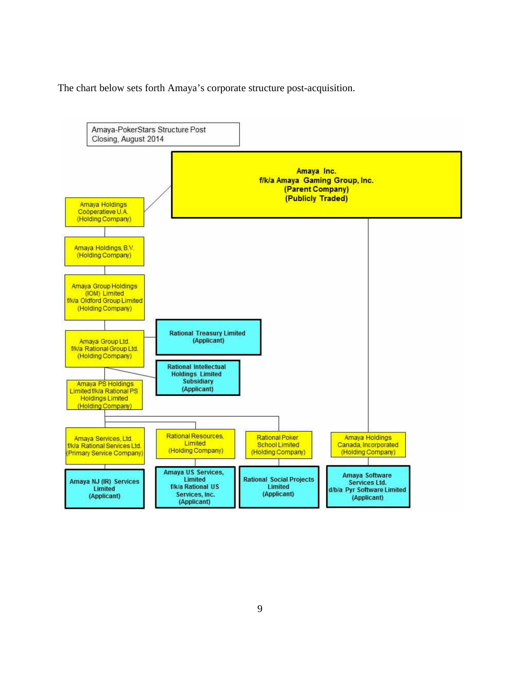The chart below sets forth Amaya's corporate structure post-acquisition.

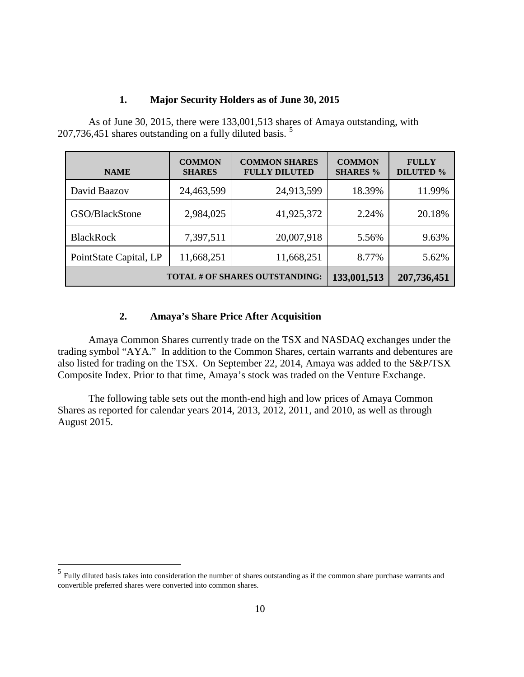### **1. Major Security Holders as of June 30, 2015**

As of June 30, 2015, there were 133,001,513 shares of Amaya outstanding, with 207,736,451 shares outstanding on a fully diluted basis. [5](#page-10-1)

| <b>NAME</b>                    | <b>COMMON</b><br><b>SHARES</b> | <b>COMMON SHARES</b><br><b>FULLY DILUTED</b> | <b>COMMON</b><br><b>SHARES %</b> | <b>FULLY</b><br><b>DILUTED %</b> |
|--------------------------------|--------------------------------|----------------------------------------------|----------------------------------|----------------------------------|
| David Baazov                   | 24,463,599                     | 24,913,599                                   | 18.39%                           | 11.99%                           |
| GSO/BlackStone                 | 2,984,025                      | 41,925,372                                   | 2.24%                            | 20.18%                           |
| <b>BlackRock</b>               | 7,397,511                      | 20,007,918                                   | 5.56%                            | 9.63%                            |
| PointState Capital, LP         | 11,668,251                     | 11,668,251                                   | 8.77%                            | 5.62%                            |
| TOTAL # OF SHARES OUTSTANDING: | 133,001,513                    | 207,736,451                                  |                                  |                                  |

# **2. Amaya's Share Price After Acquisition**

Amaya Common Shares currently trade on the TSX and NASDAQ exchanges under the trading symbol "AYA." In addition to the Common Shares, certain warrants and debentures are also listed for trading on the TSX. On September 22, 2014, Amaya was added to the S&P/TSX Composite Index. Prior to that time, Amaya's stock was traded on the Venture Exchange.

The following table sets out the month-end high and low prices of Amaya Common Shares as reported for calendar years 2014, 2013, 2012, 2011, and 2010, as well as through August 2015.

<span id="page-15-0"></span><sup>&</sup>lt;sup>5</sup> Fully diluted basis takes into consideration the number of shares outstanding as if the common share purchase warrants and convertible preferred shares were converted into common shares.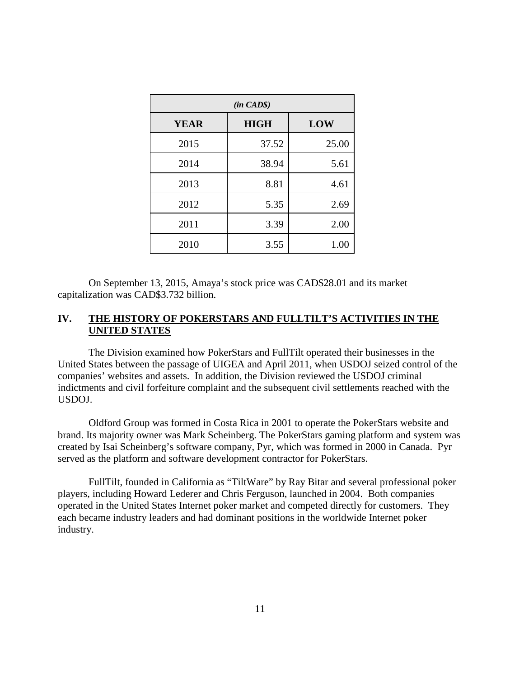| $(in \, CAD\$ |             |            |  |  |  |
|---------------|-------------|------------|--|--|--|
| <b>YEAR</b>   | <b>HIGH</b> | <b>LOW</b> |  |  |  |
| 2015          | 37.52       | 25.00      |  |  |  |
| 2014          | 38.94       | 5.61       |  |  |  |
| 2013          | 8.81        | 4.61       |  |  |  |
| 2012          | 5.35        | 2.69       |  |  |  |
| 2011          | 3.39        | 2.00       |  |  |  |
| 2010          | 3.55        | 1.00       |  |  |  |

On September 13, 2015, Amaya's stock price was CAD\$28.01 and its market capitalization was CAD\$3.732 billion.

### **IV. THE HISTORY OF POKERSTARS AND FULLTILT'S ACTIVITIES IN THE UNITED STATES**

The Division examined how PokerStars and FullTilt operated their businesses in the United States between the passage of UIGEA and April 2011, when USDOJ seized control of the companies' websites and assets. In addition, the Division reviewed the USDOJ criminal indictments and civil forfeiture complaint and the subsequent civil settlements reached with the USDOJ.

Oldford Group was formed in Costa Rica in 2001 to operate the PokerStars website and brand. Its majority owner was Mark Scheinberg. The PokerStars gaming platform and system was created by Isai Scheinberg's software company, Pyr, which was formed in 2000 in Canada. Pyr served as the platform and software development contractor for PokerStars.

FullTilt, founded in California as "TiltWare" by Ray Bitar and several professional poker players, including Howard Lederer and Chris Ferguson, launched in 2004. Both companies operated in the United States Internet poker market and competed directly for customers. They each became industry leaders and had dominant positions in the worldwide Internet poker industry.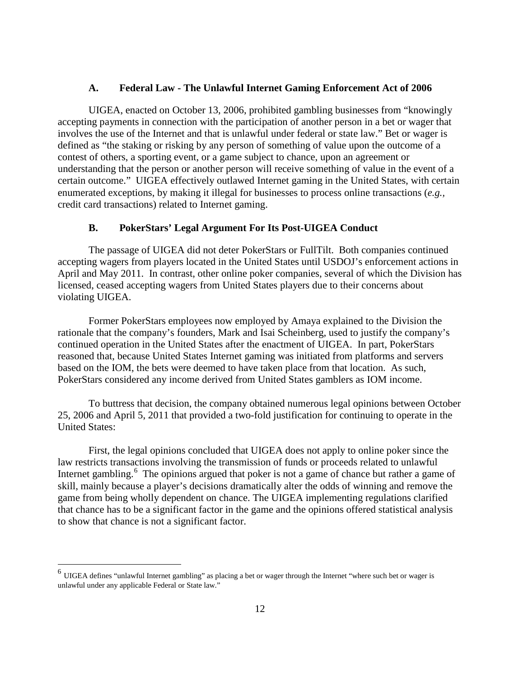### **A. Federal Law - The Unlawful Internet Gaming Enforcement Act of 2006**

UIGEA, enacted on October 13, 2006, prohibited gambling businesses from "knowingly accepting payments in connection with the participation of another person in a bet or wager that involves the use of the Internet and that is unlawful under federal or state law." Bet or wager is defined as "the staking or risking by any person of something of value upon the outcome of a contest of others, a sporting event, or a game subject to chance, upon an agreement or understanding that the person or another person will receive something of value in the event of a certain outcome." UIGEA effectively outlawed Internet gaming in the United States, with certain enumerated exceptions, by making it illegal for businesses to process online transactions (*e.g.,* credit card transactions) related to Internet gaming.

### **B. PokerStars' Legal Argument For Its Post-UIGEA Conduct**

The passage of UIGEA did not deter PokerStars or FullTilt. Both companies continued accepting wagers from players located in the United States until USDOJ's enforcement actions in April and May 2011. In contrast, other online poker companies, several of which the Division has licensed, ceased accepting wagers from United States players due to their concerns about violating UIGEA.

Former PokerStars employees now employed by Amaya explained to the Division the rationale that the company's founders, Mark and Isai Scheinberg, used to justify the company's continued operation in the United States after the enactment of UIGEA. In part, PokerStars reasoned that, because United States Internet gaming was initiated from platforms and servers based on the IOM, the bets were deemed to have taken place from that location. As such, PokerStars considered any income derived from United States gamblers as IOM income.

To buttress that decision, the company obtained numerous legal opinions between October 25, 2006 and April 5, 2011 that provided a two-fold justification for continuing to operate in the United States:

First, the legal opinions concluded that UIGEA does not apply to online poker since the law restricts transactions involving the transmission of funds or proceeds related to unlawful Internet gambling.<sup>[6](#page-15-0)</sup> The opinions argued that poker is not a game of chance but rather a game of skill, mainly because a player's decisions dramatically alter the odds of winning and remove the game from being wholly dependent on chance. The UIGEA implementing regulations clarified that chance has to be a significant factor in the game and the opinions offered statistical analysis to show that chance is not a significant factor.

<span id="page-17-0"></span> $<sup>6</sup>$  UIGEA defines "unlawful Internet gambling" as placing a bet or wager through the Internet "where such bet or wager is</sup> unlawful under any applicable Federal or State law."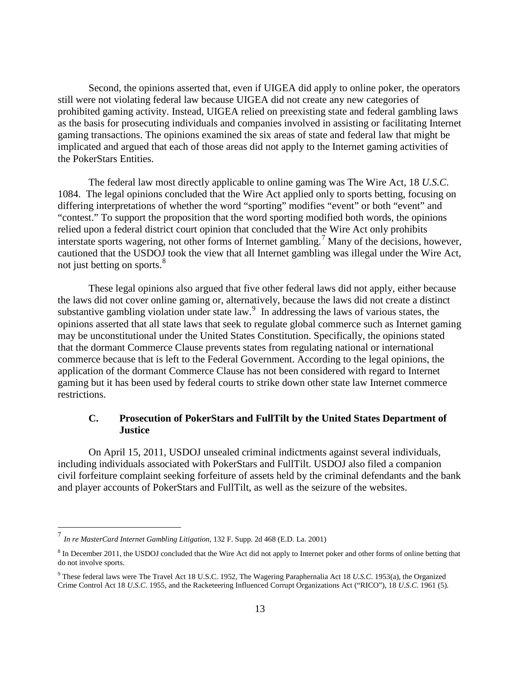Second, the opinions asserted that, even if UIGEA did apply to online poker, the operators still were not violating federal law because UIGEA did not create any new categories of prohibited gaming activity. Instead, UIGEA relied on preexisting state and federal gambling laws as the basis for prosecuting individuals and companies involved in assisting or facilitating Internet gaming transactions. The opinions examined the six areas of state and federal law that might be implicated and argued that each of those areas did not apply to the Internet gaming activities of the PokerStars Entities.

The federal law most directly applicable to online gaming was The Wire Act, 18 *U.S.C*. 1084. The legal opinions concluded that the Wire Act applied only to sports betting, focusing on differing interpretations of whether the word "sporting" modifies "event" or both "event" and "contest." To support the proposition that the word sporting modified both words, the opinions relied upon a federal district court opinion that concluded that the Wire Act only prohibits interstate sports wagering, not other forms of Internet gambling.<sup>[7](#page-17-0)</sup> Many of the decisions, however, cautioned that the USDOJ took the view that all Internet gambling was illegal under the Wire Act, not just betting on sports.<sup>[8](#page-18-0)</sup>

These legal opinions also argued that five other federal laws did not apply, either because the laws did not cover online gaming or, alternatively, because the laws did not create a distinct substantive gambling violation under state law.<sup>[9](#page-18-1)</sup> In addressing the laws of various states, the opinions asserted that all state laws that seek to regulate global commerce such as Internet gaming may be unconstitutional under the United States Constitution. Specifically, the opinions stated that the dormant Commerce Clause prevents states from regulating national or international commerce because that is left to the Federal Government. According to the legal opinions, the application of the dormant Commerce Clause has not been considered with regard to Internet gaming but it has been used by federal courts to strike down other state law Internet commerce restrictions.

## **C. Prosecution of PokerStars and FullTilt by the United States Department of Justice**

On April 15, 2011, USDOJ unsealed criminal indictments against several individuals, including individuals associated with PokerStars and FullTilt. USDOJ also filed a companion civil forfeiture complaint seeking forfeiture of assets held by the criminal defendants and the bank and player accounts of PokerStars and FullTilt, as well as the seizure of the websites.

<span id="page-18-2"></span> <sup>7</sup> *In re MasterCard Internet Gambling Litigation,* 132 F. Supp. 2d 468 (E.D. La. 2001)

<span id="page-18-0"></span><sup>&</sup>lt;sup>8</sup> In December 2011, the USDOJ concluded that the Wire Act did not apply to Internet poker and other forms of online betting that do not involve sports.

<span id="page-18-1"></span><sup>9</sup> These federal laws were The Travel Act 18 U.S.C. 1952, The Wagering Paraphernalia Act 18 *U.S.C*. 1953(a), the Organized Crime Control Act 18 *U.S.C*. 1955, and the Racketeering Influenced Corrupt Organizations Act ("RICO"), 18 *U.S.C*. 1961 (5).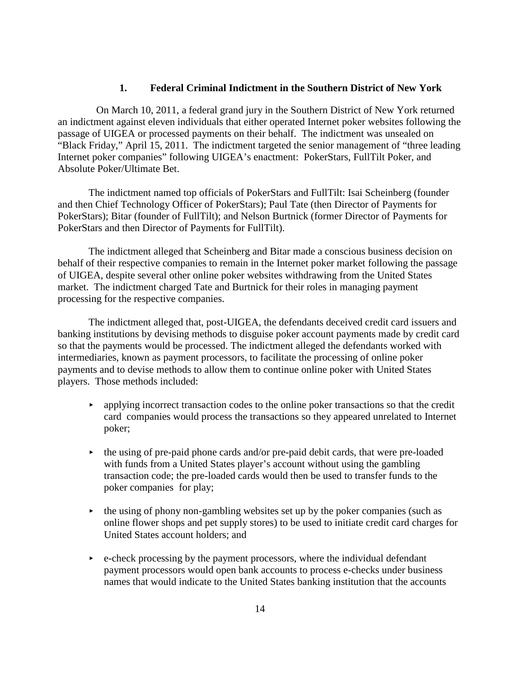### **1. Federal Criminal Indictment in the Southern District of New York**

On March 10, 2011, a federal grand jury in the Southern District of New York returned an indictment against eleven individuals that either operated Internet poker websites following the passage of UIGEA or processed payments on their behalf. The indictment was unsealed on "Black Friday," April 15, 2011. The indictment targeted the senior management of "three leading Internet poker companies" following UIGEA's enactment: PokerStars, FullTilt Poker, and Absolute Poker/Ultimate Bet.

The indictment named top officials of PokerStars and FullTilt: Isai Scheinberg (founder and then Chief Technology Officer of PokerStars); Paul Tate (then Director of Payments for PokerStars); Bitar (founder of FullTilt); and Nelson Burtnick (former Director of Payments for PokerStars and then Director of Payments for FullTilt).

The indictment alleged that Scheinberg and Bitar made a conscious business decision on behalf of their respective companies to remain in the Internet poker market following the passage of UIGEA, despite several other online poker websites withdrawing from the United States market. The indictment charged Tate and Burtnick for their roles in managing payment processing for the respective companies.

The indictment alleged that, post-UIGEA, the defendants deceived credit card issuers and banking institutions by devising methods to disguise poker account payments made by credit card so that the payments would be processed. The indictment alleged the defendants worked with intermediaries, known as payment processors, to facilitate the processing of online poker payments and to devise methods to allow them to continue online poker with United States players. Those methods included:

- applying incorrect transaction codes to the online poker transactions so that the credit card companies would process the transactions so they appeared unrelated to Internet poker;
- $\blacktriangleright$  the using of pre-paid phone cards and/or pre-paid debit cards, that were pre-loaded with funds from a United States player's account without using the gambling transaction code; the pre-loaded cards would then be used to transfer funds to the poker companies for play;
- $\rightarrow$  the using of phony non-gambling websites set up by the poker companies (such as online flower shops and pet supply stores) to be used to initiate credit card charges for United States account holders; and
- $\rightarrow$  e-check processing by the payment processors, where the individual defendant payment processors would open bank accounts to process e-checks under business names that would indicate to the United States banking institution that the accounts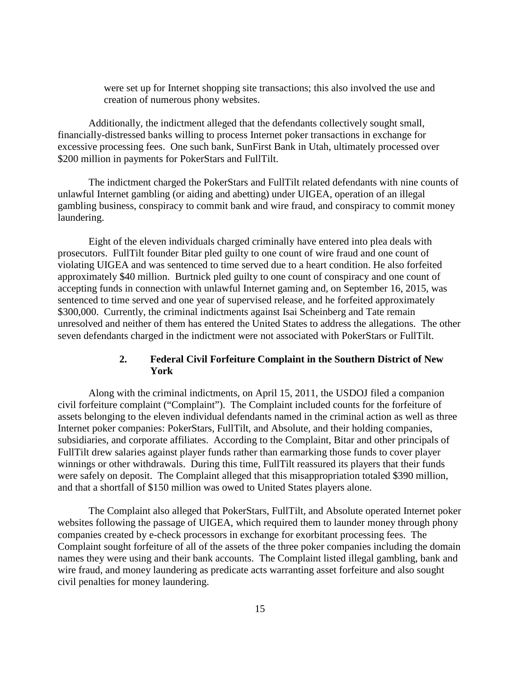were set up for Internet shopping site transactions; this also involved the use and creation of numerous phony websites.

Additionally, the indictment alleged that the defendants collectively sought small, financially-distressed banks willing to process Internet poker transactions in exchange for excessive processing fees. One such bank, SunFirst Bank in Utah, ultimately processed over \$200 million in payments for PokerStars and FullTilt.

The indictment charged the PokerStars and FullTilt related defendants with nine counts of unlawful Internet gambling (or aiding and abetting) under UIGEA, operation of an illegal gambling business, conspiracy to commit bank and wire fraud, and conspiracy to commit money laundering.

Eight of the eleven individuals charged criminally have entered into plea deals with prosecutors. FullTilt founder Bitar pled guilty to one count of wire fraud and one count of violating UIGEA and was sentenced to time served due to a heart condition. He also forfeited approximately \$40 million. Burtnick pled guilty to one count of conspiracy and one count of accepting funds in connection with unlawful Internet gaming and, on September 16, 2015, was sentenced to time served and one year of supervised release, and he forfeited approximately \$300,000. Currently, the criminal indictments against Isai Scheinberg and Tate remain unresolved and neither of them has entered the United States to address the allegations. The other seven defendants charged in the indictment were not associated with PokerStars or FullTilt.

## **2. Federal Civil Forfeiture Complaint in the Southern District of New York**

Along with the criminal indictments, on April 15, 2011, the USDOJ filed a companion civil forfeiture complaint ("Complaint"). The Complaint included counts for the forfeiture of assets belonging to the eleven individual defendants named in the criminal action as well as three Internet poker companies: PokerStars, FullTilt, and Absolute, and their holding companies, subsidiaries, and corporate affiliates. According to the Complaint, Bitar and other principals of FullTilt drew salaries against player funds rather than earmarking those funds to cover player winnings or other withdrawals. During this time, FullTilt reassured its players that their funds were safely on deposit. The Complaint alleged that this misappropriation totaled \$390 million, and that a shortfall of \$150 million was owed to United States players alone.

The Complaint also alleged that PokerStars, FullTilt, and Absolute operated Internet poker websites following the passage of UIGEA, which required them to launder money through phony companies created by e-check processors in exchange for exorbitant processing fees. The Complaint sought forfeiture of all of the assets of the three poker companies including the domain names they were using and their bank accounts. The Complaint listed illegal gambling, bank and wire fraud, and money laundering as predicate acts warranting asset forfeiture and also sought civil penalties for money laundering.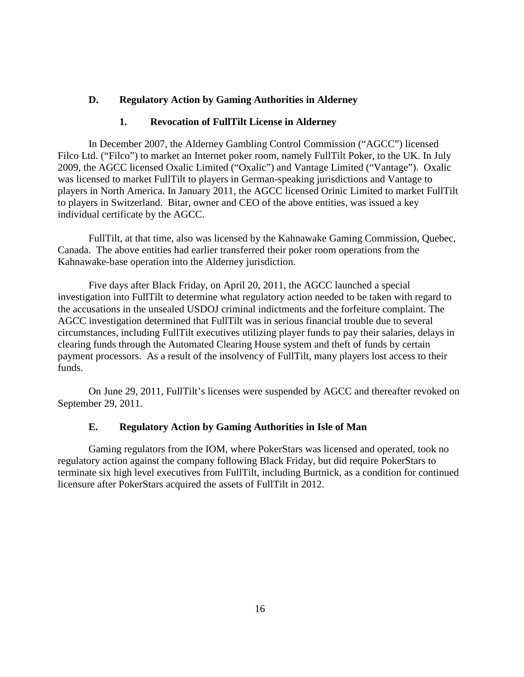### **D. Regulatory Action by Gaming Authorities in Alderney**

### **1. Revocation of FullTilt License in Alderney**

In December 2007, the Alderney Gambling Control Commission ("AGCC") licensed Filco Ltd. ("Filco") to market an Internet poker room, namely FullTilt Poker, to the UK. In July 2009, the AGCC licensed Oxalic Limited ("Oxalic") and Vantage Limited ("Vantage"). Oxalic was licensed to market FullTilt to players in German-speaking jurisdictions and Vantage to players in North America. In January 2011, the AGCC licensed Orinic Limited to market FullTilt to players in Switzerland. Bitar, owner and CEO of the above entities, was issued a key individual certificate by the AGCC.

FullTilt, at that time, also was licensed by the Kahnawake Gaming Commission, Quebec, Canada. The above entities had earlier transferred their poker room operations from the Kahnawake-base operation into the Alderney jurisdiction.

Five days after Black Friday, on April 20, 2011, the AGCC launched a special investigation into FullTilt to determine what regulatory action needed to be taken with regard to the accusations in the unsealed USDOJ criminal indictments and the forfeiture complaint. The AGCC investigation determined that FullTilt was in serious financial trouble due to several circumstances, including FullTilt executives utilizing player funds to pay their salaries, delays in clearing funds through the Automated Clearing House system and theft of funds by certain payment processors. As a result of the insolvency of FullTilt, many players lost access to their funds.

On June 29, 2011, FullTilt's licenses were suspended by AGCC and thereafter revoked on September 29, 2011.

### **E. Regulatory Action by Gaming Authorities in Isle of Man**

Gaming regulators from the IOM, where PokerStars was licensed and operated, took no regulatory action against the company following Black Friday, but did require PokerStars to terminate six high level executives from FullTilt, including Burtnick, as a condition for continued licensure after PokerStars acquired the assets of FullTilt in 2012.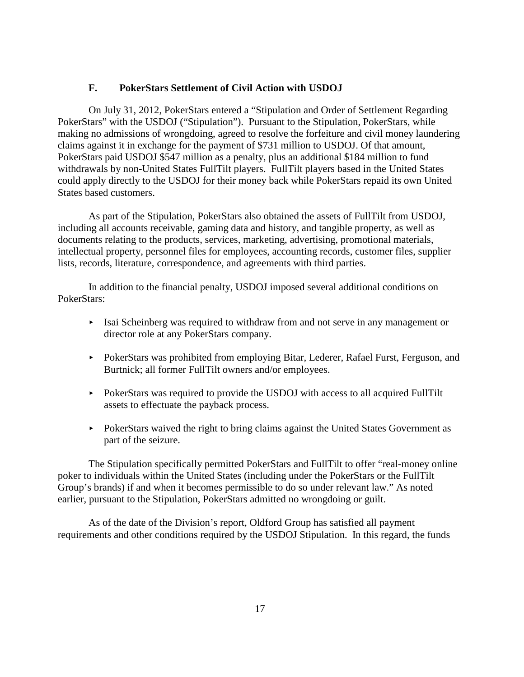### **F. PokerStars Settlement of Civil Action with USDOJ**

On July 31, 2012, PokerStars entered a "Stipulation and Order of Settlement Regarding PokerStars" with the USDOJ ("Stipulation"). Pursuant to the Stipulation, PokerStars, while making no admissions of wrongdoing, agreed to resolve the forfeiture and civil money laundering claims against it in exchange for the payment of \$731 million to USDOJ. Of that amount, PokerStars paid USDOJ \$547 million as a penalty, plus an additional \$184 million to fund withdrawals by non-United States FullTilt players. FullTilt players based in the United States could apply directly to the USDOJ for their money back while PokerStars repaid its own United States based customers.

As part of the Stipulation, PokerStars also obtained the assets of FullTilt from USDOJ, including all accounts receivable, gaming data and history, and tangible property, as well as documents relating to the products, services, marketing, advertising, promotional materials, intellectual property, personnel files for employees, accounting records, customer files, supplier lists, records, literature, correspondence, and agreements with third parties.

In addition to the financial penalty, USDOJ imposed several additional conditions on PokerStars:

- $\blacktriangleright$  Isai Scheinberg was required to withdraw from and not serve in any management or director role at any PokerStars company.
- PokerStars was prohibited from employing Bitar, Lederer, Rafael Furst, Ferguson, and Burtnick; all former FullTilt owners and/or employees.
- PokerStars was required to provide the USDOJ with access to all acquired FullTilt assets to effectuate the payback process.
- PokerStars waived the right to bring claims against the United States Government as part of the seizure.

The Stipulation specifically permitted PokerStars and FullTilt to offer "real-money online poker to individuals within the United States (including under the PokerStars or the FullTilt Group's brands) if and when it becomes permissible to do so under relevant law." As noted earlier, pursuant to the Stipulation, PokerStars admitted no wrongdoing or guilt.

As of the date of the Division's report, Oldford Group has satisfied all payment requirements and other conditions required by the USDOJ Stipulation. In this regard, the funds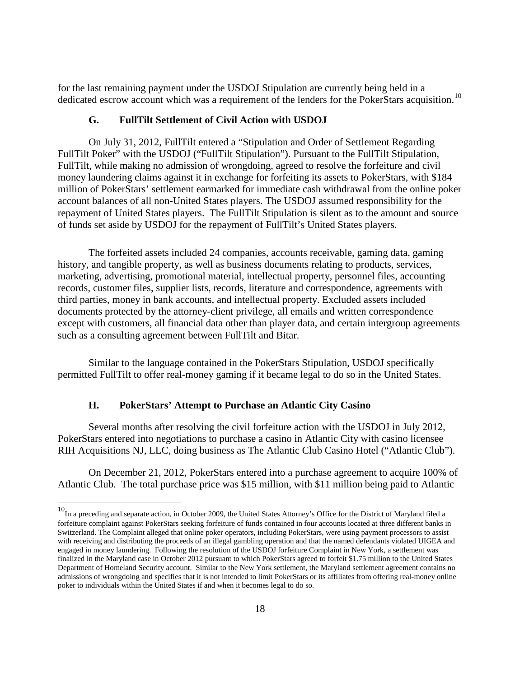for the last remaining payment under the USDOJ Stipulation are currently being held in a dedicated escrow account which was a requirement of the lenders for the PokerStars acquisition.<sup>[10](#page-18-2)</sup>

### **G. FullTilt Settlement of Civil Action with USDOJ**

On July 31, 2012, FullTilt entered a "Stipulation and Order of Settlement Regarding FullTilt Poker" with the USDOJ ("FullTilt Stipulation"). Pursuant to the FullTilt Stipulation, FullTilt, while making no admission of wrongdoing, agreed to resolve the forfeiture and civil money laundering claims against it in exchange for forfeiting its assets to PokerStars, with \$184 million of PokerStars' settlement earmarked for immediate cash withdrawal from the online poker account balances of all non-United States players. The USDOJ assumed responsibility for the repayment of United States players. The FullTilt Stipulation is silent as to the amount and source of funds set aside by USDOJ for the repayment of FullTilt's United States players.

The forfeited assets included 24 companies, accounts receivable, gaming data, gaming history, and tangible property, as well as business documents relating to products, services, marketing, advertising, promotional material, intellectual property, personnel files, accounting records, customer files, supplier lists, records, literature and correspondence, agreements with third parties, money in bank accounts, and intellectual property. Excluded assets included documents protected by the attorney-client privilege, all emails and written correspondence except with customers, all financial data other than player data, and certain intergroup agreements such as a consulting agreement between FullTilt and Bitar.

Similar to the language contained in the PokerStars Stipulation, USDOJ specifically permitted FullTilt to offer real-money gaming if it became legal to do so in the United States.

## **H. PokerStars' Attempt to Purchase an Atlantic City Casino**

Several months after resolving the civil forfeiture action with the USDOJ in July 2012, PokerStars entered into negotiations to purchase a casino in Atlantic City with casino licensee RIH Acquisitions NJ, LLC, doing business as The Atlantic Club Casino Hotel ("Atlantic Club").

On December 21, 2012, PokerStars entered into a purchase agreement to acquire 100% of Atlantic Club. The total purchase price was \$15 million, with \$11 million being paid to Atlantic

<span id="page-23-0"></span><sup>&</sup>lt;sup>10</sup>In a preceding and separate action, in October 2009, the United States Attorney's Office for the District of Maryland filed a forfeiture complaint against PokerStars seeking forfeiture of funds contained in four accounts located at three different banks in Switzerland. The Complaint alleged that online poker operators, including PokerStars, were using payment processors to assist with receiving and distributing the proceeds of an illegal gambling operation and that the named defendants violated UIGEA and engaged in money laundering. Following the resolution of the USDOJ forfeiture Complaint in New York, a settlement was finalized in the Maryland case in October 2012 pursuant to which PokerStars agreed to forfeit \$1.75 million to the United States Department of Homeland Security account. Similar to the New York settlement, the Maryland settlement agreement contains no admissions of wrongdoing and specifies that it is not intended to limit PokerStars or its affiliates from offering real-money online poker to individuals within the United States if and when it becomes legal to do so.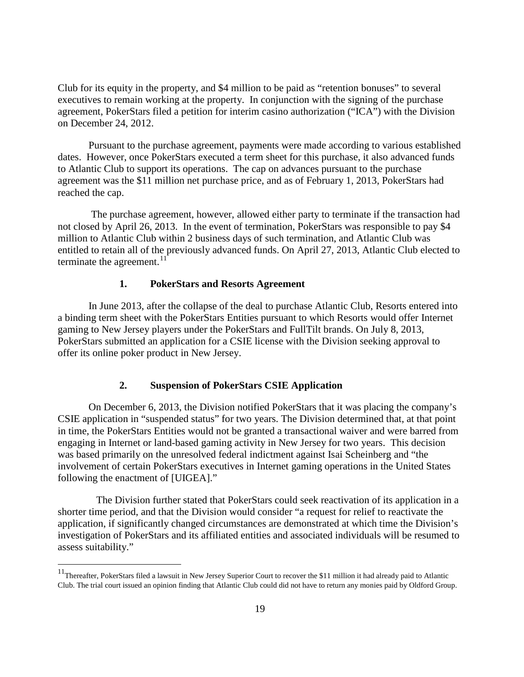Club for its equity in the property, and \$4 million to be paid as "retention bonuses" to several executives to remain working at the property. In conjunction with the signing of the purchase agreement, PokerStars filed a petition for interim casino authorization ("ICA") with the Division on December 24, 2012.

Pursuant to the purchase agreement, payments were made according to various established dates. However, once PokerStars executed a term sheet for this purchase, it also advanced funds to Atlantic Club to support its operations. The cap on advances pursuant to the purchase agreement was the \$11 million net purchase price, and as of February 1, 2013, PokerStars had reached the cap.

The purchase agreement, however, allowed either party to terminate if the transaction had not closed by April 26, 2013. In the event of termination, PokerStars was responsible to pay \$4 million to Atlantic Club within 2 business days of such termination, and Atlantic Club was entitled to retain all of the previously advanced funds. On April 27, 2013, Atlantic Club elected to terminate the agreement. $11$ 

### **1. PokerStars and Resorts Agreement**

In June 2013, after the collapse of the deal to purchase Atlantic Club, Resorts entered into a binding term sheet with the PokerStars Entities pursuant to which Resorts would offer Internet gaming to New Jersey players under the PokerStars and FullTilt brands. On July 8, 2013, PokerStars submitted an application for a CSIE license with the Division seeking approval to offer its online poker product in New Jersey.

## **2. Suspension of PokerStars CSIE Application**

On December 6, 2013, the Division notified PokerStars that it was placing the company's CSIE application in "suspended status" for two years. The Division determined that, at that point in time, the PokerStars Entities would not be granted a transactional waiver and were barred from engaging in Internet or land-based gaming activity in New Jersey for two years. This decision was based primarily on the unresolved federal indictment against Isai Scheinberg and "the involvement of certain PokerStars executives in Internet gaming operations in the United States following the enactment of [UIGEA]."

The Division further stated that PokerStars could seek reactivation of its application in a shorter time period, and that the Division would consider "a request for relief to reactivate the application, if significantly changed circumstances are demonstrated at which time the Division's investigation of PokerStars and its affiliated entities and associated individuals will be resumed to assess suitability."

<sup>&</sup>lt;sup>11</sup>Thereafter, PokerStars filed a lawsuit in New Jersey Superior Court to recover the \$11 million it had already paid to Atlantic Club. The trial court issued an opinion finding that Atlantic Club could did not have to return any monies paid by Oldford Group.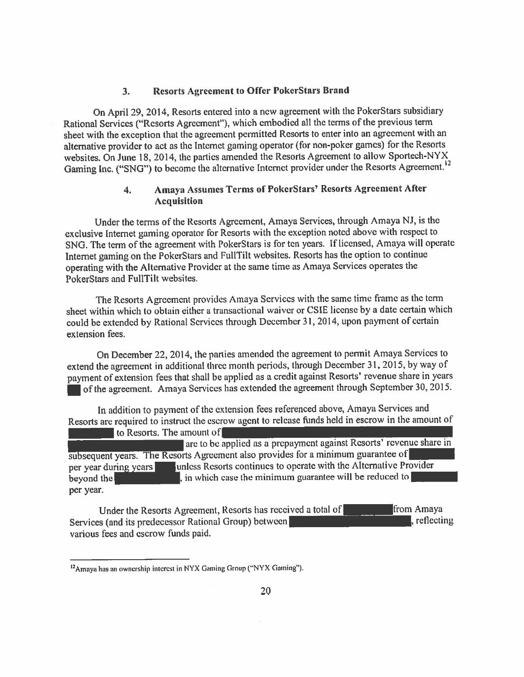### **Resorts Agreement to Offer PokerStars Brand**  $3<sub>1</sub>$

On April 29, 2014, Resorts entered into a new agreement with the PokerStars subsidiary Rational Services ("Resorts Agreement"), which embodied all the terms of the previous term sheet with the exception that the agreement permitted Resorts to enter into an agreement with an alternative provider to act as the Internet gaming operator (for non-poker games) for the Resorts websites. On June 18, 2014, the parties amended the Resorts Agreement to allow Sportech-NYX Gaming Inc. ("SNG") to become the alternative Internet provider under the Resorts Agreement.<sup>12</sup>

### **Amaya Assumes Terms of PokerStars' Resorts Agreement After**  $\mathbf{4}$ . **Acquisition**

Under the terms of the Resorts Agreement, Amaya Services, through Amaya NJ, is the exclusive Internet gaming operator for Resorts with the exception noted above with respect to SNG. The term of the agreement with PokerStars is for ten years. If licensed, Amaya will operate Internet gaming on the PokerStars and FullTilt websites. Resorts has the option to continue operating with the Alternative Provider at the same time as Amaya Services operates the PokerStars and FullTilt websites.

The Resorts Agreement provides Amaya Services with the same time frame as the term sheet within which to obtain either a transactional waiver or CSIE license by a date certain which could be extended by Rational Services through December 31, 2014, upon payment of certain extension fees.

On December 22, 2014, the parties amended the agreement to permit Amaya Services to extend the agreement in additional three month periods, through December 31, 2015, by way of payment of extension fees that shall be applied as a credit against Resorts' revenue share in years of the agreement. Amaya Services has extended the agreement through September 30, 2015.

In addition to payment of the extension fees referenced above, Amaya Services and Resorts are required to instruct the escrow agent to release funds held in escrow in the amount of to Resorts. The amount of

are to be applied as a prepayment against Resorts' revenue share in subsequent years. The Resorts Agreement also provides for a minimum guarantee of unless Resorts continues to operate with the Alternative Provider per year during years in which case the minimum guarantee will be reduced to beyond the per year.

from Amaya Under the Resorts Agreement, Resorts has received a total of  $\mathbf{R}$  reflecting Services (and its predecessor Rational Group) between various fees and escrow funds paid.

<sup>&</sup>lt;sup>12</sup> Amaya has an ownership interest in NYX Gaming Group ("NYX Gaming").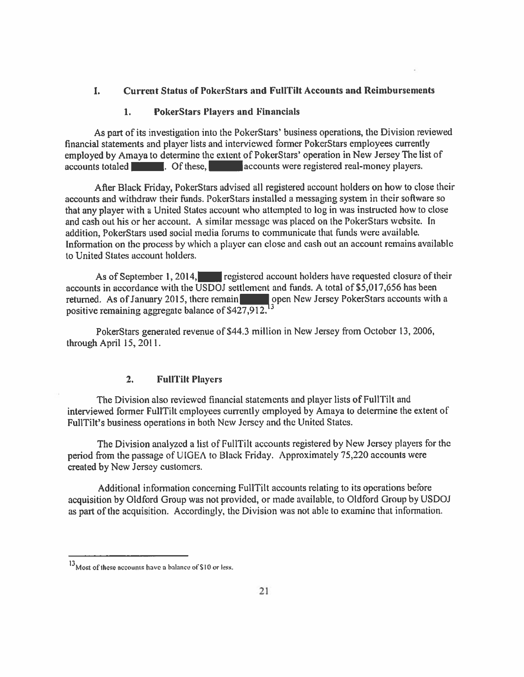### **Current Status of PokerStars and FullTilt Accounts and Reimbursements** L

#### 1. **PokerStars Players and Financials**

As part of its investigation into the PokerStars' business operations, the Division reviewed financial statements and player lists and interviewed former PokerStars employees currently employed by Amaya to determine the extent of PokerStars' operation in New Jersey The list of accounts totaled **Election**. Of these, accounts were registered real-money players.

After Black Friday, PokerStars advised all registered account holders on how to close their accounts and withdraw their funds. PokerStars installed a messaging system in their software so that any player with a United States account who attempted to log in was instructed how to close and cash out his or her account. A similar message was placed on the PokerStars website. In addition, PokerStars used social media forums to communicate that funds were available. Information on the process by which a player can close and cash out an account remains available to United States account holders.

As of September 1, 2014, registered account holders have requested closure of their accounts in accordance with the USDOJ settlement and funds. A total of \$5,017,656 has been open New Jersey PokerStars accounts with a returned. As of January 2015, there remain positive remaining aggregate balance of \$427,912.<sup>13</sup>

PokerStars generated revenue of \$44.3 million in New Jersey from October 13, 2006, through April 15, 2011.

### $2.$ **FullTilt Players**

The Division also reviewed financial statements and player lists of FullTilt and interviewed former FullTilt employees currently employed by Amaya to determine the extent of FullTilt's business operations in both New Jersey and the United States.

The Division analyzed a list of FullTilt accounts registered by New Jersey players for the period from the passage of UIGEA to Black Friday. Approximately 75,220 accounts were created by New Jersey customers.

Additional information concerning FullTilt accounts relating to its operations before acquisition by Oldford Group was not provided, or made available, to Oldford Group by USDOJ as part of the acquisition. Accordingly, the Division was not able to examine that information.

<sup>&</sup>lt;sup>13</sup> Most of these accounts have a balance of \$10 or less.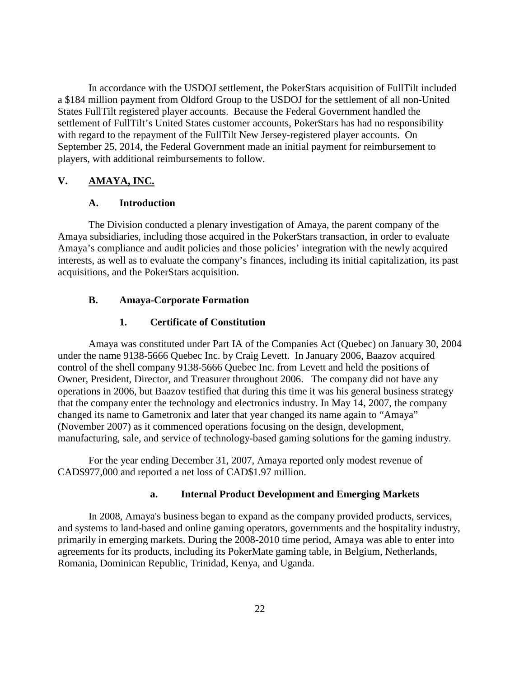In accordance with the USDOJ settlement, the PokerStars acquisition of FullTilt included a \$184 million payment from Oldford Group to the USDOJ for the settlement of all non-United States FullTilt registered player accounts. Because the Federal Government handled the settlement of FullTilt's United States customer accounts, PokerStars has had no responsibility with regard to the repayment of the FullTilt New Jersey-registered player accounts. On September 25, 2014, the Federal Government made an initial payment for reimbursement to players, with additional reimbursements to follow.

### **V. AMAYA, INC.**

### **A. Introduction**

The Division conducted a plenary investigation of Amaya, the parent company of the Amaya subsidiaries, including those acquired in the PokerStars transaction, in order to evaluate Amaya's compliance and audit policies and those policies' integration with the newly acquired interests, as well as to evaluate the company's finances, including its initial capitalization, its past acquisitions, and the PokerStars acquisition.

### **B. Amaya-Corporate Formation**

### **1. Certificate of Constitution**

Amaya was constituted under Part IA of the Companies Act (Quebec) on January 30, 2004 under the name 9138-5666 Quebec Inc. by Craig Levett. In January 2006, Baazov acquired control of the shell company 9138-5666 Quebec Inc. from Levett and held the positions of Owner, President, Director, and Treasurer throughout 2006. The company did not have any operations in 2006, but Baazov testified that during this time it was his general business strategy that the company enter the technology and electronics industry. In May 14, 2007, the company changed its name to Gametronix and later that year changed its name again to "Amaya" (November 2007) as it commenced operations focusing on the design, development, manufacturing, sale, and service of technology-based gaming solutions for the gaming industry.

For the year ending December 31, 2007, Amaya reported only modest revenue of CAD\$977,000 and reported a net loss of CAD\$1.97 million.

### **a. Internal Product Development and Emerging Markets**

In 2008, Amaya's business began to expand as the company provided products, services, and systems to land-based and online gaming operators, governments and the hospitality industry, primarily in emerging markets. During the 2008-2010 time period, Amaya was able to enter into agreements for its products, including its PokerMate gaming table, in Belgium, Netherlands, Romania, Dominican Republic, Trinidad, Kenya, and Uganda.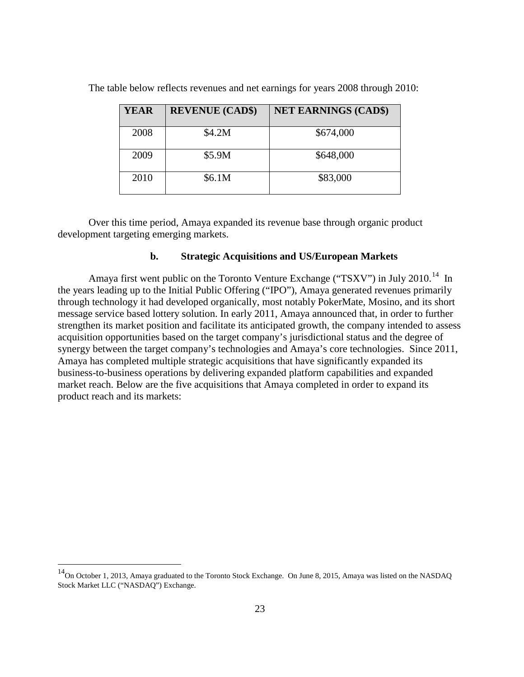| <b>YEAR</b> | <b>REVENUE (CAD\$)</b> | <b>NET EARNINGS (CAD\$)</b> |
|-------------|------------------------|-----------------------------|
| 2008        | \$4.2M                 | \$674,000                   |
| 2009        | \$5.9M                 | \$648,000                   |
| 2010        | \$6.1M                 | \$83,000                    |

The table below reflects revenues and net earnings for years 2008 through 2010:

Over this time period, Amaya expanded its revenue base through organic product development targeting emerging markets.

### **b. Strategic Acquisitions and US/European Markets**

Amaya first went public on the Toronto Venture Exchange ("TSXV") in July 2010.<sup>14</sup> In the years leading up to the Initial Public Offering ("IPO"), Amaya generated revenues primarily through technology it had developed organically, most notably PokerMate, Mosino, and its short message service based lottery solution. In early 2011, Amaya announced that, in order to further strengthen its market position and facilitate its anticipated growth, the company intended to assess acquisition opportunities based on the target company's jurisdictional status and the degree of synergy between the target company's technologies and Amaya's core technologies. Since 2011, Amaya has completed multiple strategic acquisitions that have significantly expanded its business-to-business operations by delivering expanded platform capabilities and expanded market reach. Below are the five acquisitions that Amaya completed in order to expand its product reach and its markets:

<span id="page-28-0"></span><sup>&</sup>lt;sup>14</sup>On October 1, 2013, Amaya graduated to the Toronto Stock Exchange. On June 8, 2015, Amaya was listed on the NASDAQ Stock Market LLC ("NASDAQ") Exchange.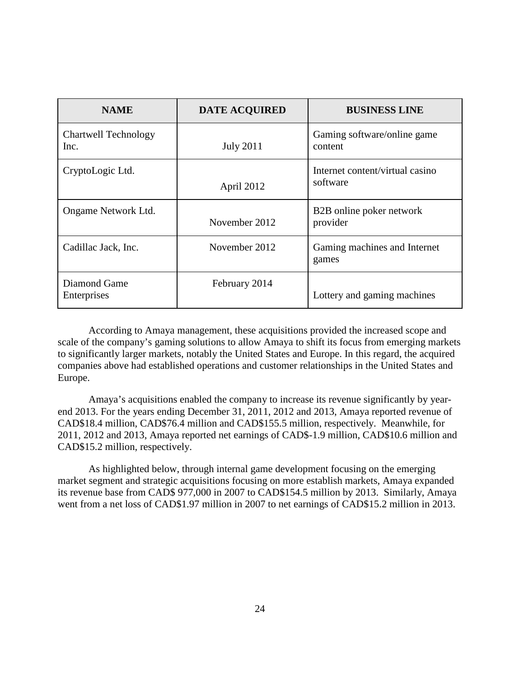| <b>NAME</b>                  | <b>DATE ACQUIRED</b> | <b>BUSINESS LINE</b>                        |
|------------------------------|----------------------|---------------------------------------------|
| Chartwell Technology<br>Inc. | <b>July 2011</b>     | Gaming software/online game<br>content      |
| CryptoLogic Ltd.             | April 2012           | Internet content/virtual casino<br>software |
| Ongame Network Ltd.          | November 2012        | B2B online poker network<br>provider        |
| Cadillac Jack, Inc.          | November 2012        | Gaming machines and Internet<br>games       |
| Diamond Game<br>Enterprises  | February 2014        | Lottery and gaming machines                 |

According to Amaya management, these acquisitions provided the increased scope and scale of the company's gaming solutions to allow Amaya to shift its focus from emerging markets to significantly larger markets, notably the United States and Europe. In this regard, the acquired companies above had established operations and customer relationships in the United States and Europe.

Amaya's acquisitions enabled the company to increase its revenue significantly by yearend 2013. For the years ending December 31, 2011, 2012 and 2013, Amaya reported revenue of CAD\$18.4 million, CAD\$76.4 million and CAD\$155.5 million, respectively. Meanwhile, for 2011, 2012 and 2013, Amaya reported net earnings of CAD\$-1.9 million, CAD\$10.6 million and CAD\$15.2 million, respectively.

As highlighted below, through internal game development focusing on the emerging market segment and strategic acquisitions focusing on more establish markets, Amaya expanded its revenue base from CAD\$ 977,000 in 2007 to CAD\$154.5 million by 2013. Similarly, Amaya went from a net loss of CAD\$1.97 million in 2007 to net earnings of CAD\$15.2 million in 2013.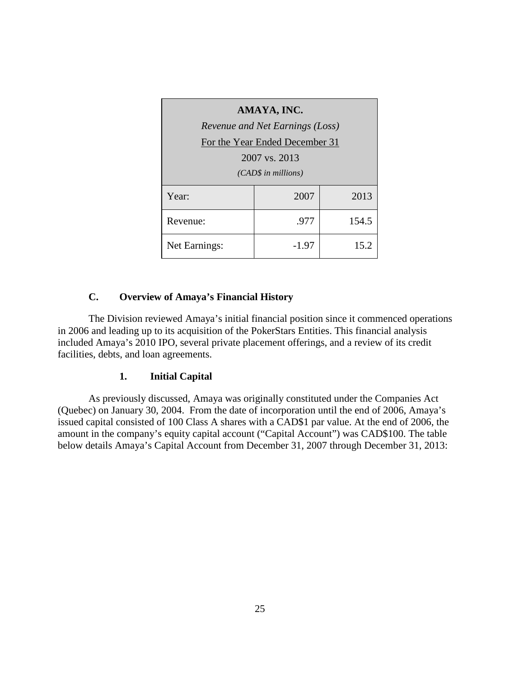| AMAYA, INC.          |                                 |       |  |  |  |  |
|----------------------|---------------------------------|-------|--|--|--|--|
|                      | Revenue and Net Earnings (Loss) |       |  |  |  |  |
|                      | For the Year Ended December 31  |       |  |  |  |  |
|                      | 2007 vs. 2013                   |       |  |  |  |  |
| $(CAD$$ in millions) |                                 |       |  |  |  |  |
| Year:                | 2007                            | 2013  |  |  |  |  |
| Revenue:             | .977                            | 154.5 |  |  |  |  |
| Net Earnings:        | $-1.97$                         | 15.2  |  |  |  |  |

# **C. Overview of Amaya's Financial History**

The Division reviewed Amaya's initial financial position since it commenced operations in 2006 and leading up to its acquisition of the PokerStars Entities. This financial analysis included Amaya's 2010 IPO, several private placement offerings, and a review of its credit facilities, debts, and loan agreements.

## **1. Initial Capital**

As previously discussed, Amaya was originally constituted under the Companies Act (Quebec) on January 30, 2004. From the date of incorporation until the end of 2006, Amaya's issued capital consisted of 100 Class A shares with a CAD\$1 par value. At the end of 2006, the amount in the company's equity capital account ("Capital Account") was CAD\$100. The table below details Amaya's Capital Account from December 31, 2007 through December 31, 2013: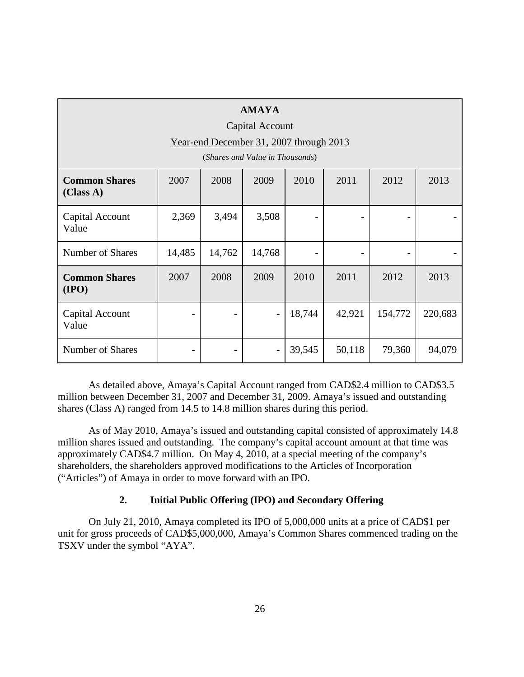| <b>AMAYA</b><br>Capital Account<br>Year-end December 31, 2007 through 2013<br>(Shares and Value in Thousands) |        |        |                          |        |        |         |         |
|---------------------------------------------------------------------------------------------------------------|--------|--------|--------------------------|--------|--------|---------|---------|
| <b>Common Shares</b><br>(Class A)                                                                             | 2007   | 2008   | 2009                     | 2010   | 2011   | 2012    | 2013    |
| Capital Account<br>Value                                                                                      | 2,369  | 3,494  | 3,508                    |        |        |         |         |
| Number of Shares                                                                                              | 14,485 | 14,762 | 14,768                   |        |        |         |         |
| <b>Common Shares</b><br>(IPO)                                                                                 | 2007   | 2008   | 2009                     | 2010   | 2011   | 2012    | 2013    |
| Capital Account<br>Value                                                                                      |        |        | $\overline{\phantom{a}}$ | 18,744 | 42,921 | 154,772 | 220,683 |
| Number of Shares                                                                                              |        |        |                          | 39,545 | 50,118 | 79,360  | 94,079  |

As detailed above, Amaya's Capital Account ranged from CAD\$2.4 million to CAD\$3.5 million between December 31, 2007 and December 31, 2009. Amaya's issued and outstanding shares (Class A) ranged from 14.5 to 14.8 million shares during this period.

As of May 2010, Amaya's issued and outstanding capital consisted of approximately 14.8 million shares issued and outstanding. The company's capital account amount at that time was approximately CAD\$4.7 million. On May 4, 2010, at a special meeting of the company's shareholders, the shareholders approved modifications to the Articles of Incorporation ("Articles") of Amaya in order to move forward with an IPO.

## **2. Initial Public Offering (IPO) and Secondary Offering**

On July 21, 2010, Amaya completed its IPO of 5,000,000 units at a price of CAD\$1 per unit for gross proceeds of CAD\$5,000,000, Amaya's Common Shares commenced trading on the TSXV under the symbol "AYA".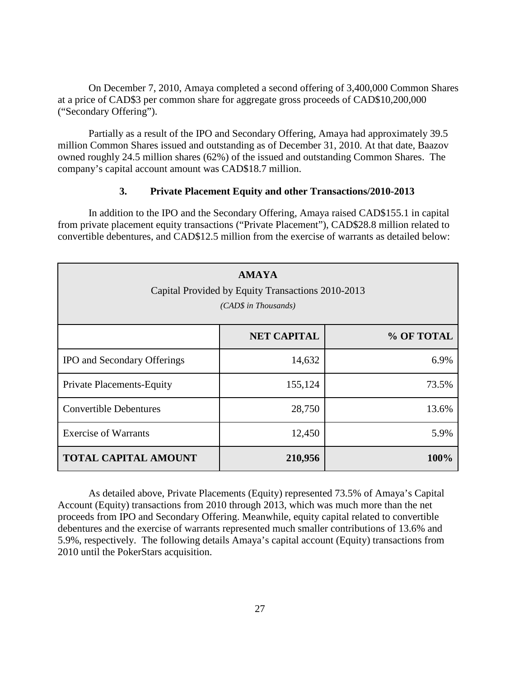On December 7, 2010, Amaya completed a second offering of 3,400,000 Common Shares at a price of CAD\$3 per common share for aggregate gross proceeds of CAD\$10,200,000 ("Secondary Offering").

Partially as a result of the IPO and Secondary Offering, Amaya had approximately 39.5 million Common Shares issued and outstanding as of December 31, 2010. At that date, Baazov owned roughly 24.5 million shares (62%) of the issued and outstanding Common Shares. The company's capital account amount was CAD\$18.7 million.

### **3. Private Placement Equity and other Transactions/2010-2013**

In addition to the IPO and the Secondary Offering, Amaya raised CAD\$155.1 in capital from private placement equity transactions ("Private Placement"), CAD\$28.8 million related to convertible debentures, and CAD\$12.5 million from the exercise of warrants as detailed below:

| <b>AMAYA</b><br>Capital Provided by Equity Transactions 2010-2013<br>(CAD\$ in Thousands) |                    |            |  |  |
|-------------------------------------------------------------------------------------------|--------------------|------------|--|--|
|                                                                                           | <b>NET CAPITAL</b> | % OF TOTAL |  |  |
| IPO and Secondary Offerings                                                               | 14,632             | 6.9%       |  |  |
| <b>Private Placements-Equity</b>                                                          | 155,124            | 73.5%      |  |  |
| <b>Convertible Debentures</b>                                                             | 28,750             | 13.6%      |  |  |
| <b>Exercise of Warrants</b>                                                               | 12,450             | 5.9%       |  |  |
| <b>TOTAL CAPITAL AMOUNT</b>                                                               | 210,956            | 100%       |  |  |

As detailed above, Private Placements (Equity) represented 73.5% of Amaya's Capital Account (Equity) transactions from 2010 through 2013, which was much more than the net proceeds from IPO and Secondary Offering. Meanwhile, equity capital related to convertible debentures and the exercise of warrants represented much smaller contributions of 13.6% and 5.9%, respectively. The following details Amaya's capital account (Equity) transactions from 2010 until the PokerStars acquisition.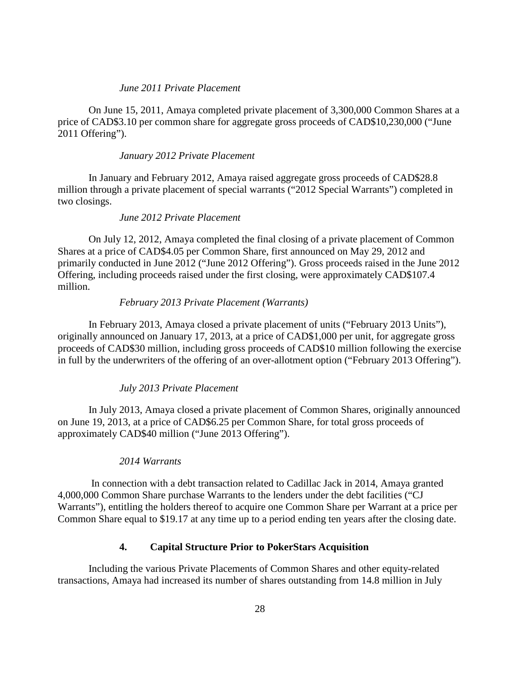### *June 2011 Private Placement*

On June 15, 2011, Amaya completed private placement of 3,300,000 Common Shares at a price of CAD\$3.10 per common share for aggregate gross proceeds of CAD\$10,230,000 ("June 2011 Offering").

### *January 2012 Private Placement*

In January and February 2012, Amaya raised aggregate gross proceeds of CAD\$28.8 million through a private placement of special warrants ("2012 Special Warrants") completed in two closings.

### *June 2012 Private Placement*

On July 12, 2012, Amaya completed the final closing of a private placement of Common Shares at a price of CAD\$4.05 per Common Share, first announced on May 29, 2012 and primarily conducted in June 2012 ("June 2012 Offering"). Gross proceeds raised in the June 2012 Offering, including proceeds raised under the first closing, were approximately CAD\$107.4 million.

### *February 2013 Private Placement (Warrants)*

In February 2013, Amaya closed a private placement of units ("February 2013 Units"), originally announced on January 17, 2013, at a price of CAD\$1,000 per unit, for aggregate gross proceeds of CAD\$30 million, including gross proceeds of CAD\$10 million following the exercise in full by the underwriters of the offering of an over-allotment option ("February 2013 Offering").

### *July 2013 Private Placement*

In July 2013, Amaya closed a private placement of Common Shares, originally announced on June 19, 2013, at a price of CAD\$6.25 per Common Share, for total gross proceeds of approximately CAD\$40 million ("June 2013 Offering").

### *2014 Warrants*

In connection with a debt transaction related to Cadillac Jack in 2014, Amaya granted 4,000,000 Common Share purchase Warrants to the lenders under the debt facilities ("CJ Warrants"), entitling the holders thereof to acquire one Common Share per Warrant at a price per Common Share equal to \$19.17 at any time up to a period ending ten years after the closing date.

# **4. Capital Structure Prior to PokerStars Acquisition**

Including the various Private Placements of Common Shares and other equity-related transactions, Amaya had increased its number of shares outstanding from 14.8 million in July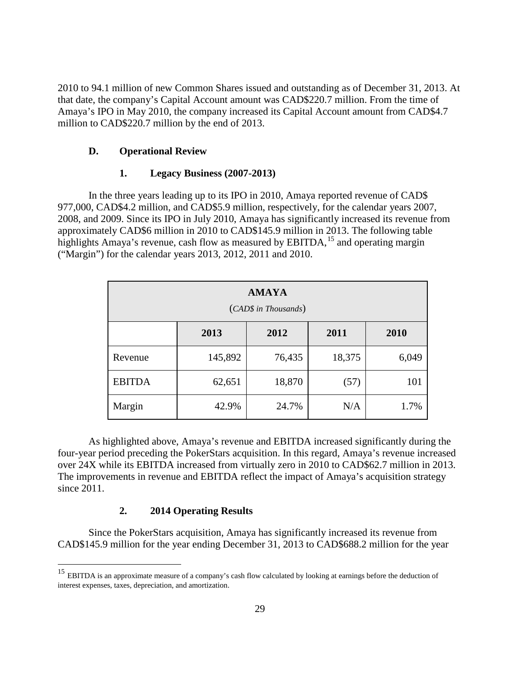2010 to 94.1 million of new Common Shares issued and outstanding as of December 31, 2013. At that date, the company's Capital Account amount was CAD\$220.7 million. From the time of Amaya's IPO in May 2010, the company increased its Capital Account amount from CAD\$4.7 million to CAD\$220.7 million by the end of 2013.

## **D. Operational Review**

## **1. Legacy Business (2007-2013)**

In the three years leading up to its IPO in 2010, Amaya reported revenue of CAD\$ 977,000, CAD\$4.2 million, and CAD\$5.9 million, respectively, for the calendar years 2007, 2008, and 2009. Since its IPO in July 2010, Amaya has significantly increased its revenue from approximately CAD\$6 million in 2010 to CAD\$145.9 million in 2013. The following table highlights Amaya's revenue, cash flow as measured by  $EBITDA$ ,<sup>[15](#page-28-0)</sup> and operating margin ("Margin") for the calendar years 2013, 2012, 2011 and 2010.

| <b>AMAYA</b><br>(CAD\$ in Thousands) |         |        |        |       |  |
|--------------------------------------|---------|--------|--------|-------|--|
|                                      | 2013    | 2012   | 2011   | 2010  |  |
| Revenue                              | 145,892 | 76,435 | 18,375 | 6,049 |  |
| <b>EBITDA</b>                        | 62,651  | 18,870 | (57)   | 101   |  |
| Margin                               | 42.9%   | 24.7%  | N/A    | 1.7%  |  |

As highlighted above, Amaya's revenue and EBITDA increased significantly during the four-year period preceding the PokerStars acquisition. In this regard, Amaya's revenue increased over 24X while its EBITDA increased from virtually zero in 2010 to CAD\$62.7 million in 2013. The improvements in revenue and EBITDA reflect the impact of Amaya's acquisition strategy since 2011.

## **2. 2014 Operating Results**

Since the PokerStars acquisition, Amaya has significantly increased its revenue from CAD\$145.9 million for the year ending December 31, 2013 to CAD\$688.2 million for the year

<sup>&</sup>lt;sup>15</sup> EBITDA is an approximate measure of a company's cash flow calculated by looking at earnings before the deduction of interest expenses, taxes, depreciation, and amortization.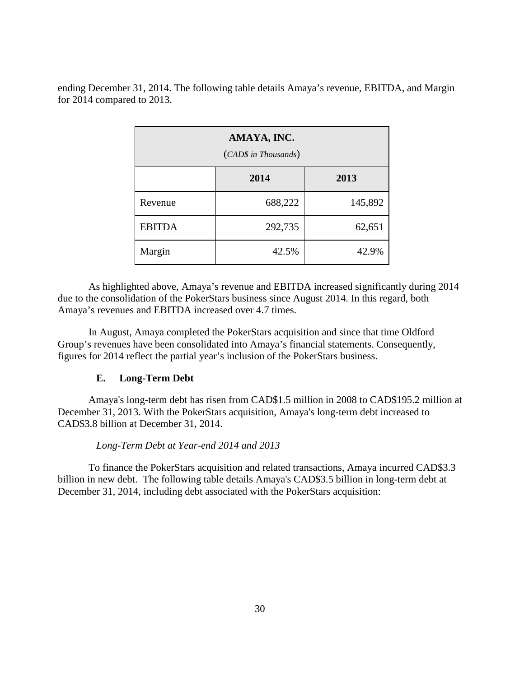ending December 31, 2014. The following table details Amaya's revenue, EBITDA, and Margin for 2014 compared to 2013.

| AMAYA, INC.<br>(CAD\$ in Thousands) |         |         |  |  |
|-------------------------------------|---------|---------|--|--|
|                                     | 2014    | 2013    |  |  |
| Revenue                             | 688,222 | 145,892 |  |  |
| <b>EBITDA</b>                       | 292,735 | 62,651  |  |  |
| Margin                              | 42.5%   | 42.9%   |  |  |

As highlighted above, Amaya's revenue and EBITDA increased significantly during 2014 due to the consolidation of the PokerStars business since August 2014. In this regard, both Amaya's revenues and EBITDA increased over 4.7 times.

In August, Amaya completed the PokerStars acquisition and since that time Oldford Group's revenues have been consolidated into Amaya's financial statements. Consequently, figures for 2014 reflect the partial year's inclusion of the PokerStars business.

## **E. Long-Term Debt**

Amaya's long-term debt has risen from CAD\$1.5 million in 2008 to CAD\$195.2 million at December 31, 2013. With the PokerStars acquisition, Amaya's long-term debt increased to CAD\$3.8 billion at December 31, 2014.

### *Long-Term Debt at Year-end 2014 and 2013*

To finance the PokerStars acquisition and related transactions, Amaya incurred CAD\$3.3 billion in new debt. The following table details Amaya's CAD\$3.5 billion in long-term debt at December 31, 2014, including debt associated with the PokerStars acquisition: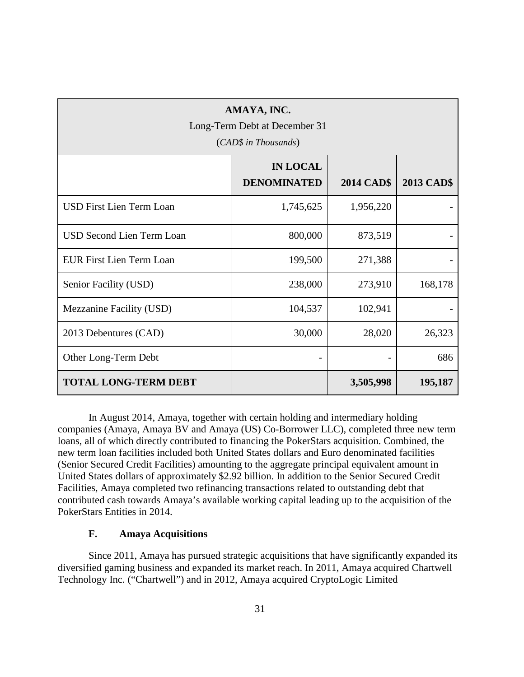| AMAYA, INC.<br>Long-Term Debt at December 31<br>(CAD\$ in Thousands) |                                       |                   |                   |  |  |
|----------------------------------------------------------------------|---------------------------------------|-------------------|-------------------|--|--|
|                                                                      | <b>IN LOCAL</b><br><b>DENOMINATED</b> | <b>2014 CAD\$</b> | <b>2013 CAD\$</b> |  |  |
| <b>USD First Lien Term Loan</b>                                      | 1,745,625                             | 1,956,220         |                   |  |  |
| <b>USD Second Lien Term Loan</b>                                     | 800,000                               | 873,519           |                   |  |  |
| <b>EUR First Lien Term Loan</b>                                      | 199,500                               | 271,388           |                   |  |  |
| Senior Facility (USD)                                                | 238,000                               | 273,910           | 168,178           |  |  |
| Mezzanine Facility (USD)                                             | 104,537                               | 102,941           |                   |  |  |
| 2013 Debentures (CAD)                                                | 30,000                                | 28,020            | 26,323            |  |  |
| Other Long-Term Debt                                                 |                                       |                   | 686               |  |  |
| <b>TOTAL LONG-TERM DEBT</b><br>3,505,998<br>195,187                  |                                       |                   |                   |  |  |

In August 2014, Amaya, together with certain holding and intermediary holding companies (Amaya, Amaya BV and Amaya (US) Co-Borrower LLC), completed three new term loans, all of which directly contributed to financing the PokerStars acquisition. Combined, the new term loan facilities included both United States dollars and Euro denominated facilities (Senior Secured Credit Facilities) amounting to the aggregate principal equivalent amount in United States dollars of approximately \$2.92 billion. In addition to the Senior Secured Credit Facilities, Amaya completed two refinancing transactions related to outstanding debt that contributed cash towards Amaya's available working capital leading up to the acquisition of the PokerStars Entities in 2014.

# **F. Amaya Acquisitions**

Since 2011, Amaya has pursued strategic acquisitions that have significantly expanded its diversified gaming business and expanded its market reach. In 2011, Amaya acquired Chartwell Technology Inc. ("Chartwell") and in 2012, Amaya acquired CryptoLogic Limited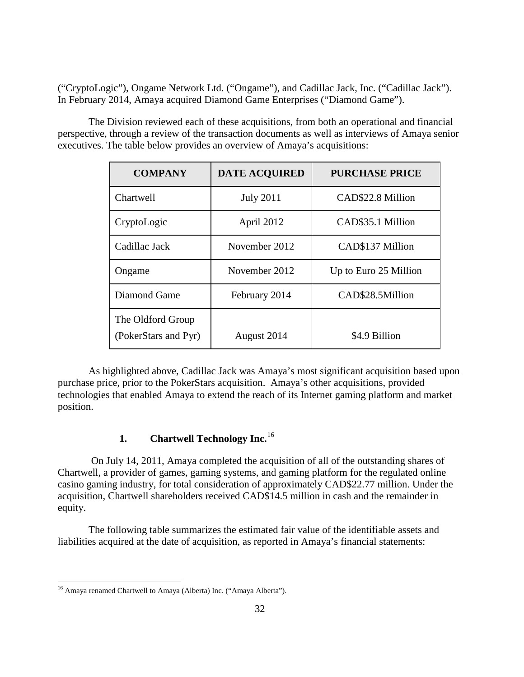("CryptoLogic"), Ongame Network Ltd. ("Ongame"), and Cadillac Jack, Inc. ("Cadillac Jack"). In February 2014, Amaya acquired Diamond Game Enterprises ("Diamond Game").

The Division reviewed each of these acquisitions, from both an operational and financial perspective, through a review of the transaction documents as well as interviews of Amaya senior executives. The table below provides an overview of Amaya's acquisitions:

| <b>COMPANY</b>                            | <b>DATE ACQUIRED</b> | <b>PURCHASE PRICE</b> |
|-------------------------------------------|----------------------|-----------------------|
| Chartwell                                 | <b>July 2011</b>     | CAD\$22.8 Million     |
| CryptoLogic                               | April 2012           | CAD\$35.1 Million     |
| Cadillac Jack                             | November 2012        | CAD\$137 Million      |
| Ongame                                    | November 2012        | Up to Euro 25 Million |
| Diamond Game                              | February 2014        | CAD\$28.5Million      |
| The Oldford Group<br>(PokerStars and Pyr) | August 2014          | \$4.9 Billion         |

As highlighted above, Cadillac Jack was Amaya's most significant acquisition based upon purchase price, prior to the PokerStars acquisition. Amaya's other acquisitions, provided technologies that enabled Amaya to extend the reach of its Internet gaming platform and market position.

# **1. Chartwell Technology Inc.**[16](#page-34-0)

On July 14, 2011, Amaya completed the acquisition of all of the outstanding shares of Chartwell, a provider of games, gaming systems, and gaming platform for the regulated online casino gaming industry, for total consideration of approximately CAD\$22.77 million. Under the acquisition, Chartwell shareholders received CAD\$14.5 million in cash and the remainder in equity.

<span id="page-37-0"></span>The following table summarizes the estimated fair value of the identifiable assets and liabilities acquired at the date of acquisition, as reported in Amaya's financial statements:

 <sup>16</sup> Amaya renamed Chartwell to Amaya (Alberta) Inc. ("Amaya Alberta").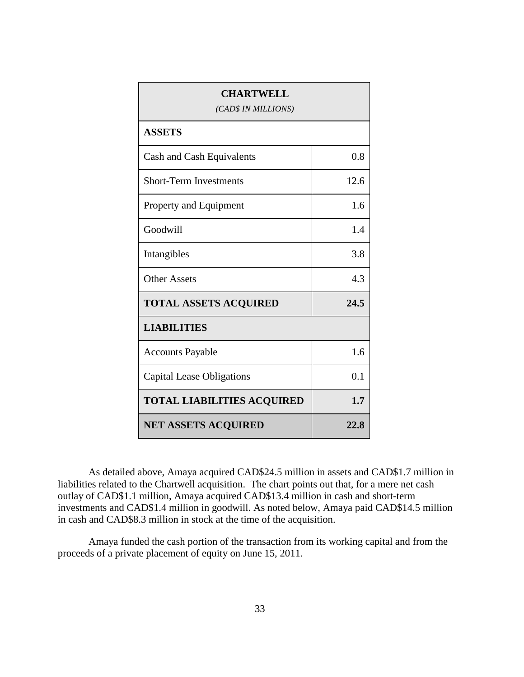| <b>CHARTWELL</b><br>(CAD\$ IN MILLIONS) |      |  |
|-----------------------------------------|------|--|
| <b>ASSETS</b>                           |      |  |
| Cash and Cash Equivalents               | 0.8  |  |
| <b>Short-Term Investments</b>           | 12.6 |  |
| Property and Equipment                  | 1.6  |  |
| Goodwill                                | 1.4  |  |
| Intangibles                             | 3.8  |  |
| <b>Other Assets</b>                     | 4.3  |  |
| <b>TOTAL ASSETS ACQUIRED</b>            | 24.5 |  |
| <b>LIABILITIES</b>                      |      |  |
| <b>Accounts Payable</b>                 | 1.6  |  |
| <b>Capital Lease Obligations</b>        | 0.1  |  |
| <b>TOTAL LIABILITIES ACQUIRED</b>       | 1.7  |  |
| <b>NET ASSETS ACQUIRED</b>              | 22.8 |  |

As detailed above, Amaya acquired CAD\$24.5 million in assets and CAD\$1.7 million in liabilities related to the Chartwell acquisition. The chart points out that, for a mere net cash outlay of CAD\$1.1 million, Amaya acquired CAD\$13.4 million in cash and short-term investments and CAD\$1.4 million in goodwill. As noted below, Amaya paid CAD\$14.5 million in cash and CAD\$8.3 million in stock at the time of the acquisition.

Amaya funded the cash portion of the transaction from its working capital and from the proceeds of a private placement of equity on June 15, 2011.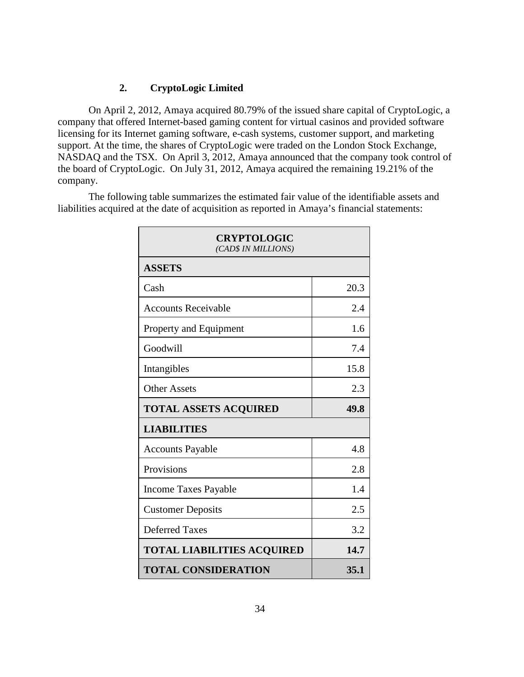# **2. CryptoLogic Limited**

On April 2, 2012, Amaya acquired 80.79% of the issued share capital of CryptoLogic, a company that offered Internet-based gaming content for virtual casinos and provided software licensing for its Internet gaming software, e-cash systems, customer support, and marketing support. At the time, the shares of CryptoLogic were traded on the London Stock Exchange, NASDAQ and the TSX. On April 3, 2012, Amaya announced that the company took control of the board of CryptoLogic. On July 31, 2012, Amaya acquired the remaining 19.21% of the company.

The following table summarizes the estimated fair value of the identifiable assets and liabilities acquired at the date of acquisition as reported in Amaya's financial statements:

| <b>CRYPTOLOGIC</b><br>(CAD\$ IN MILLIONS) |      |  |
|-------------------------------------------|------|--|
| <b>ASSETS</b>                             |      |  |
| Cash                                      | 20.3 |  |
| <b>Accounts Receivable</b>                | 2.4  |  |
| Property and Equipment                    | 1.6  |  |
| Goodwill                                  | 7.4  |  |
| Intangibles                               | 15.8 |  |
| <b>Other Assets</b>                       | 2.3  |  |
| <b>TOTAL ASSETS ACQUIRED</b>              | 49.8 |  |
| <b>LIABILITIES</b>                        |      |  |
| <b>Accounts Payable</b>                   | 4.8  |  |
| Provisions                                | 2.8  |  |
| <b>Income Taxes Payable</b>               | 1.4  |  |
| <b>Customer Deposits</b>                  | 2.5  |  |
| <b>Deferred Taxes</b>                     | 3.2  |  |
| <b>TOTAL LIABILITIES ACQUIRED</b>         | 14.7 |  |
| <b>TOTAL CONSIDERATION</b>                | 35.1 |  |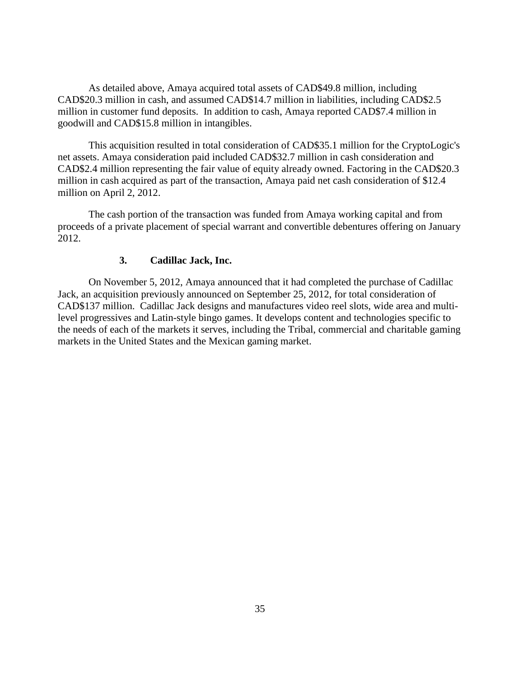As detailed above, Amaya acquired total assets of CAD\$49.8 million, including CAD\$20.3 million in cash, and assumed CAD\$14.7 million in liabilities, including CAD\$2.5 million in customer fund deposits. In addition to cash, Amaya reported CAD\$7.4 million in goodwill and CAD\$15.8 million in intangibles.

This acquisition resulted in total consideration of CAD\$35.1 million for the CryptoLogic's net assets. Amaya consideration paid included CAD\$32.7 million in cash consideration and CAD\$2.4 million representing the fair value of equity already owned. Factoring in the CAD\$20.3 million in cash acquired as part of the transaction, Amaya paid net cash consideration of \$12.4 million on April 2, 2012.

The cash portion of the transaction was funded from Amaya working capital and from proceeds of a private placement of special warrant and convertible debentures offering on January 2012.

# **3. Cadillac Jack, Inc.**

On November 5, 2012, Amaya announced that it had completed the purchase of Cadillac Jack, an acquisition previously announced on September 25, 2012, for total consideration of CAD\$137 million. Cadillac Jack designs and manufactures video reel slots, wide area and multilevel progressives and Latin-style bingo games. It develops content and technologies specific to the needs of each of the markets it serves, including the Tribal, commercial and charitable gaming markets in the United States and the Mexican gaming market.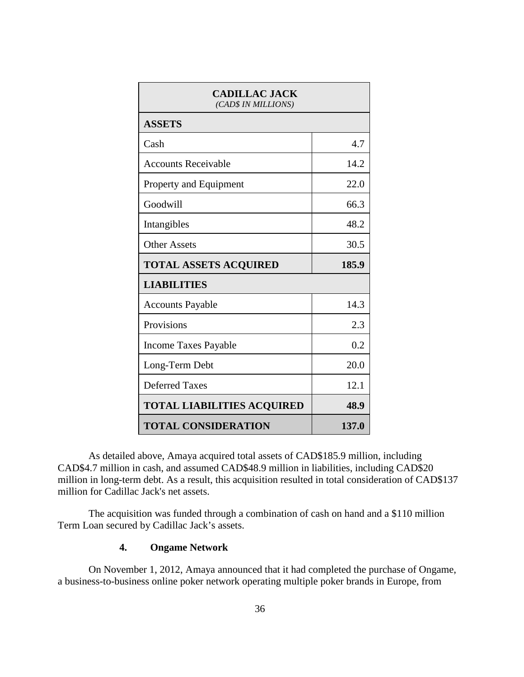| <b>CADILLAC JACK</b><br>(CAD\$ IN MILLIONS) |       |  |
|---------------------------------------------|-------|--|
| <b>ASSETS</b>                               |       |  |
| Cash                                        | 4.7   |  |
| <b>Accounts Receivable</b>                  | 14.2  |  |
| Property and Equipment                      | 22.0  |  |
| Goodwill                                    | 66.3  |  |
| Intangibles                                 | 48.2  |  |
| <b>Other Assets</b>                         | 30.5  |  |
| <b>TOTAL ASSETS ACQUIRED</b>                | 185.9 |  |
| <b>LIABILITIES</b>                          |       |  |
| <b>Accounts Payable</b>                     | 14.3  |  |
| Provisions                                  | 2.3   |  |
| <b>Income Taxes Payable</b>                 | 0.2   |  |
|                                             |       |  |
| Long-Term Debt                              | 20.0  |  |
| <b>Deferred Taxes</b>                       | 12.1  |  |
| <b>TOTAL LIABILITIES ACQUIRED</b>           | 48.9  |  |

As detailed above, Amaya acquired total assets of CAD\$185.9 million, including CAD\$4.7 million in cash, and assumed CAD\$48.9 million in liabilities, including CAD\$20 million in long-term debt. As a result, this acquisition resulted in total consideration of CAD\$137 million for Cadillac Jack's net assets.

The acquisition was funded through a combination of cash on hand and a \$110 million Term Loan secured by Cadillac Jack's assets.

# **4. Ongame Network**

On November 1, 2012, Amaya announced that it had completed the purchase of Ongame, a business-to-business online poker network operating multiple poker brands in Europe, from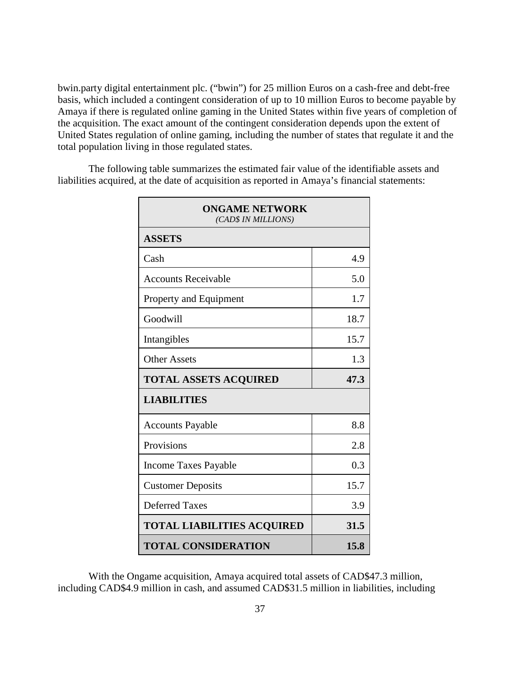bwin.party digital entertainment plc. ("bwin") for 25 million Euros on a cash-free and debt-free basis, which included a contingent consideration of up to 10 million Euros to become payable by Amaya if there is regulated online gaming in the United States within five years of completion of the acquisition. The exact amount of the contingent consideration depends upon the extent of United States regulation of online gaming, including the number of states that regulate it and the total population living in those regulated states.

| <b>ONGAME NETWORK</b><br>(CAD\$ IN MILLIONS) |      |  |
|----------------------------------------------|------|--|
| <b>ASSETS</b>                                |      |  |
| Cash                                         | 4.9  |  |
| <b>Accounts Receivable</b>                   | 5.0  |  |
| Property and Equipment                       | 1.7  |  |
| Goodwill                                     | 18.7 |  |
| Intangibles                                  | 15.7 |  |
| <b>Other Assets</b>                          | 1.3  |  |
| <b>TOTAL ASSETS ACQUIRED</b>                 | 47.3 |  |
| <b>LIABILITIES</b>                           |      |  |
| <b>Accounts Payable</b>                      | 8.8  |  |
| Provisions                                   | 2.8  |  |
| <b>Income Taxes Payable</b>                  | 0.3  |  |
| <b>Customer Deposits</b>                     | 15.7 |  |
| <b>Deferred Taxes</b>                        | 3.9  |  |
| <b>TOTAL LIABILITIES ACQUIRED</b>            | 31.5 |  |
| <b>TOTAL CONSIDERATION</b>                   | 15.8 |  |

The following table summarizes the estimated fair value of the identifiable assets and liabilities acquired, at the date of acquisition as reported in Amaya's financial statements:

With the Ongame acquisition, Amaya acquired total assets of CAD\$47.3 million, including CAD\$4.9 million in cash, and assumed CAD\$31.5 million in liabilities, including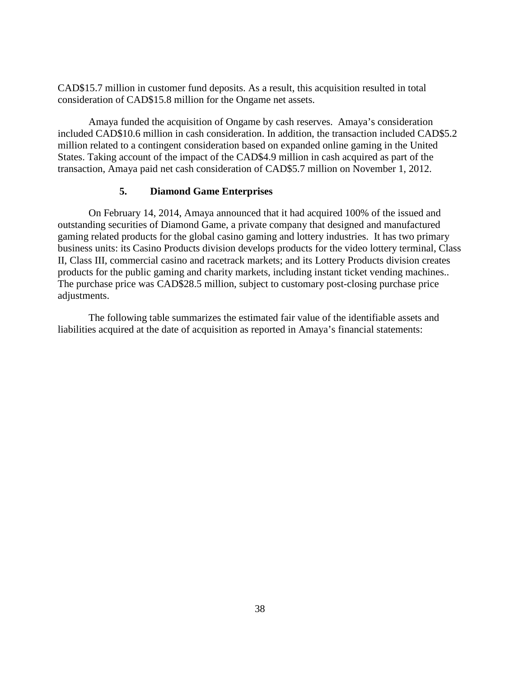CAD\$15.7 million in customer fund deposits. As a result, this acquisition resulted in total consideration of CAD\$15.8 million for the Ongame net assets.

Amaya funded the acquisition of Ongame by cash reserves. Amaya's consideration included CAD\$10.6 million in cash consideration. In addition, the transaction included CAD\$5.2 million related to a contingent consideration based on expanded online gaming in the United States. Taking account of the impact of the CAD\$4.9 million in cash acquired as part of the transaction, Amaya paid net cash consideration of CAD\$5.7 million on November 1, 2012.

# **5. Diamond Game Enterprises**

On February 14, 2014, Amaya announced that it had acquired 100% of the issued and outstanding securities of Diamond Game, a private company that designed and manufactured gaming related products for the global casino gaming and lottery industries. It has two primary business units: its Casino Products division develops products for the video lottery terminal, Class II, Class III, commercial casino and racetrack markets; and its Lottery Products division creates products for the public gaming and charity markets, including instant ticket vending machines.. The purchase price was CAD\$28.5 million, subject to customary post-closing purchase price adjustments.

The following table summarizes the estimated fair value of the identifiable assets and liabilities acquired at the date of acquisition as reported in Amaya's financial statements: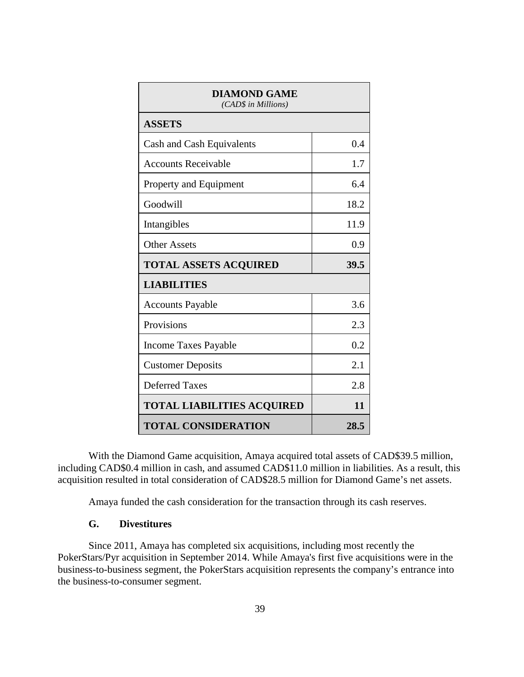| <b>DIAMOND GAME</b><br>(CAD\$ in Millions) |      |  |
|--------------------------------------------|------|--|
| <b>ASSETS</b>                              |      |  |
| Cash and Cash Equivalents                  | 0.4  |  |
| <b>Accounts Receivable</b>                 | 1.7  |  |
| Property and Equipment                     | 6.4  |  |
| Goodwill                                   | 18.2 |  |
| Intangibles                                | 11.9 |  |
| <b>Other Assets</b>                        | 0.9  |  |
|                                            |      |  |
| <b>TOTAL ASSETS ACQUIRED</b>               | 39.5 |  |
| <b>LIABILITIES</b>                         |      |  |
| <b>Accounts Payable</b>                    | 3.6  |  |
| Provisions                                 | 2.3  |  |
| <b>Income Taxes Payable</b>                | 0.2  |  |
| <b>Customer Deposits</b>                   | 2.1  |  |
| <b>Deferred Taxes</b>                      | 2.8  |  |
| <b>TOTAL LIABILITIES ACQUIRED</b>          | 11   |  |

With the Diamond Game acquisition, Amaya acquired total assets of CAD\$39.5 million, including CAD\$0.4 million in cash, and assumed CAD\$11.0 million in liabilities. As a result, this acquisition resulted in total consideration of CAD\$28.5 million for Diamond Game's net assets.

Amaya funded the cash consideration for the transaction through its cash reserves.

#### **G. Divestitures**

Since 2011, Amaya has completed six acquisitions, including most recently the PokerStars/Pyr acquisition in September 2014. While Amaya's first five acquisitions were in the business-to-business segment, the PokerStars acquisition represents the company's entrance into the business-to-consumer segment.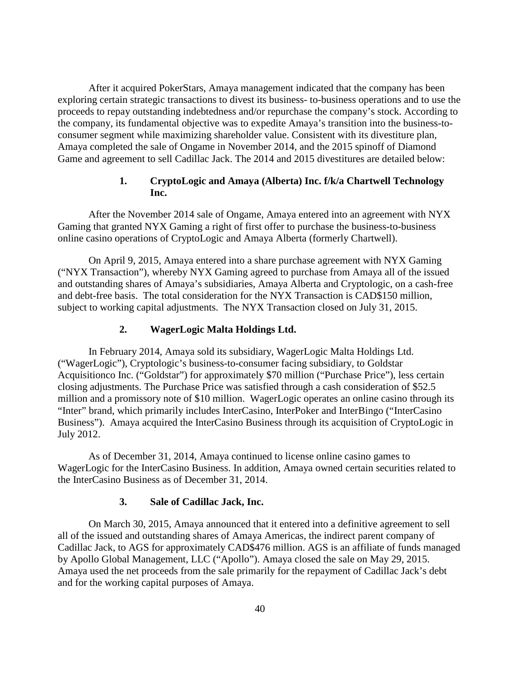After it acquired PokerStars, Amaya management indicated that the company has been exploring certain strategic transactions to divest its business- to-business operations and to use the proceeds to repay outstanding indebtedness and/or repurchase the company's stock. According to the company, its fundamental objective was to expedite Amaya's transition into the business-toconsumer segment while maximizing shareholder value. Consistent with its divestiture plan, Amaya completed the sale of Ongame in November 2014, and the 2015 spinoff of Diamond Game and agreement to sell Cadillac Jack. The 2014 and 2015 divestitures are detailed below:

#### **1. CryptoLogic and Amaya (Alberta) Inc. f/k/a Chartwell Technology Inc.**

After the November 2014 sale of Ongame, Amaya entered into an agreement with NYX Gaming that granted NYX Gaming a right of first offer to purchase the business-to-business online casino operations of CryptoLogic and Amaya Alberta (formerly Chartwell).

On April 9, 2015, Amaya entered into a share purchase agreement with NYX Gaming ("NYX Transaction"), whereby NYX Gaming agreed to purchase from Amaya all of the issued and outstanding shares of Amaya's subsidiaries, Amaya Alberta and Cryptologic, on a cash-free and debt-free basis. The total consideration for the NYX Transaction is CAD\$150 million, subject to working capital adjustments. The NYX Transaction closed on July 31, 2015.

# **2. WagerLogic Malta Holdings Ltd.**

In February 2014, Amaya sold its subsidiary, WagerLogic Malta Holdings Ltd. ("WagerLogic"), Cryptologic's business-to-consumer facing subsidiary, to Goldstar Acquisitionco Inc. ("Goldstar") for approximately \$70 million ("Purchase Price"), less certain closing adjustments. The Purchase Price was satisfied through a cash consideration of \$52.5 million and a promissory note of \$10 million. WagerLogic operates an online casino through its "Inter" brand, which primarily includes InterCasino, InterPoker and InterBingo ("InterCasino Business"). Amaya acquired the InterCasino Business through its acquisition of CryptoLogic in July 2012.

As of December 31, 2014, Amaya continued to license online casino games to WagerLogic for the InterCasino Business. In addition, Amaya owned certain securities related to the InterCasino Business as of December 31, 2014.

#### **3. Sale of Cadillac Jack, Inc.**

On March 30, 2015, Amaya announced that it entered into a definitive agreement to sell all of the issued and outstanding shares of Amaya Americas, the indirect parent company of Cadillac Jack, to AGS for approximately CAD\$476 million. AGS is an affiliate of funds managed by Apollo Global Management, LLC ("Apollo"). Amaya closed the sale on May 29, 2015. Amaya used the net proceeds from the sale primarily for the repayment of Cadillac Jack's debt and for the working capital purposes of Amaya.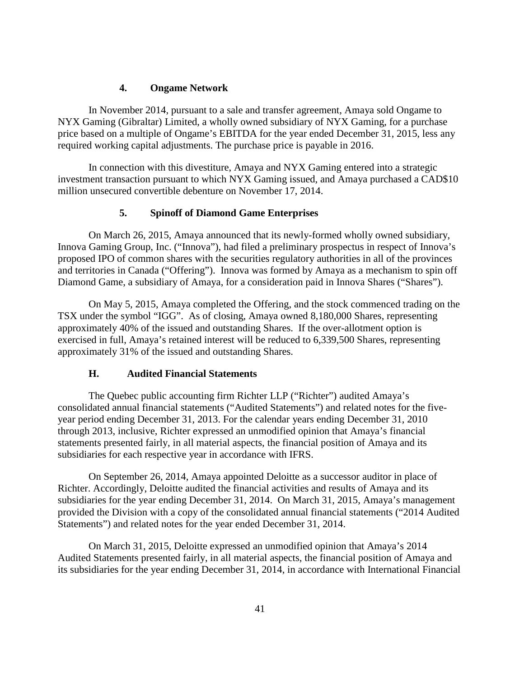#### **4. Ongame Network**

In November 2014, pursuant to a sale and transfer agreement, Amaya sold Ongame to NYX Gaming (Gibraltar) Limited, a wholly owned subsidiary of NYX Gaming, for a purchase price based on a multiple of Ongame's EBITDA for the year ended December 31, 2015, less any required working capital adjustments. The purchase price is payable in 2016.

In connection with this divestiture, Amaya and NYX Gaming entered into a strategic investment transaction pursuant to which NYX Gaming issued, and Amaya purchased a CAD\$10 million unsecured convertible debenture on November 17, 2014.

### **5. Spinoff of Diamond Game Enterprises**

On March 26, 2015, Amaya announced that its newly-formed wholly owned subsidiary, Innova Gaming Group, Inc. ("Innova"), had filed a preliminary prospectus in respect of Innova's proposed IPO of common shares with the securities regulatory authorities in all of the provinces and territories in Canada ("Offering"). Innova was formed by Amaya as a mechanism to spin off Diamond Game, a subsidiary of Amaya, for a consideration paid in Innova Shares ("Shares").

On May 5, 2015, Amaya completed the Offering, and the stock commenced trading on the TSX under the symbol "IGG". As of closing, Amaya owned 8,180,000 Shares, representing approximately 40% of the issued and outstanding Shares. If the over-allotment option is exercised in full, Amaya's retained interest will be reduced to 6,339,500 Shares, representing approximately 31% of the issued and outstanding Shares.

#### **H. Audited Financial Statements**

The Quebec public accounting firm Richter LLP ("Richter") audited Amaya's consolidated annual financial statements ("Audited Statements") and related notes for the fiveyear period ending December 31, 2013. For the calendar years ending December 31, 2010 through 2013, inclusive, Richter expressed an unmodified opinion that Amaya's financial statements presented fairly, in all material aspects, the financial position of Amaya and its subsidiaries for each respective year in accordance with IFRS.

On September 26, 2014, Amaya appointed Deloitte as a successor auditor in place of Richter. Accordingly, Deloitte audited the financial activities and results of Amaya and its subsidiaries for the year ending December 31, 2014. On March 31, 2015, Amaya's management provided the Division with a copy of the consolidated annual financial statements ("2014 Audited Statements") and related notes for the year ended December 31, 2014.

On March 31, 2015, Deloitte expressed an unmodified opinion that Amaya's 2014 Audited Statements presented fairly, in all material aspects, the financial position of Amaya and its subsidiaries for the year ending December 31, 2014, in accordance with International Financial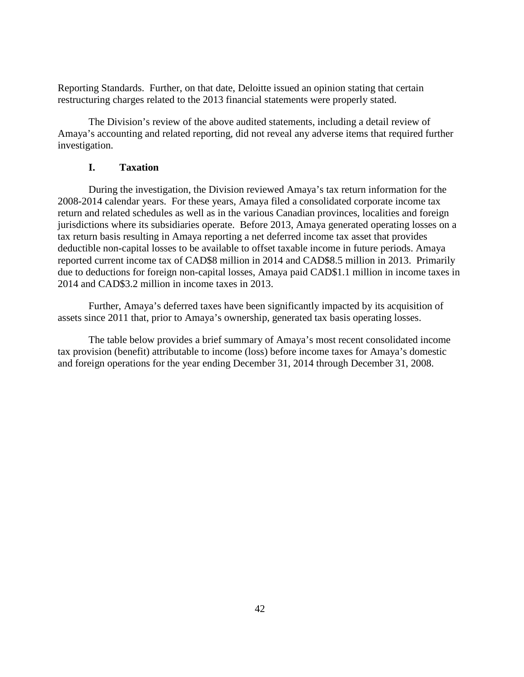Reporting Standards. Further, on that date, Deloitte issued an opinion stating that certain restructuring charges related to the 2013 financial statements were properly stated.

The Division's review of the above audited statements, including a detail review of Amaya's accounting and related reporting, did not reveal any adverse items that required further investigation.

# **I. Taxation**

During the investigation, the Division reviewed Amaya's tax return information for the 2008-2014 calendar years. For these years, Amaya filed a consolidated corporate income tax return and related schedules as well as in the various Canadian provinces, localities and foreign jurisdictions where its subsidiaries operate. Before 2013, Amaya generated operating losses on a tax return basis resulting in Amaya reporting a net deferred income tax asset that provides deductible non-capital losses to be available to offset taxable income in future periods. Amaya reported current income tax of CAD\$8 million in 2014 and CAD\$8.5 million in 2013. Primarily due to deductions for foreign non-capital losses, Amaya paid CAD\$1.1 million in income taxes in 2014 and CAD\$3.2 million in income taxes in 2013.

Further, Amaya's deferred taxes have been significantly impacted by its acquisition of assets since 2011 that, prior to Amaya's ownership, generated tax basis operating losses.

The table below provides a brief summary of Amaya's most recent consolidated income tax provision (benefit) attributable to income (loss) before income taxes for Amaya's domestic and foreign operations for the year ending December 31, 2014 through December 31, 2008.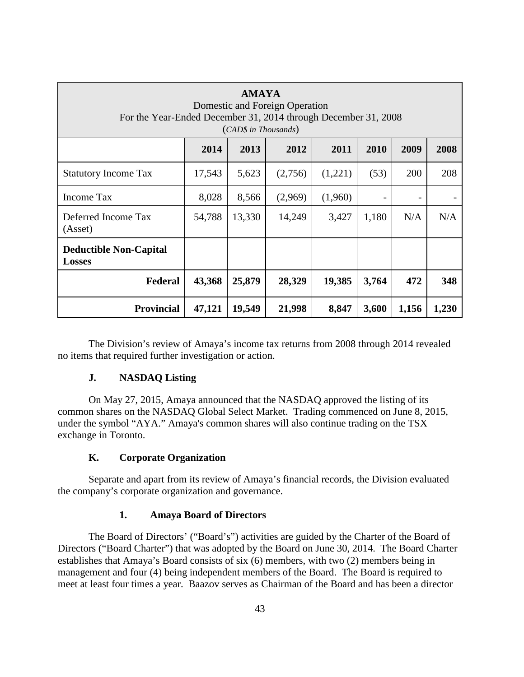| <b>AMAYA</b><br>Domestic and Foreign Operation<br>For the Year-Ended December 31, 2014 through December 31, 2008<br>(CAD\$ in Thousands) |                                              |        |         |         |       |       |       |
|------------------------------------------------------------------------------------------------------------------------------------------|----------------------------------------------|--------|---------|---------|-------|-------|-------|
|                                                                                                                                          | 2014<br>2013<br>2012<br>2011<br>2010<br>2009 |        |         |         |       |       | 2008  |
| <b>Statutory Income Tax</b>                                                                                                              | 17,543                                       | 5,623  | (2,756) | (1,221) | (53)  | 200   | 208   |
| Income Tax                                                                                                                               | 8,028                                        | 8,566  | (2,969) | (1,960) |       |       |       |
| Deferred Income Tax<br>(Asset)                                                                                                           | 54,788                                       | 13,330 | 14,249  | 3,427   | 1,180 | N/A   | N/A   |
| <b>Deductible Non-Capital</b><br><b>Losses</b>                                                                                           |                                              |        |         |         |       |       |       |
| 25,879<br>3,764<br>43,368<br>28,329<br>19,385<br>472<br>Federal                                                                          |                                              |        |         |         |       | 348   |       |
| <b>Provincial</b>                                                                                                                        | 47,121                                       | 19,549 | 21,998  | 8,847   | 3,600 | 1,156 | 1,230 |

The Division's review of Amaya's income tax returns from 2008 through 2014 revealed no items that required further investigation or action.

# **J. NASDAQ Listing**

On May 27, 2015, Amaya announced that the NASDAQ approved the listing of its common shares on the NASDAQ Global Select Market. Trading commenced on June 8, 2015, under the symbol "AYA." Amaya's common shares will also continue trading on the TSX exchange in Toronto.

# **K. Corporate Organization**

Separate and apart from its review of Amaya's financial records, the Division evaluated the company's corporate organization and governance.

# **1. Amaya Board of Directors**

The Board of Directors' ("Board's") activities are guided by the Charter of the Board of Directors ("Board Charter") that was adopted by the Board on June 30, 2014. The Board Charter establishes that Amaya's Board consists of six (6) members, with two (2) members being in management and four (4) being independent members of the Board. The Board is required to meet at least four times a year. Baazov serves as Chairman of the Board and has been a director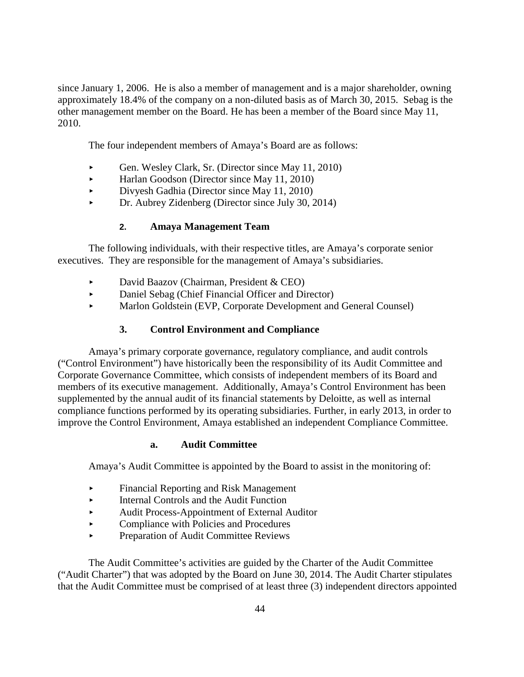since January 1, 2006. He is also a member of management and is a major shareholder, owning approximately 18.4% of the company on a non-diluted basis as of March 30, 2015. Sebag is the other management member on the Board. He has been a member of the Board since May 11, 2010.

The four independent members of Amaya's Board are as follows:

- Gen. Wesley Clark, Sr. (Director since May 11, 2010)
- Harlan Goodson (Director since May 11, 2010)
- Divyesh Gadhia (Director since May 11, 2010)
- Dr. Aubrey Zidenberg (Director since July 30, 2014)

# **2. Amaya Management Team**

The following individuals, with their respective titles, are Amaya's corporate senior executives. They are responsible for the management of Amaya's subsidiaries.

- David Baazov (Chairman, President & CEO)
- Daniel Sebag (Chief Financial Officer and Director)
- Marlon Goldstein (EVP, Corporate Development and General Counsel)

# **3. Control Environment and Compliance**

Amaya's primary corporate governance, regulatory compliance, and audit controls ("Control Environment") have historically been the responsibility of its Audit Committee and Corporate Governance Committee, which consists of independent members of its Board and members of its executive management. Additionally, Amaya's Control Environment has been supplemented by the annual audit of its financial statements by Deloitte, as well as internal compliance functions performed by its operating subsidiaries. Further, in early 2013, in order to improve the Control Environment, Amaya established an independent Compliance Committee.

# **a. Audit Committee**

Amaya's Audit Committee is appointed by the Board to assist in the monitoring of:

- Financial Reporting and Risk Management
- Internal Controls and the Audit Function
- Audit Process-Appointment of External Auditor
- Compliance with Policies and Procedures
- **Preparation of Audit Committee Reviews**

The Audit Committee's activities are guided by the Charter of the Audit Committee ("Audit Charter") that was adopted by the Board on June 30, 2014. The Audit Charter stipulates that the Audit Committee must be comprised of at least three (3) independent directors appointed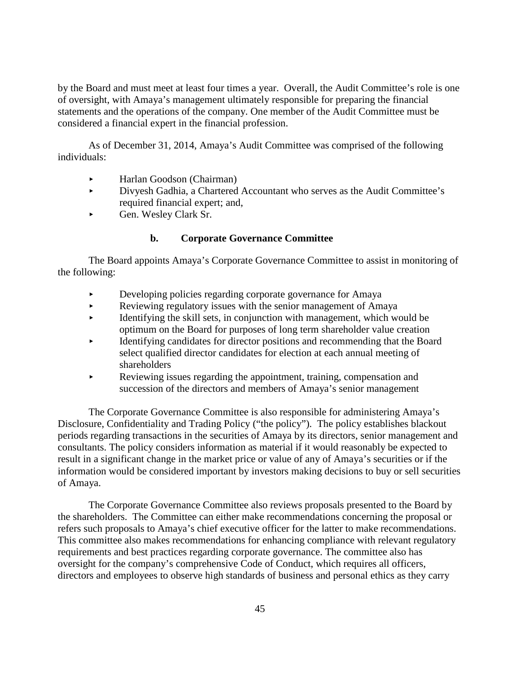by the Board and must meet at least four times a year. Overall, the Audit Committee's role is one of oversight, with Amaya's management ultimately responsible for preparing the financial statements and the operations of the company. One member of the Audit Committee must be considered a financial expert in the financial profession.

As of December 31, 2014, Amaya's Audit Committee was comprised of the following individuals:

- Harlan Goodson (Chairman)
- Divyesh Gadhia, a Chartered Accountant who serves as the Audit Committee's required financial expert; and,
- Gen. Wesley Clark Sr.

# **b. Corporate Governance Committee**

The Board appoints Amaya's Corporate Governance Committee to assist in monitoring of the following:

- Developing policies regarding corporate governance for Amaya
- Reviewing regulatory issues with the senior management of Amaya
- Identifying the skill sets, in conjunction with management, which would be optimum on the Board for purposes of long term shareholder value creation
- Identifying candidates for director positions and recommending that the Board select qualified director candidates for election at each annual meeting of shareholders
- Reviewing issues regarding the appointment, training, compensation and succession of the directors and members of Amaya's senior management

The Corporate Governance Committee is also responsible for administering Amaya's Disclosure, Confidentiality and Trading Policy ("the policy"). The policy establishes blackout periods regarding transactions in the securities of Amaya by its directors, senior management and consultants. The policy considers information as material if it would reasonably be expected to result in a significant change in the market price or value of any of Amaya's securities or if the information would be considered important by investors making decisions to buy or sell securities of Amaya.

The Corporate Governance Committee also reviews proposals presented to the Board by the shareholders. The Committee can either make recommendations concerning the proposal or refers such proposals to Amaya's chief executive officer for the latter to make recommendations. This committee also makes recommendations for enhancing compliance with relevant regulatory requirements and best practices regarding corporate governance. The committee also has oversight for the company's comprehensive Code of Conduct, which requires all officers, directors and employees to observe high standards of business and personal ethics as they carry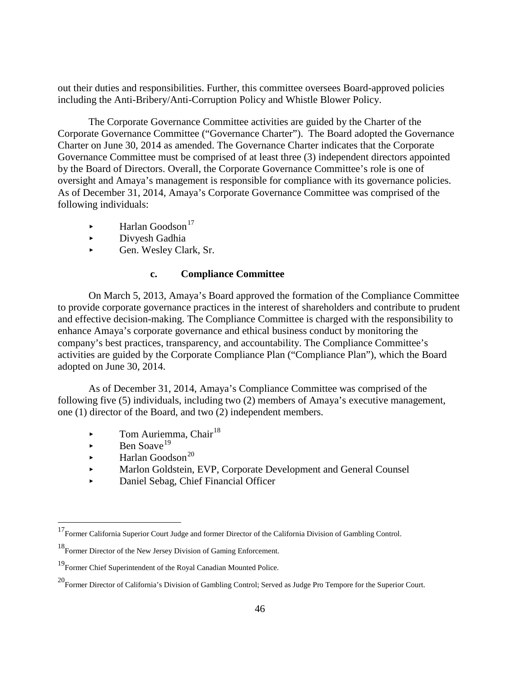out their duties and responsibilities. Further, this committee oversees Board-approved policies including the Anti-Bribery/Anti-Corruption Policy and Whistle Blower Policy.

The Corporate Governance Committee activities are guided by the Charter of the Corporate Governance Committee ("Governance Charter"). The Board adopted the Governance Charter on June 30, 2014 as amended. The Governance Charter indicates that the Corporate Governance Committee must be comprised of at least three (3) independent directors appointed by the Board of Directors. Overall, the Corporate Governance Committee's role is one of oversight and Amaya's management is responsible for compliance with its governance policies. As of December 31, 2014, Amaya's Corporate Governance Committee was comprised of the following individuals:

- $\blacktriangleright$  Harlan Goodson<sup>[17](#page-37-0)</sup>
- Divyesh Gadhia
- Gen. Wesley Clark, Sr.

# **c. Compliance Committee**

On March 5, 2013, Amaya's Board approved the formation of the Compliance Committee to provide corporate governance practices in the interest of shareholders and contribute to prudent and effective decision-making. The Compliance Committee is charged with the responsibility to enhance Amaya's corporate governance and ethical business conduct by monitoring the company's best practices, transparency, and accountability. The Compliance Committee's activities are guided by the Corporate Compliance Plan ("Compliance Plan"), which the Board adopted on June 30, 2014.

As of December 31, 2014, Amaya's Compliance Committee was comprised of the following five (5) individuals, including two (2) members of Amaya's executive management, one (1) director of the Board, and two (2) independent members.

- $\blacktriangleright$  Tom Auriemma, Chair<sup>[18](#page-51-0)</sup>
- $\blacktriangleright$  Ben Soave<sup>[19](#page-51-1)</sup>
- $\blacktriangleright$  Harlan Goodson<sup>[20](#page-51-2)</sup>
- Marlon Goldstein, EVP, Corporate Development and General Counsel
- Daniel Sebag, Chief Financial Officer

<sup>&</sup>lt;sup>17</sup>Former California Superior Court Judge and former Director of the California Division of Gambling Control.

<span id="page-51-3"></span><span id="page-51-0"></span><sup>&</sup>lt;sup>18</sup>Former Director of the New Jersey Division of Gaming Enforcement.

<span id="page-51-1"></span><sup>19</sup>Former Chief Superintendent of the Royal Canadian Mounted Police.

<span id="page-51-2"></span><sup>20</sup>Former Director of California's Division of Gambling Control; Served as Judge Pro Tempore for the Superior Court.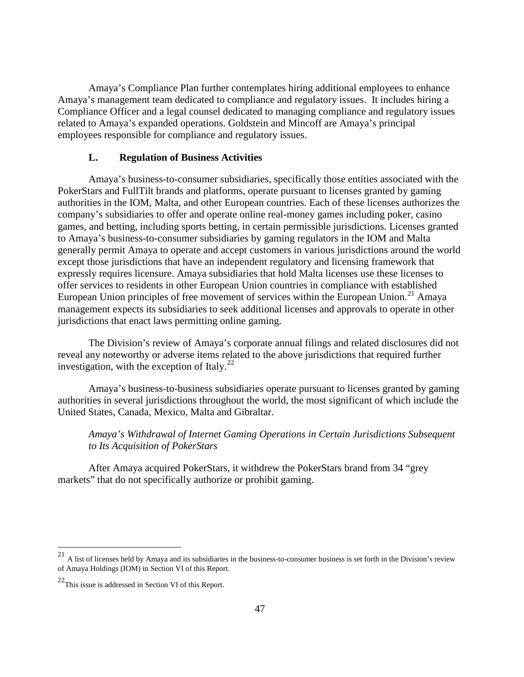Amaya's Compliance Plan further contemplates hiring additional employees to enhance Amaya's management team dedicated to compliance and regulatory issues. It includes hiring a Compliance Officer and a legal counsel dedicated to managing compliance and regulatory issues related to Amaya's expanded operations. Goldstein and Mincoff are Amaya's principal employees responsible for compliance and regulatory issues.

#### **L. Regulation of Business Activities**

Amaya's business-to-consumer subsidiaries, specifically those entities associated with the PokerStars and FullTilt brands and platforms, operate pursuant to licenses granted by gaming authorities in the IOM, Malta, and other European countries. Each of these licenses authorizes the company's subsidiaries to offer and operate online real-money games including poker, casino games, and betting, including sports betting, in certain permissible jurisdictions. Licenses granted to Amaya's business-to-consumer subsidiaries by gaming regulators in the IOM and Malta generally permit Amaya to operate and accept customers in various jurisdictions around the world except those jurisdictions that have an independent regulatory and licensing framework that expressly requires licensure. Amaya subsidiaries that hold Malta licenses use these licenses to offer services to residents in other European Union countries in compliance with established European Union principles of free movement of services within the European Union.<sup>[21](#page-51-3)</sup> Amaya management expects its subsidiaries to seek additional licenses and approvals to operate in other jurisdictions that enact laws permitting online gaming.

The Division's review of Amaya's corporate annual filings and related disclosures did not reveal any noteworthy or adverse items related to the above jurisdictions that required further investigation, with the exception of Italy. $^{22}$  $^{22}$  $^{22}$ 

Amaya's business-to-business subsidiaries operate pursuant to licenses granted by gaming authorities in several jurisdictions throughout the world, the most significant of which include the United States, Canada, Mexico, Malta and Gibraltar.

# *Amaya's Withdrawal of Internet Gaming Operations in Certain Jurisdictions Subsequent to Its Acquisition of PokerStars*

After Amaya acquired PokerStars, it withdrew the PokerStars brand from 34 "grey markets" that do not specifically authorize or prohibit gaming.

<span id="page-52-1"></span> <sup>21</sup> A list of licenses held by Amaya and its subsidiaries in the business-to-consumer business is set forth in the Division's review of Amaya Holdings (IOM) in Section VI of this Report.

<span id="page-52-0"></span> $22$ This issue is addressed in Section VI of this Report.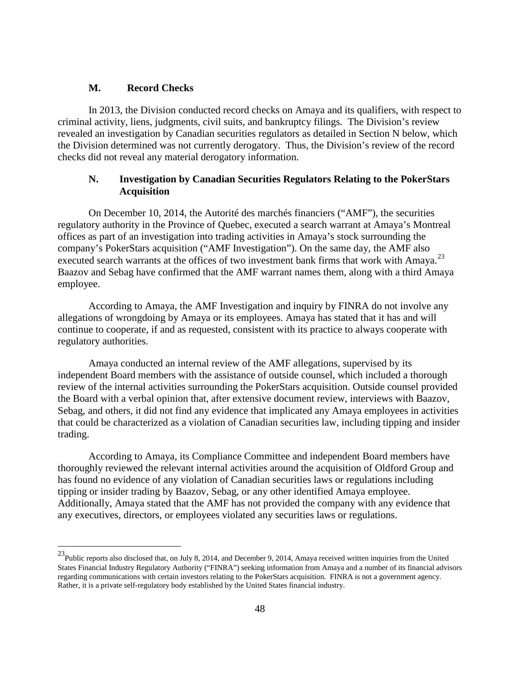#### **M. Record Checks**

In 2013, the Division conducted record checks on Amaya and its qualifiers, with respect to criminal activity, liens, judgments, civil suits, and bankruptcy filings. The Division's review revealed an investigation by Canadian securities regulators as detailed in Section N below, which the Division determined was not currently derogatory. Thus, the Division's review of the record checks did not reveal any material derogatory information.

# **N. Investigation by Canadian Securities Regulators Relating to the PokerStars Acquisition**

On December 10, 2014, the Autorité des marchés financiers ("AMF"), the securities regulatory authority in the Province of Quebec, executed a search warrant at Amaya's Montreal offices as part of an investigation into trading activities in Amaya's stock surrounding the company's PokerStars acquisition ("AMF Investigation"). On the same day, the AMF also executed search warrants at the offices of two investment bank firms that work with Amaya.<sup>[23](#page-52-1)</sup> Baazov and Sebag have confirmed that the AMF warrant names them, along with a third Amaya employee.

According to Amaya, the AMF Investigation and inquiry by FINRA do not involve any allegations of wrongdoing by Amaya or its employees. Amaya has stated that it has and will continue to cooperate, if and as requested, consistent with its practice to always cooperate with regulatory authorities.

Amaya conducted an internal review of the AMF allegations, supervised by its independent Board members with the assistance of outside counsel, which included a thorough review of the internal activities surrounding the PokerStars acquisition. Outside counsel provided the Board with a verbal opinion that, after extensive document review, interviews with Baazov, Sebag, and others, it did not find any evidence that implicated any Amaya employees in activities that could be characterized as a violation of Canadian securities law, including tipping and insider trading.

According to Amaya, its Compliance Committee and independent Board members have thoroughly reviewed the relevant internal activities around the acquisition of Oldford Group and has found no evidence of any violation of Canadian securities laws or regulations including tipping or insider trading by Baazov, Sebag, or any other identified Amaya employee. Additionally, Amaya stated that the AMF has not provided the company with any evidence that any executives, directors, or employees violated any securities laws or regulations.

<span id="page-53-0"></span><sup>&</sup>lt;sup>23</sup>Public reports also disclosed that, on July 8, 2014, and December 9, 2014, Amaya received written inquiries from the United States Financial Industry Regulatory Authority ("FINRA") seeking information from Amaya and a number of its financial advisors regarding communications with certain investors relating to the PokerStars acquisition. FINRA is not a government agency. Rather, it is a private self-regulatory body established by the United States financial industry.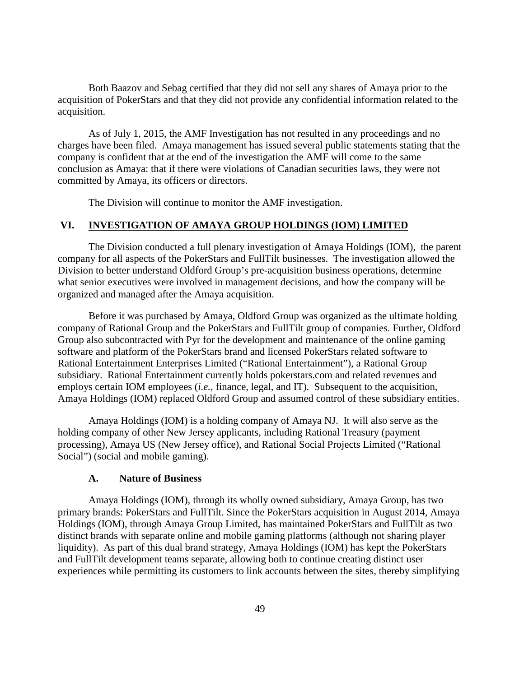Both Baazov and Sebag certified that they did not sell any shares of Amaya prior to the acquisition of PokerStars and that they did not provide any confidential information related to the acquisition.

As of July 1, 2015, the AMF Investigation has not resulted in any proceedings and no charges have been filed. Amaya management has issued several public statements stating that the company is confident that at the end of the investigation the AMF will come to the same conclusion as Amaya: that if there were violations of Canadian securities laws, they were not committed by Amaya, its officers or directors.

The Division will continue to monitor the AMF investigation.

#### **VI. INVESTIGATION OF AMAYA GROUP HOLDINGS (IOM) LIMITED**

The Division conducted a full plenary investigation of Amaya Holdings (IOM), the parent company for all aspects of the PokerStars and FullTilt businesses. The investigation allowed the Division to better understand Oldford Group's pre-acquisition business operations, determine what senior executives were involved in management decisions, and how the company will be organized and managed after the Amaya acquisition.

Before it was purchased by Amaya, Oldford Group was organized as the ultimate holding company of Rational Group and the PokerStars and FullTilt group of companies. Further, Oldford Group also subcontracted with Pyr for the development and maintenance of the online gaming software and platform of the PokerStars brand and licensed PokerStars related software to Rational Entertainment Enterprises Limited ("Rational Entertainment"), a Rational Group subsidiary. Rational Entertainment currently holds pokerstars.com and related revenues and employs certain IOM employees (*i.e.*, finance, legal, and IT). Subsequent to the acquisition, Amaya Holdings (IOM) replaced Oldford Group and assumed control of these subsidiary entities.

Amaya Holdings (IOM) is a holding company of Amaya NJ. It will also serve as the holding company of other New Jersey applicants, including Rational Treasury (payment processing), Amaya US (New Jersey office), and Rational Social Projects Limited ("Rational Social") (social and mobile gaming).

#### **A. Nature of Business**

Amaya Holdings (IOM), through its wholly owned subsidiary, Amaya Group, has two primary brands: PokerStars and FullTilt. Since the PokerStars acquisition in August 2014, Amaya Holdings (IOM), through Amaya Group Limited, has maintained PokerStars and FullTilt as two distinct brands with separate online and mobile gaming platforms (although not sharing player liquidity). As part of this dual brand strategy, Amaya Holdings (IOM) has kept the PokerStars and FullTilt development teams separate, allowing both to continue creating distinct user experiences while permitting its customers to link accounts between the sites, thereby simplifying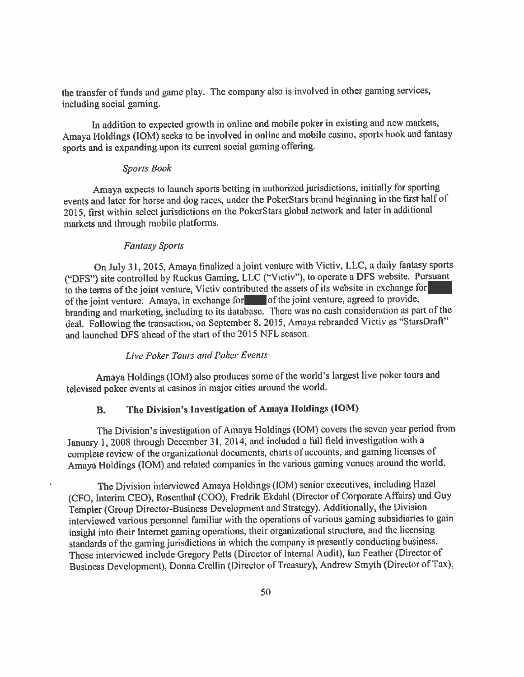the transfer of funds and game play. The company also is involved in other gaming services, including social gaming.

In addition to expected growth in online and mobile poker in existing and new markets, Amaya Holdings (IOM) seeks to be involved in online and mobile casino, sports book and fantasy sports and is expanding upon its current social gaming offering.

#### **Sports Book**

Amaya expects to launch sports betting in authorized jurisdictions, initially for sporting events and later for horse and dog races, under the PokerStars brand beginning in the first half of 2015, first within select jurisdictions on the PokerStars global network and later in additional markets and through mobile platforms.

#### **Fantasy Sports**

On July 31, 2015, Amaya finalized a joint venture with Victiv, LLC, a daily fantasy sports ("DFS") site controlled by Ruckus Gaming, LLC ("Victiv"), to operate a DFS website. Pursuant to the terms of the joint venture, Victiv contributed the assets of its website in exchange for of the joint venture. Amaya, in exchange for of the joint venture, agreed to provide, branding and marketing, including to its database. There was no cash consideration as part of the deal. Following the transaction, on September 8, 2015, Amaya rebranded Victiv as "StarsDraft" and launched DFS ahead of the start of the 2015 NFL season.

#### **Live Poker Tours and Poker Events**

Amaya Holdings (IOM) also produces some of the world's largest live poker tours and televised poker events at casinos in major cities around the world.

#### The Division's Investigation of Amaya Holdings (IOM) **B.**

The Division's investigation of Amaya Holdings (IOM) covers the seven year period from January 1, 2008 through December 31, 2014, and included a full field investigation with a complete review of the organizational documents, charts of accounts, and gaming licenses of Amaya Holdings (IOM) and related companies in the various gaming venues around the world.

The Division interviewed Amaya Holdings (IOM) senior executives, including Hazel (CFO, Interim CEO), Rosenthal (COO), Fredrik Ekdahl (Director of Corporate Affairs) and Guy Templer (Group Director-Business Development and Strategy). Additionally, the Division interviewed various personnel familiar with the operations of various gaming subsidiaries to gain insight into their Internet gaming operations, their organizational structure, and the licensing standards of the gaming jurisdictions in which the company is presently conducting business. Those interviewed include Gregory Petts (Director of Internal Audit), Ian Feather (Director of Business Development), Donna Crellin (Director of Treasury), Andrew Smyth (Director of Tax),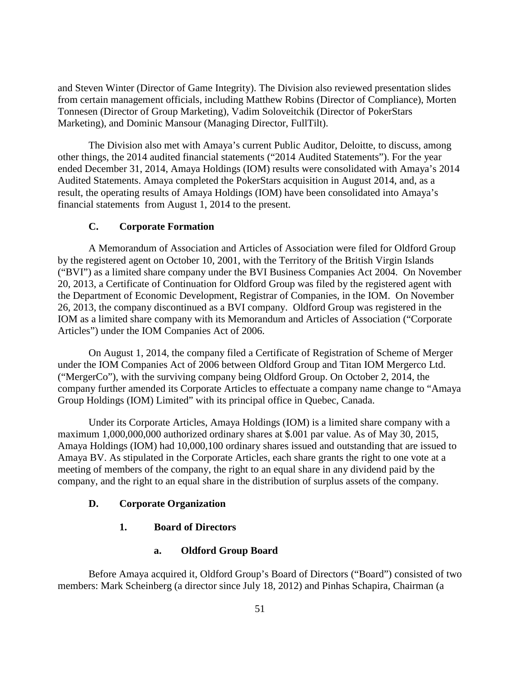and Steven Winter (Director of Game Integrity). The Division also reviewed presentation slides from certain management officials, including Matthew Robins (Director of Compliance), Morten Tonnesen (Director of Group Marketing), Vadim Soloveitchik (Director of PokerStars Marketing), and Dominic Mansour (Managing Director, FullTilt).

The Division also met with Amaya's current Public Auditor, Deloitte, to discuss, among other things, the 2014 audited financial statements ("2014 Audited Statements"). For the year ended December 31, 2014, Amaya Holdings (IOM) results were consolidated with Amaya's 2014 Audited Statements. Amaya completed the PokerStars acquisition in August 2014, and, as a result, the operating results of Amaya Holdings (IOM) have been consolidated into Amaya's financial statements from August 1, 2014 to the present.

### **C. Corporate Formation**

A Memorandum of Association and Articles of Association were filed for Oldford Group by the registered agent on October 10, 2001, with the Territory of the British Virgin Islands ("BVI") as a limited share company under the BVI Business Companies Act 2004. On November 20, 2013, a Certificate of Continuation for Oldford Group was filed by the registered agent with the Department of Economic Development, Registrar of Companies, in the IOM. On November 26, 2013, the company discontinued as a BVI company. Oldford Group was registered in the IOM as a limited share company with its Memorandum and Articles of Association ("Corporate Articles") under the IOM Companies Act of 2006.

On August 1, 2014, the company filed a Certificate of Registration of Scheme of Merger under the IOM Companies Act of 2006 between Oldford Group and Titan IOM Mergerco Ltd. ("MergerCo"), with the surviving company being Oldford Group. On October 2, 2014, the company further amended its Corporate Articles to effectuate a company name change to "Amaya Group Holdings (IOM) Limited" with its principal office in Quebec, Canada.

Under its Corporate Articles, Amaya Holdings (IOM) is a limited share company with a maximum 1,000,000,000 authorized ordinary shares at \$.001 par value. As of May 30, 2015, Amaya Holdings (IOM) had 10,000,100 ordinary shares issued and outstanding that are issued to Amaya BV. As stipulated in the Corporate Articles, each share grants the right to one vote at a meeting of members of the company, the right to an equal share in any dividend paid by the company, and the right to an equal share in the distribution of surplus assets of the company.

#### **D. Corporate Organization**

### **1. Board of Directors**

#### **a. Oldford Group Board**

Before Amaya acquired it, Oldford Group's Board of Directors ("Board") consisted of two members: Mark Scheinberg (a director since July 18, 2012) and Pinhas Schapira, Chairman (a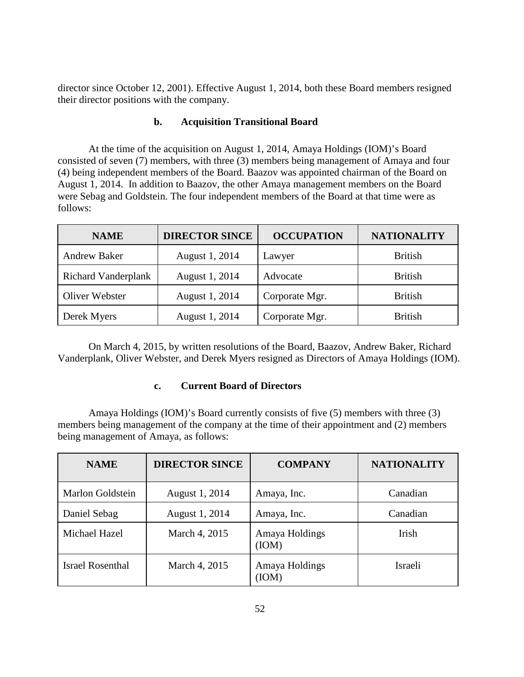director since October 12, 2001). Effective August 1, 2014, both these Board members resigned their director positions with the company.

### **b. Acquisition Transitional Board**

At the time of the acquisition on August 1, 2014, Amaya Holdings (IOM)'s Board consisted of seven (7) members, with three (3) members being management of Amaya and four (4) being independent members of the Board. Baazov was appointed chairman of the Board on August 1, 2014. In addition to Baazov, the other Amaya management members on the Board were Sebag and Goldstein. The four independent members of the Board at that time were as follows:

| <b>NAME</b>                | <b>DIRECTOR SINCE</b> | <b>OCCUPATION</b> | <b>NATIONALITY</b> |
|----------------------------|-----------------------|-------------------|--------------------|
| <b>Andrew Baker</b>        | August 1, 2014        | Lawyer            | <b>British</b>     |
| <b>Richard Vanderplank</b> | August 1, 2014        | Advocate          | <b>British</b>     |
| Oliver Webster             | August 1, 2014        | Corporate Mgr.    | <b>British</b>     |
| Derek Myers                | August 1, 2014        | Corporate Mgr.    | <b>British</b>     |

On March 4, 2015, by written resolutions of the Board, Baazov, Andrew Baker, Richard Vanderplank, Oliver Webster, and Derek Myers resigned as Directors of Amaya Holdings (IOM).

# **c. Current Board of Directors**

Amaya Holdings (IOM)'s Board currently consists of five (5) members with three (3) members being management of the company at the time of their appointment and (2) members being management of Amaya, as follows:

| <b>NAME</b>             | <b>DIRECTOR SINCE</b> | <b>COMPANY</b>          | <b>NATIONALITY</b> |
|-------------------------|-----------------------|-------------------------|--------------------|
| Marlon Goldstein        | August 1, 2014        | Amaya, Inc.             | Canadian           |
| Daniel Sebag            | August 1, 2014        | Amaya, Inc.             | Canadian           |
| Michael Hazel           | March 4, 2015         | Amaya Holdings<br>(IOM) | Irish              |
| <b>Israel Rosenthal</b> | March 4, 2015         | Amaya Holdings<br>(IOM) | Israeli            |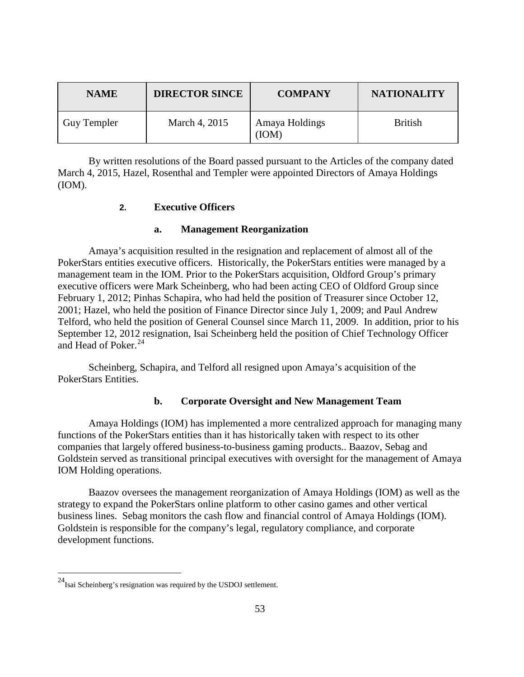| <b>NAME</b> | <b>DIRECTOR SINCE</b> | <b>COMPANY</b>          | <b>NATIONALITY</b> |
|-------------|-----------------------|-------------------------|--------------------|
| Guy Templer | March 4, 2015         | Amaya Holdings<br>(IOM) | <b>British</b>     |

By written resolutions of the Board passed pursuant to the Articles of the company dated March 4, 2015, Hazel, Rosenthal and Templer were appointed Directors of Amaya Holdings (IOM).

### **2. Executive Officers**

#### **a. Management Reorganization**

Amaya's acquisition resulted in the resignation and replacement of almost all of the PokerStars entities executive officers. Historically, the PokerStars entities were managed by a management team in the IOM. Prior to the PokerStars acquisition, Oldford Group's primary executive officers were Mark Scheinberg, who had been acting CEO of Oldford Group since February 1, 2012; Pinhas Schapira, who had held the position of Treasurer since October 12, 2001; Hazel, who held the position of Finance Director since July 1, 2009; and Paul Andrew Telford, who held the position of General Counsel since March 11, 2009. In addition, prior to his September 12, 2012 resignation, Isai Scheinberg held the position of Chief Technology Officer and Head of Poker.  $24$ 

Scheinberg, Schapira, and Telford all resigned upon Amaya's acquisition of the PokerStars Entities.

# **b. Corporate Oversight and New Management Team**

Amaya Holdings (IOM) has implemented a more centralized approach for managing many functions of the PokerStars entities than it has historically taken with respect to its other companies that largely offered business-to-business gaming products.. Baazov, Sebag and Goldstein served as transitional principal executives with oversight for the management of Amaya IOM Holding operations.

Baazov oversees the management reorganization of Amaya Holdings (IOM) as well as the strategy to expand the PokerStars online platform to other casino games and other vertical business lines. Sebag monitors the cash flow and financial control of Amaya Holdings (IOM). Goldstein is responsible for the company's legal, regulatory compliance, and corporate development functions.

<span id="page-58-0"></span> $24$ Isai Scheinberg's resignation was required by the USDOJ settlement.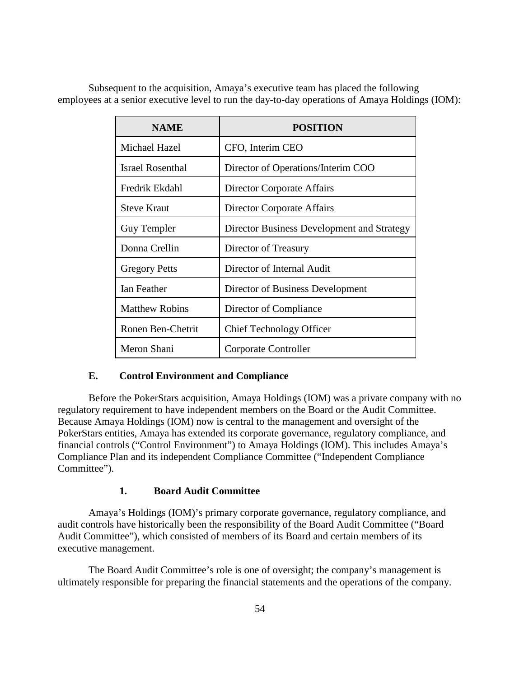Subsequent to the acquisition, Amaya's executive team has placed the following employees at a senior executive level to run the day-to-day operations of Amaya Holdings (IOM):

| <b>NAME</b>           | <b>POSITION</b>                            |
|-----------------------|--------------------------------------------|
| Michael Hazel         | CFO, Interim CEO                           |
| Israel Rosenthal      | Director of Operations/Interim COO         |
| Fredrik Ekdahl        | Director Corporate Affairs                 |
| <b>Steve Kraut</b>    | Director Corporate Affairs                 |
| Guy Templer           | Director Business Development and Strategy |
| Donna Crellin         | Director of Treasury                       |
| <b>Gregory Petts</b>  | Director of Internal Audit                 |
| Ian Feather           | Director of Business Development           |
| <b>Matthew Robins</b> | Director of Compliance                     |
| Ronen Ben-Chetrit     | <b>Chief Technology Officer</b>            |
| Meron Shani           | Corporate Controller                       |

# **E. Control Environment and Compliance**

Before the PokerStars acquisition, Amaya Holdings (IOM) was a private company with no regulatory requirement to have independent members on the Board or the Audit Committee. Because Amaya Holdings (IOM) now is central to the management and oversight of the PokerStars entities, Amaya has extended its corporate governance, regulatory compliance, and financial controls ("Control Environment") to Amaya Holdings (IOM). This includes Amaya's Compliance Plan and its independent Compliance Committee ("Independent Compliance Committee").

# **1. Board Audit Committee**

Amaya's Holdings (IOM)'s primary corporate governance, regulatory compliance, and audit controls have historically been the responsibility of the Board Audit Committee ("Board Audit Committee"), which consisted of members of its Board and certain members of its executive management.

The Board Audit Committee's role is one of oversight; the company's management is ultimately responsible for preparing the financial statements and the operations of the company.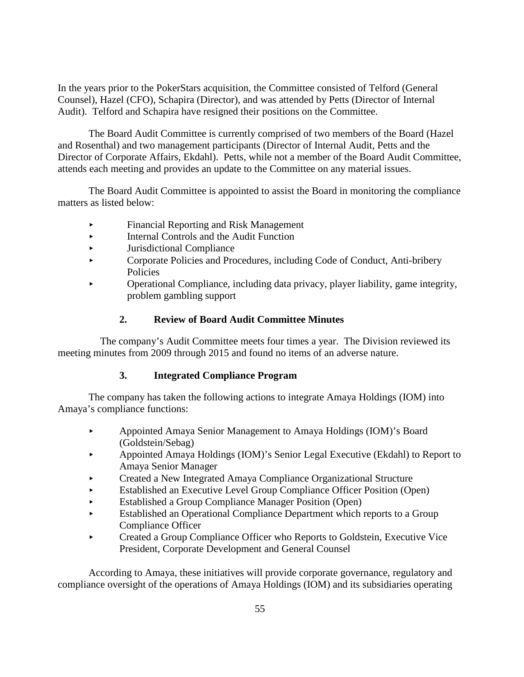In the years prior to the PokerStars acquisition, the Committee consisted of Telford (General Counsel), Hazel (CFO), Schapira (Director), and was attended by Petts (Director of Internal Audit). Telford and Schapira have resigned their positions on the Committee.

The Board Audit Committee is currently comprised of two members of the Board (Hazel and Rosenthal) and two management participants (Director of Internal Audit, Petts and the Director of Corporate Affairs, Ekdahl). Petts, while not a member of the Board Audit Committee, attends each meeting and provides an update to the Committee on any material issues.

The Board Audit Committee is appointed to assist the Board in monitoring the compliance matters as listed below:

- Financial Reporting and Risk Management
- Internal Controls and the Audit Function
- Jurisdictional Compliance
- Corporate Policies and Procedures, including Code of Conduct, Anti-bribery Policies
- Operational Compliance, including data privacy, player liability, game integrity, problem gambling support

# **2. Review of Board Audit Committee Minutes**

The company's Audit Committee meets four times a year. The Division reviewed its meeting minutes from 2009 through 2015 and found no items of an adverse nature.

# **3. Integrated Compliance Program**

The company has taken the following actions to integrate Amaya Holdings (IOM) into Amaya's compliance functions:

- Appointed Amaya Senior Management to Amaya Holdings (IOM)'s Board (Goldstein/Sebag)
- Appointed Amaya Holdings (IOM)'s Senior Legal Executive (Ekdahl) to Report to Amaya Senior Manager
- Created a New Integrated Amaya Compliance Organizational Structure
- Established an Executive Level Group Compliance Officer Position (Open)
- Established a Group Compliance Manager Position (Open)
- Established an Operational Compliance Department which reports to a Group Compliance Officer
- Created a Group Compliance Officer who Reports to Goldstein, Executive Vice President, Corporate Development and General Counsel

According to Amaya, these initiatives will provide corporate governance, regulatory and compliance oversight of the operations of Amaya Holdings (IOM) and its subsidiaries operating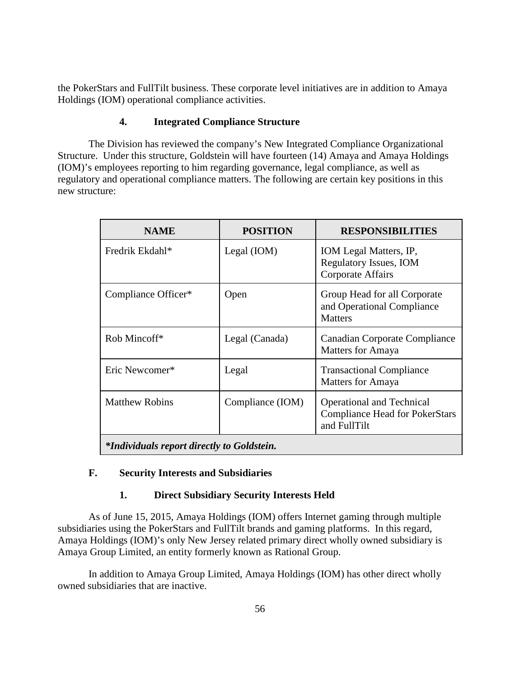the PokerStars and FullTilt business. These corporate level initiatives are in addition to Amaya Holdings (IOM) operational compliance activities.

# **4. Integrated Compliance Structure**

The Division has reviewed the company's New Integrated Compliance Organizational Structure. Under this structure, Goldstein will have fourteen (14) Amaya and Amaya Holdings (IOM)'s employees reporting to him regarding governance, legal compliance, as well as regulatory and operational compliance matters. The following are certain key positions in this new structure:

| <b>NAME</b>                                       | <b>POSITION</b>  | <b>RESPONSIBILITIES</b>                                                                   |  |  |
|---------------------------------------------------|------------------|-------------------------------------------------------------------------------------------|--|--|
| Fredrik Ekdahl*                                   | Legal $(IOM)$    | IOM Legal Matters, IP,<br><b>Regulatory Issues, IOM</b><br><b>Corporate Affairs</b>       |  |  |
| Compliance Officer*                               | Open             | Group Head for all Corporate<br>and Operational Compliance<br><b>Matters</b>              |  |  |
| Rob Mincoff*                                      | Legal (Canada)   | Canadian Corporate Compliance<br>Matters for Amaya                                        |  |  |
| Eric Newcomer*                                    | Legal            | <b>Transactional Compliance</b><br>Matters for Amaya                                      |  |  |
| <b>Matthew Robins</b>                             | Compliance (IOM) | <b>Operational and Technical</b><br><b>Compliance Head for PokerStars</b><br>and FullTilt |  |  |
| <i>*Individuals report directly to Goldstein.</i> |                  |                                                                                           |  |  |

# **F. Security Interests and Subsidiaries**

# **1. Direct Subsidiary Security Interests Held**

As of June 15, 2015, Amaya Holdings (IOM) offers Internet gaming through multiple subsidiaries using the PokerStars and FullTilt brands and gaming platforms. In this regard, Amaya Holdings (IOM)'s only New Jersey related primary direct wholly owned subsidiary is Amaya Group Limited, an entity formerly known as Rational Group.

In addition to Amaya Group Limited, Amaya Holdings (IOM) has other direct wholly owned subsidiaries that are inactive.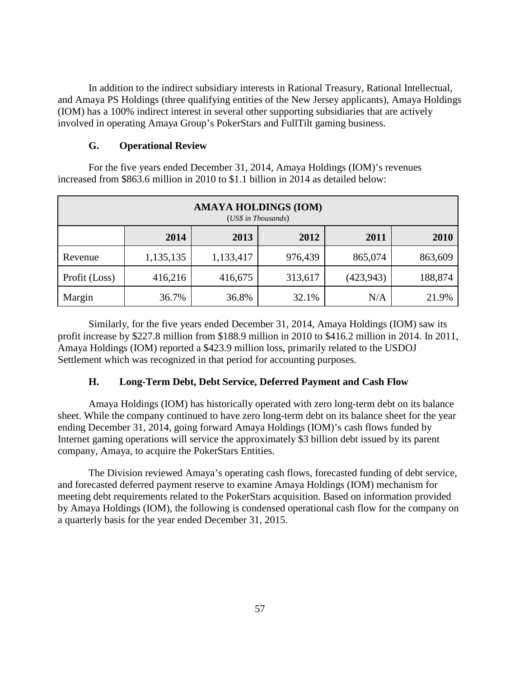In addition to the indirect subsidiary interests in Rational Treasury, Rational Intellectual, and Amaya PS Holdings (three qualifying entities of the New Jersey applicants), Amaya Holdings (IOM) has a 100% indirect interest in several other supporting subsidiaries that are actively involved in operating Amaya Group's PokerStars and FullTilt gaming business.

#### **G. Operational Review**

For the five years ended December 31, 2014, Amaya Holdings (IOM)'s revenues increased from \$863.6 million in 2010 to \$1.1 billion in 2014 as detailed below:

| <b>AMAYA HOLDINGS (IOM)</b><br>(US\$ in Thousands) |           |           |         |            |         |  |
|----------------------------------------------------|-----------|-----------|---------|------------|---------|--|
|                                                    | 2014      | 2013      | 2012    | 2011       | 2010    |  |
| Revenue                                            | 1,135,135 | 1,133,417 | 976,439 | 865,074    | 863,609 |  |
| Profit (Loss)                                      | 416,216   | 416,675   | 313,617 | (423, 943) | 188,874 |  |
| Margin                                             | 36.7%     | 36.8%     | 32.1%   | N/A        | 21.9%   |  |

Similarly, for the five years ended December 31, 2014, Amaya Holdings (IOM) saw its profit increase by \$227.8 million from \$188.9 million in 2010 to \$416.2 million in 2014. In 2011, Amaya Holdings (IOM) reported a \$423.9 million loss, primarily related to the USDOJ Settlement which was recognized in that period for accounting purposes.

#### **H. Long-Term Debt, Debt Service, Deferred Payment and Cash Flow**

Amaya Holdings (IOM) has historically operated with zero long-term debt on its balance sheet. While the company continued to have zero long-term debt on its balance sheet for the year ending December 31, 2014, going forward Amaya Holdings (IOM)'s cash flows funded by Internet gaming operations will service the approximately \$3 billion debt issued by its parent company, Amaya, to acquire the PokerStars Entities.

The Division reviewed Amaya's operating cash flows, forecasted funding of debt service, and forecasted deferred payment reserve to examine Amaya Holdings (IOM) mechanism for meeting debt requirements related to the PokerStars acquisition. Based on information provided by Amaya Holdings (IOM), the following is condensed operational cash flow for the company on a quarterly basis for the year ended December 31, 2015.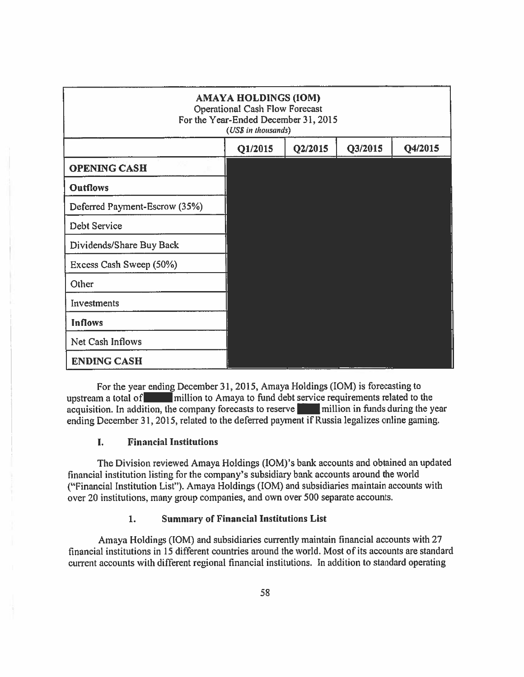| <b>AMAYA HOLDINGS (IOM)</b><br><b>Operational Cash Flow Forecast</b><br>For the Year-Ended December 31, 2015<br>(US\$ in thousands) |         |         |         |         |  |
|-------------------------------------------------------------------------------------------------------------------------------------|---------|---------|---------|---------|--|
|                                                                                                                                     | Q1/2015 | Q2/2015 | Q3/2015 | Q4/2015 |  |
| <b>OPENING CASH</b>                                                                                                                 |         |         |         |         |  |
| <b>Outflows</b>                                                                                                                     |         |         |         |         |  |
| Deferred Payment-Escrow (35%)                                                                                                       |         |         |         |         |  |
| <b>Debt Service</b>                                                                                                                 |         |         |         |         |  |
| Dividends/Share Buy Back                                                                                                            |         |         |         |         |  |
| Excess Cash Sweep (50%)                                                                                                             |         |         |         |         |  |
| Other                                                                                                                               |         |         |         |         |  |
| Investments                                                                                                                         |         |         |         |         |  |
| <b>Inflows</b>                                                                                                                      |         |         |         |         |  |
| Net Cash Inflows                                                                                                                    |         |         |         |         |  |
| <b>ENDING CASH</b>                                                                                                                  |         |         |         |         |  |

For the year ending December 31, 2015, Amaya Holdings (IOM) is forecasting to upstream a total of million to Amaya to fund debt service requirements related to the acquisition. In addition, the company forecasts to reserve million in funds during the year ending December 31, 2015, related to the deferred payment if Russia legalizes online gaming.

#### I. **Financial Institutions**

The Division reviewed Amaya Holdings (IOM)'s bank accounts and obtained an updated financial institution listing for the company's subsidiary bank accounts around the world ("Financial Institution List"). Amaya Holdings (IOM) and subsidiaries maintain accounts with over 20 institutions, many group companies, and own over 500 separate accounts.

#### 1. **Summary of Financial Institutions List**

Amaya Holdings (IOM) and subsidiaries currently maintain financial accounts with 27 financial institutions in 15 different countries around the world. Most of its accounts are standard current accounts with different regional financial institutions. In addition to standard operating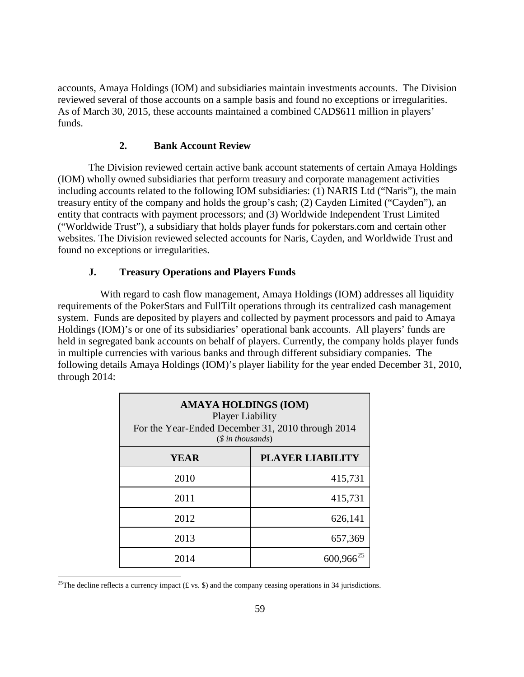accounts, Amaya Holdings (IOM) and subsidiaries maintain investments accounts. The Division reviewed several of those accounts on a sample basis and found no exceptions or irregularities. As of March 30, 2015, these accounts maintained a combined CAD\$611 million in players' funds.

#### **2. Bank Account Review**

The Division reviewed certain active bank account statements of certain Amaya Holdings (IOM) wholly owned subsidiaries that perform treasury and corporate management activities including accounts related to the following IOM subsidiaries: (1) NARIS Ltd ("Naris"), the main treasury entity of the company and holds the group's cash; (2) Cayden Limited ("Cayden"), an entity that contracts with payment processors; and (3) Worldwide Independent Trust Limited ("Worldwide Trust"), a subsidiary that holds player funds for pokerstars.com and certain other websites. The Division reviewed selected accounts for Naris, Cayden, and Worldwide Trust and found no exceptions or irregularities.

#### **J. Treasury Operations and Players Funds**

With regard to cash flow management, Amaya Holdings (IOM) addresses all liquidity requirements of the PokerStars and FullTilt operations through its centralized cash management system. Funds are deposited by players and collected by payment processors and paid to Amaya Holdings (IOM)'s or one of its subsidiaries' operational bank accounts. All players' funds are held in segregated bank accounts on behalf of players. Currently, the company holds player funds in multiple currencies with various banks and through different subsidiary companies. The following details Amaya Holdings (IOM)'s player liability for the year ended December 31, 2010, through 2014:

| <b>AMAYA HOLDINGS (IOM)</b><br><b>Player Liability</b><br>For the Year-Ended December 31, 2010 through 2014<br>$(\text{\$ in thousands})$ |                         |  |  |  |
|-------------------------------------------------------------------------------------------------------------------------------------------|-------------------------|--|--|--|
| YEAR                                                                                                                                      | <b>PLAYER LIABILITY</b> |  |  |  |
| 2010                                                                                                                                      | 415,731                 |  |  |  |
| 2011                                                                                                                                      | 415,731                 |  |  |  |
| 2012                                                                                                                                      | 626,141                 |  |  |  |
| 2013                                                                                                                                      | 657,369                 |  |  |  |
| 2014                                                                                                                                      | $600,966^{25}$          |  |  |  |

<span id="page-64-0"></span><sup>&</sup>lt;sup>25</sup>The decline reflects a currency impact (£ vs. \$) and the company ceasing operations in 34 jurisdictions.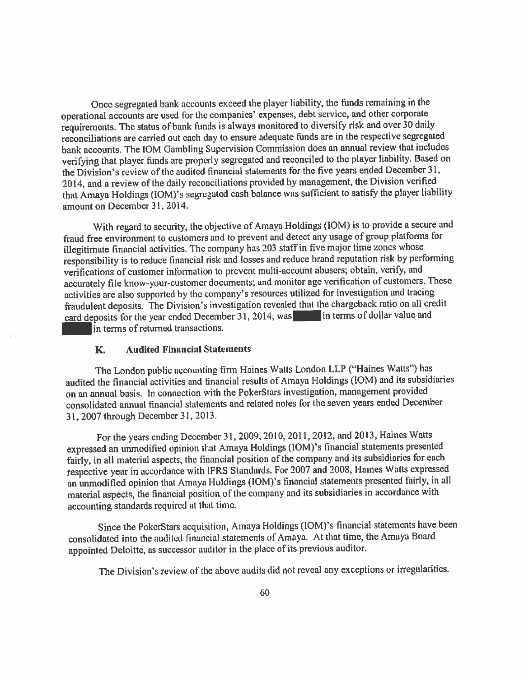Once segregated bank accounts exceed the player liability, the funds remaining in the operational accounts are used for the companies' expenses, debt service, and other corporate requirements. The status of bank funds is always monitored to diversify risk and over 30 daily reconciliations are carried out each day to ensure adequate funds are in the respective segregated bank accounts. The IOM Gambling Supervision Commission does an annual review that includes verifying that player funds are properly segregated and reconciled to the player liability. Based on the Division's review of the audited financial statements for the five years ended December 31, 2014, and a review of the daily reconciliations provided by management, the Division verified that Amaya Holdings (IOM)'s segregated cash balance was sufficient to satisfy the player liability amount on December 31, 2014.

With regard to security, the objective of Amaya Holdings (IOM) is to provide a secure and fraud free environment to customers and to prevent and detect any usage of group platforms for illegitimate financial activities. The company has 203 staff in five major time zones whose responsibility is to reduce financial risk and losses and reduce brand reputation risk by performing verifications of customer information to prevent multi-account abusers; obtain, verify, and accurately file know-your-customer documents; and monitor age verification of customers. These activities are also supported by the company's resources utilized for investigation and tracing fraudulent deposits. The Division's investigation revealed that the chargeback ratio on all credit card deposits for the year ended December 31, 2014, was in terms of dollar value and in terms of returned transactions.

#### **Audited Financial Statements** K.

The London public accounting firm Haines Watts London LLP ("Haines Watts") has audited the financial activities and financial results of Amaya Holdings (IOM) and its subsidiaries on an annual basis. In connection with the PokerStars investigation, management provided consolidated annual financial statements and related notes for the seven years ended December 31, 2007 through December 31, 2013.

For the years ending December 31, 2009, 2010, 2011, 2012, and 2013, Haines Watts expressed an unmodified opinion that Amaya Holdings (IOM)'s financial statements presented fairly, in all material aspects, the financial position of the company and its subsidiaries for each respective year in accordance with IFRS Standards. For 2007 and 2008, Haines Watts expressed an unmodified opinion that Amaya Holdings (IOM)'s financial statements presented fairly, in all material aspects, the financial position of the company and its subsidiaries in accordance with accounting standards required at that time.

Since the PokerStars acquisition, Amaya Holdings (IOM)'s financial statements have been consolidated into the audited financial statements of Amaya. At that time, the Amaya Board appointed Deloitte, as successor auditor in the place of its previous auditor.

The Division's review of the above audits did not reveal any exceptions or irregularities.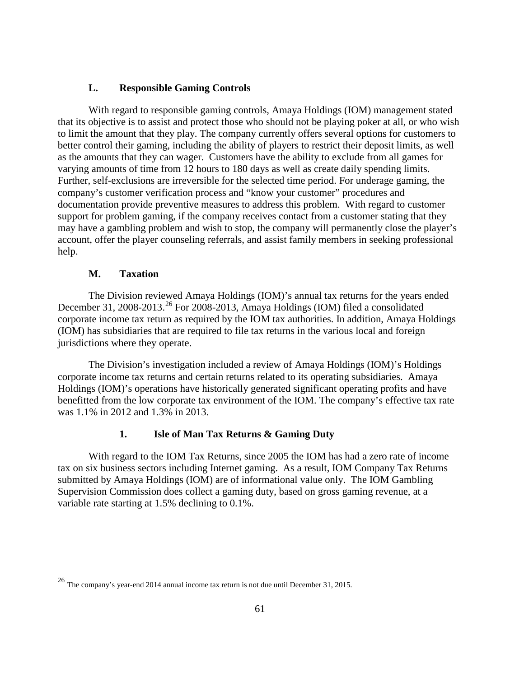#### **L. Responsible Gaming Controls**

With regard to responsible gaming controls, Amaya Holdings (IOM) management stated that its objective is to assist and protect those who should not be playing poker at all, or who wish to limit the amount that they play. The company currently offers several options for customers to better control their gaming, including the ability of players to restrict their deposit limits, as well as the amounts that they can wager. Customers have the ability to exclude from all games for varying amounts of time from 12 hours to 180 days as well as create daily spending limits. Further, self-exclusions are irreversible for the selected time period. For underage gaming, the company's customer verification process and "know your customer" procedures and documentation provide preventive measures to address this problem. With regard to customer support for problem gaming, if the company receives contact from a customer stating that they may have a gambling problem and wish to stop, the company will permanently close the player's account, offer the player counseling referrals, and assist family members in seeking professional help.

#### **M. Taxation**

The Division reviewed Amaya Holdings (IOM)'s annual tax returns for the years ended December 31, 2008-2013.<sup>[26](#page-64-0)</sup> For 2008-2013, Amaya Holdings (IOM) filed a consolidated corporate income tax return as required by the IOM tax authorities. In addition, Amaya Holdings (IOM) has subsidiaries that are required to file tax returns in the various local and foreign jurisdictions where they operate.

The Division's investigation included a review of Amaya Holdings (IOM)'s Holdings corporate income tax returns and certain returns related to its operating subsidiaries. Amaya Holdings (IOM)'s operations have historically generated significant operating profits and have benefitted from the low corporate tax environment of the IOM. The company's effective tax rate was 1.1% in 2012 and 1.3% in 2013.

# **1. Isle of Man Tax Returns & Gaming Duty**

With regard to the IOM Tax Returns, since 2005 the IOM has had a zero rate of income tax on six business sectors including Internet gaming. As a result, IOM Company Tax Returns submitted by Amaya Holdings (IOM) are of informational value only. The IOM Gambling Supervision Commission does collect a gaming duty, based on gross gaming revenue, at a variable rate starting at 1.5% declining to 0.1%.

 <sup>26</sup> The company's year-end 2014 annual income tax return is not due until December 31, 2015.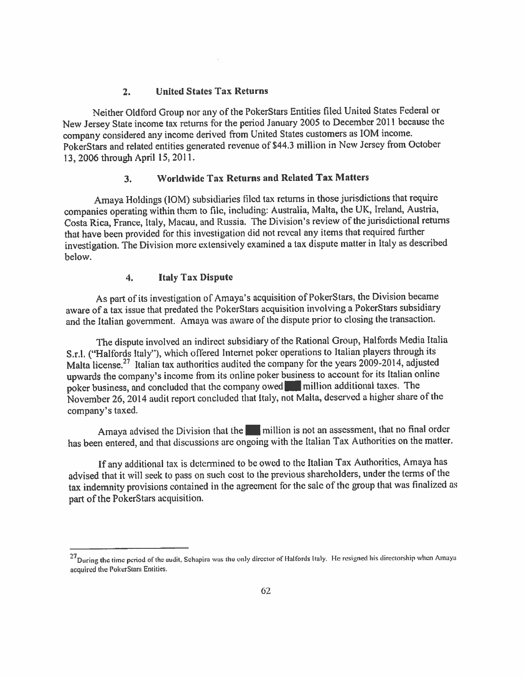#### **United States Tax Returns**  $2.$

Neither Oldford Group nor any of the PokerStars Entities filed United States Federal or New Jersey State income tax returns for the period January 2005 to December 2011 because the company considered any income derived from United States customers as IOM income. PokerStars and related entities generated revenue of \$44.3 million in New Jersey from October 13, 2006 through April 15, 2011.

#### **Worldwide Tax Returns and Related Tax Matters**  $3<sub>1</sub>$

Amaya Holdings (IOM) subsidiaries filed tax returns in those jurisdictions that require companies operating within them to file, including: Australia, Malta, the UK, Ireland, Austria, Costa Rica, France, Italy, Macau, and Russia. The Division's review of the jurisdictional returns that have been provided for this investigation did not reveal any items that required further investigation. The Division more extensively examined a tax dispute matter in Italy as described below.

#### $\overline{4}$ . **Italy Tax Dispute**

As part of its investigation of Amaya's acquisition of PokerStars, the Division became aware of a tax issue that predated the PokerStars acquisition involving a PokerStars subsidiary and the Italian government. Amaya was aware of the dispute prior to closing the transaction.

The dispute involved an indirect subsidiary of the Rational Group, Halfords Media Italia S.r.l. ("Halfords Italy"), which offered Internet poker operations to Italian players through its Malta license.<sup>27</sup> Italian tax authorities audited the company for the years 2009-2014, adjusted upwards the company's income from its online poker business to account for its Italian online poker business, and concluded that the company owed million additional taxes. The November 26, 2014 audit report concluded that Italy, not Malta, deserved a higher share of the company's taxed.

Amaya advised the Division that the million is not an assessment, that no final order has been entered, and that discussions are ongoing with the Italian Tax Authorities on the matter.

If any additional tax is determined to be owed to the Italian Tax Authorities, Amaya has advised that it will seek to pass on such cost to the previous shareholders, under the terms of the tax indemnity provisions contained in the agreement for the sale of the group that was finalized as part of the PokerStars acquisition.

 $^{27}$ During the time period of the audit, Schapira was the only director of Halfords Italy. He resigned his directorship when Amaya acquired the PokerStars Entities.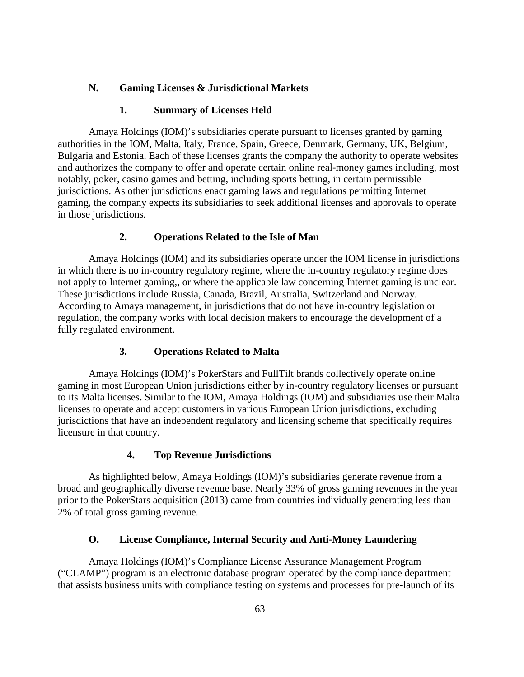#### **N. Gaming Licenses & Jurisdictional Markets**

#### **1. Summary of Licenses Held**

Amaya Holdings (IOM)'s subsidiaries operate pursuant to licenses granted by gaming authorities in the IOM, Malta, Italy, France, Spain, Greece, Denmark, Germany, UK, Belgium, Bulgaria and Estonia. Each of these licenses grants the company the authority to operate websites and authorizes the company to offer and operate certain online real-money games including, most notably, poker, casino games and betting, including sports betting, in certain permissible jurisdictions. As other jurisdictions enact gaming laws and regulations permitting Internet gaming, the company expects its subsidiaries to seek additional licenses and approvals to operate in those jurisdictions.

# **2. Operations Related to the Isle of Man**

 Amaya Holdings (IOM) and its subsidiaries operate under the IOM license in jurisdictions in which there is no in-country regulatory regime, where the in-country regulatory regime does not apply to Internet gaming,, or where the applicable law concerning Internet gaming is unclear. These jurisdictions include Russia, Canada, Brazil, Australia, Switzerland and Norway. According to Amaya management, in jurisdictions that do not have in-country legislation or regulation, the company works with local decision makers to encourage the development of a fully regulated environment.

#### **3. Operations Related to Malta**

Amaya Holdings (IOM)'s PokerStars and FullTilt brands collectively operate online gaming in most European Union jurisdictions either by in-country regulatory licenses or pursuant to its Malta licenses. Similar to the IOM, Amaya Holdings (IOM) and subsidiaries use their Malta licenses to operate and accept customers in various European Union jurisdictions, excluding jurisdictions that have an independent regulatory and licensing scheme that specifically requires licensure in that country.

#### **4. Top Revenue Jurisdictions**

As highlighted below, Amaya Holdings (IOM)'s subsidiaries generate revenue from a broad and geographically diverse revenue base. Nearly 33% of gross gaming revenues in the year prior to the PokerStars acquisition (2013) came from countries individually generating less than 2% of total gross gaming revenue.

#### **O. License Compliance, Internal Security and Anti-Money Laundering**

Amaya Holdings (IOM)'s Compliance License Assurance Management Program ("CLAMP") program is an electronic database program operated by the compliance department that assists business units with compliance testing on systems and processes for pre-launch of its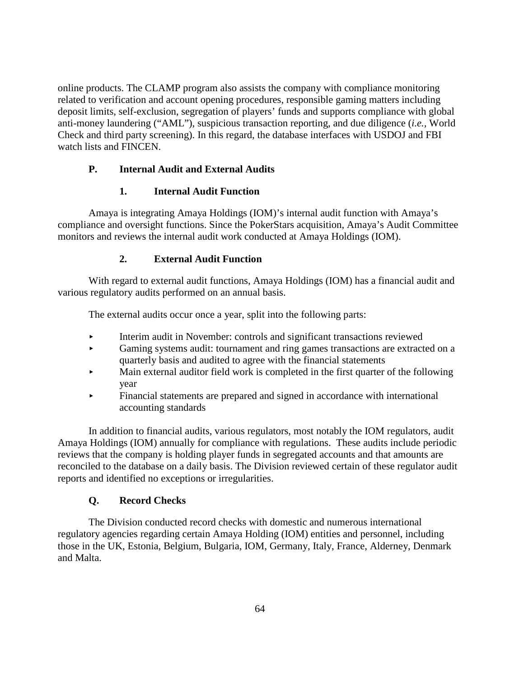online products. The CLAMP program also assists the company with compliance monitoring related to verification and account opening procedures, responsible gaming matters including deposit limits, self-exclusion, segregation of players' funds and supports compliance with global anti-money laundering ("AML"), suspicious transaction reporting, and due diligence (*i.e.,* World Check and third party screening). In this regard, the database interfaces with USDOJ and FBI watch lists and FINCEN.

# **P. Internal Audit and External Audits**

# **1. Internal Audit Function**

Amaya is integrating Amaya Holdings (IOM)'s internal audit function with Amaya's compliance and oversight functions. Since the PokerStars acquisition, Amaya's Audit Committee monitors and reviews the internal audit work conducted at Amaya Holdings (IOM).

# **2. External Audit Function**

With regard to external audit functions, Amaya Holdings (IOM) has a financial audit and various regulatory audits performed on an annual basis.

The external audits occur once a year, split into the following parts:

- Interim audit in November: controls and significant transactions reviewed
- Gaming systems audit: tournament and ring games transactions are extracted on a quarterly basis and audited to agree with the financial statements
- Main external auditor field work is completed in the first quarter of the following year
- Financial statements are prepared and signed in accordance with international accounting standards

In addition to financial audits, various regulators, most notably the IOM regulators, audit Amaya Holdings (IOM) annually for compliance with regulations. These audits include periodic reviews that the company is holding player funds in segregated accounts and that amounts are reconciled to the database on a daily basis. The Division reviewed certain of these regulator audit reports and identified no exceptions or irregularities.

# **Q. Record Checks**

The Division conducted record checks with domestic and numerous international regulatory agencies regarding certain Amaya Holding (IOM) entities and personnel, including those in the UK, Estonia, Belgium, Bulgaria, IOM, Germany, Italy, France, Alderney, Denmark and Malta.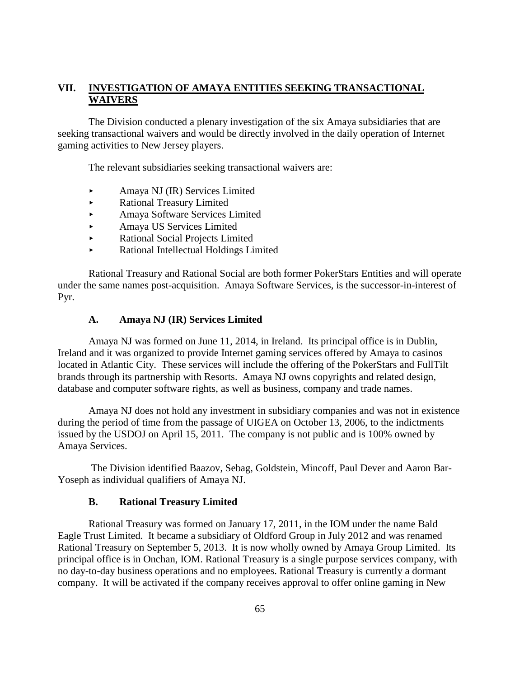# **VII. INVESTIGATION OF AMAYA ENTITIES SEEKING TRANSACTIONAL WAIVERS**

The Division conducted a plenary investigation of the six Amaya subsidiaries that are seeking transactional waivers and would be directly involved in the daily operation of Internet gaming activities to New Jersey players.

The relevant subsidiaries seeking transactional waivers are:

- Amaya NJ (IR) Services Limited
- Rational Treasury Limited
- Amaya Software Services Limited
- Amaya US Services Limited
- Rational Social Projects Limited
- Rational Intellectual Holdings Limited

Rational Treasury and Rational Social are both former PokerStars Entities and will operate under the same names post-acquisition. Amaya Software Services, is the successor-in-interest of Pyr.

#### **A. Amaya NJ (IR) Services Limited**

Amaya NJ was formed on June 11, 2014, in Ireland. Its principal office is in Dublin, Ireland and it was organized to provide Internet gaming services offered by Amaya to casinos located in Atlantic City. These services will include the offering of the PokerStars and FullTilt brands through its partnership with Resorts. Amaya NJ owns copyrights and related design, database and computer software rights, as well as business, company and trade names.

Amaya NJ does not hold any investment in subsidiary companies and was not in existence during the period of time from the passage of UIGEA on October 13, 2006, to the indictments issued by the USDOJ on April 15, 2011. The company is not public and is 100% owned by Amaya Services.

The Division identified Baazov, Sebag, Goldstein, Mincoff, Paul Dever and Aaron Bar-Yoseph as individual qualifiers of Amaya NJ.

#### **B. Rational Treasury Limited**

Rational Treasury was formed on January 17, 2011, in the IOM under the name Bald Eagle Trust Limited. It became a subsidiary of Oldford Group in July 2012 and was renamed Rational Treasury on September 5, 2013. It is now wholly owned by Amaya Group Limited. Its principal office is in Onchan, IOM. Rational Treasury is a single purpose services company, with no day-to-day business operations and no employees. Rational Treasury is currently a dormant company. It will be activated if the company receives approval to offer online gaming in New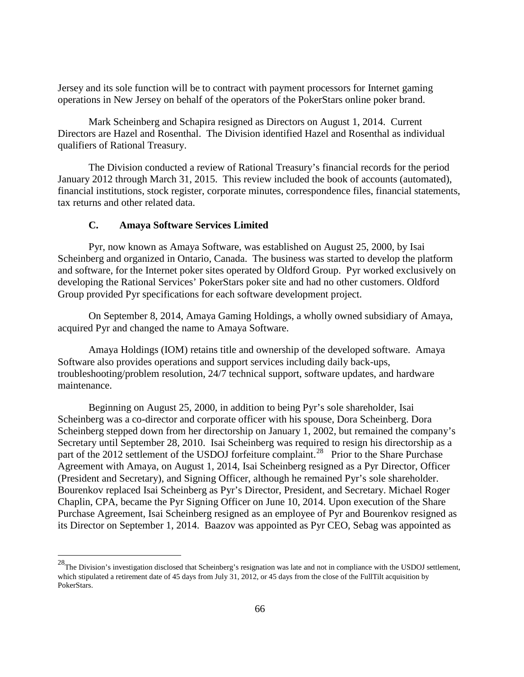Jersey and its sole function will be to contract with payment processors for Internet gaming operations in New Jersey on behalf of the operators of the PokerStars online poker brand.

Mark Scheinberg and Schapira resigned as Directors on August 1, 2014. Current Directors are Hazel and Rosenthal. The Division identified Hazel and Rosenthal as individual qualifiers of Rational Treasury.

The Division conducted a review of Rational Treasury's financial records for the period January 2012 through March 31, 2015. This review included the book of accounts (automated), financial institutions, stock register, corporate minutes, correspondence files, financial statements, tax returns and other related data.

#### **C. Amaya Software Services Limited**

Pyr, now known as Amaya Software, was established on August 25, 2000, by Isai Scheinberg and organized in Ontario, Canada. The business was started to develop the platform and software, for the Internet poker sites operated by Oldford Group. Pyr worked exclusively on developing the Rational Services' PokerStars poker site and had no other customers. Oldford Group provided Pyr specifications for each software development project.

 On September 8, 2014, Amaya Gaming Holdings, a wholly owned subsidiary of Amaya, acquired Pyr and changed the name to Amaya Software.

Amaya Holdings (IOM) retains title and ownership of the developed software. Amaya Software also provides operations and support services including daily back-ups, troubleshooting/problem resolution, 24/7 technical support, software updates, and hardware maintenance.

Beginning on August 25, 2000, in addition to being Pyr's sole shareholder, Isai Scheinberg was a co-director and corporate officer with his spouse, Dora Scheinberg. Dora Scheinberg stepped down from her directorship on January 1, 2002, but remained the company's Secretary until September 28, 2010. Isai Scheinberg was required to resign his directorship as a part of the 2012 settlement of the USDOJ forfeiture complaint.<sup>28</sup> Prior to the Share Purchase Agreement with Amaya, on August 1, 2014, Isai Scheinberg resigned as a Pyr Director, Officer (President and Secretary), and Signing Officer, although he remained Pyr's sole shareholder. Bourenkov replaced Isai Scheinberg as Pyr's Director, President, and Secretary. Michael Roger Chaplin, CPA, became the Pyr Signing Officer on June 10, 2014. Upon execution of the Share Purchase Agreement, Isai Scheinberg resigned as an employee of Pyr and Bourenkov resigned as its Director on September 1, 2014. Baazov was appointed as Pyr CEO, Sebag was appointed as

 $^{28}$ The Division's investigation disclosed that Scheinberg's resignation was late and not in compliance with the USDOJ settlement, which stipulated a retirement date of 45 days from July 31, 2012, or 45 days from the close of the FullTilt acquisition by PokerStars.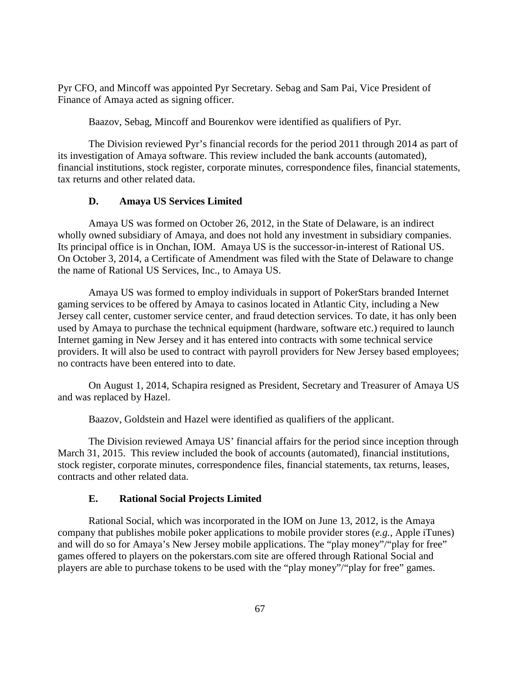Pyr CFO, and Mincoff was appointed Pyr Secretary. Sebag and Sam Pai, Vice President of Finance of Amaya acted as signing officer.

Baazov, Sebag, Mincoff and Bourenkov were identified as qualifiers of Pyr.

The Division reviewed Pyr's financial records for the period 2011 through 2014 as part of its investigation of Amaya software. This review included the bank accounts (automated), financial institutions, stock register, corporate minutes, correspondence files, financial statements, tax returns and other related data.

### **D. Amaya US Services Limited**

Amaya US was formed on October 26, 2012, in the State of Delaware, is an indirect wholly owned subsidiary of Amaya, and does not hold any investment in subsidiary companies. Its principal office is in Onchan, IOM. Amaya US is the successor-in-interest of Rational US. On October 3, 2014, a Certificate of Amendment was filed with the State of Delaware to change the name of Rational US Services, Inc., to Amaya US.

Amaya US was formed to employ individuals in support of PokerStars branded Internet gaming services to be offered by Amaya to casinos located in Atlantic City, including a New Jersey call center, customer service center, and fraud detection services. To date, it has only been used by Amaya to purchase the technical equipment (hardware, software etc.) required to launch Internet gaming in New Jersey and it has entered into contracts with some technical service providers. It will also be used to contract with payroll providers for New Jersey based employees; no contracts have been entered into to date.

On August 1, 2014, Schapira resigned as President, Secretary and Treasurer of Amaya US and was replaced by Hazel.

Baazov, Goldstein and Hazel were identified as qualifiers of the applicant.

The Division reviewed Amaya US' financial affairs for the period since inception through March 31, 2015. This review included the book of accounts (automated), financial institutions, stock register, corporate minutes, correspondence files, financial statements, tax returns, leases, contracts and other related data.

### **E. Rational Social Projects Limited**

Rational Social, which was incorporated in the IOM on June 13, 2012, is the Amaya company that publishes mobile poker applications to mobile provider stores (*e.g.*, Apple iTunes) and will do so for Amaya's New Jersey mobile applications. The "play money"/"play for free" games offered to players on the pokerstars.com site are offered through Rational Social and players are able to purchase tokens to be used with the "play money"/"play for free" games.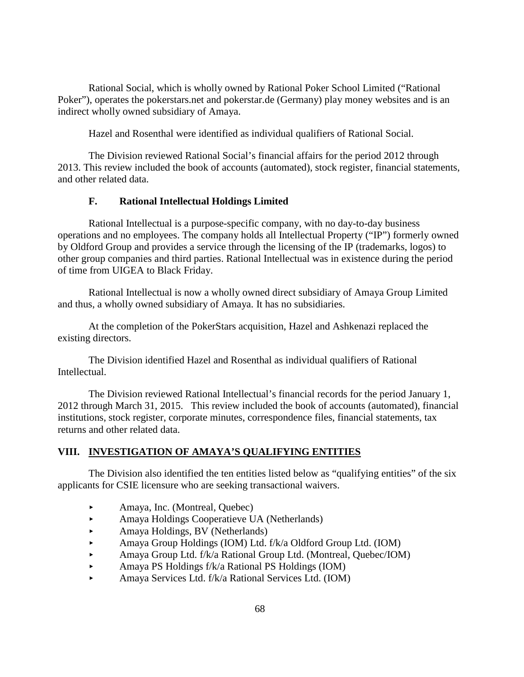Rational Social, which is wholly owned by Rational Poker School Limited ("Rational Poker"), operates the pokerstars.net and pokerstar.de (Germany) play money websites and is an indirect wholly owned subsidiary of Amaya.

Hazel and Rosenthal were identified as individual qualifiers of Rational Social.

The Division reviewed Rational Social's financial affairs for the period 2012 through 2013. This review included the book of accounts (automated), stock register, financial statements, and other related data.

### **F. Rational Intellectual Holdings Limited**

Rational Intellectual is a purpose-specific company, with no day-to-day business operations and no employees. The company holds all Intellectual Property ("IP") formerly owned by Oldford Group and provides a service through the licensing of the IP (trademarks, logos) to other group companies and third parties. Rational Intellectual was in existence during the period of time from UIGEA to Black Friday.

Rational Intellectual is now a wholly owned direct subsidiary of Amaya Group Limited and thus, a wholly owned subsidiary of Amaya. It has no subsidiaries.

At the completion of the PokerStars acquisition, Hazel and Ashkenazi replaced the existing directors.

The Division identified Hazel and Rosenthal as individual qualifiers of Rational Intellectual.

The Division reviewed Rational Intellectual's financial records for the period January 1, 2012 through March 31, 2015. This review included the book of accounts (automated), financial institutions, stock register, corporate minutes, correspondence files, financial statements, tax returns and other related data.

## **VIII. INVESTIGATION OF AMAYA'S QUALIFYING ENTITIES**

The Division also identified the ten entities listed below as "qualifying entities" of the six applicants for CSIE licensure who are seeking transactional waivers.

- Amaya, Inc. (Montreal, Quebec)
- Amaya Holdings Cooperatieve UA (Netherlands)
- Amaya Holdings, BV (Netherlands)
- Amaya Group Holdings (IOM) Ltd. f/k/a Oldford Group Ltd. (IOM)
- Amaya Group Ltd. f/k/a Rational Group Ltd. (Montreal, Quebec/IOM)
- Amaya PS Holdings  $f/k/a$  Rational PS Holdings (IOM)
- Amaya Services Ltd. f/k/a Rational Services Ltd. (IOM)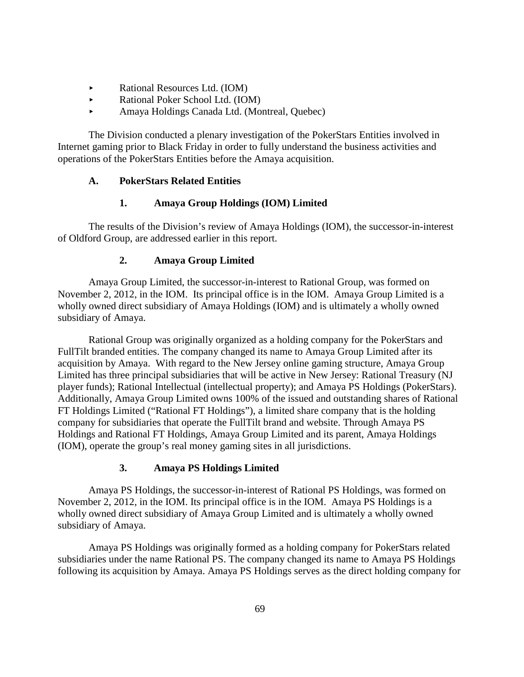- Rational Resources Ltd. (IOM)
- ► Rational Poker School Ltd. (IOM)
- Amaya Holdings Canada Ltd. (Montreal, Quebec)

The Division conducted a plenary investigation of the PokerStars Entities involved in Internet gaming prior to Black Friday in order to fully understand the business activities and operations of the PokerStars Entities before the Amaya acquisition.

## **A. PokerStars Related Entities**

## **1. Amaya Group Holdings (IOM) Limited**

The results of the Division's review of Amaya Holdings (IOM), the successor-in-interest of Oldford Group, are addressed earlier in this report.

# **2. Amaya Group Limited**

Amaya Group Limited, the successor-in-interest to Rational Group, was formed on November 2, 2012, in the IOM. Its principal office is in the IOM. Amaya Group Limited is a wholly owned direct subsidiary of Amaya Holdings (IOM) and is ultimately a wholly owned subsidiary of Amaya.

Rational Group was originally organized as a holding company for the PokerStars and FullTilt branded entities. The company changed its name to Amaya Group Limited after its acquisition by Amaya. With regard to the New Jersey online gaming structure, Amaya Group Limited has three principal subsidiaries that will be active in New Jersey: Rational Treasury (NJ player funds); Rational Intellectual (intellectual property); and Amaya PS Holdings (PokerStars). Additionally, Amaya Group Limited owns 100% of the issued and outstanding shares of Rational FT Holdings Limited ("Rational FT Holdings"), a limited share company that is the holding company for subsidiaries that operate the FullTilt brand and website. Through Amaya PS Holdings and Rational FT Holdings, Amaya Group Limited and its parent, Amaya Holdings (IOM), operate the group's real money gaming sites in all jurisdictions.

## **3. Amaya PS Holdings Limited**

Amaya PS Holdings, the successor-in-interest of Rational PS Holdings, was formed on November 2, 2012, in the IOM. Its principal office is in the IOM. Amaya PS Holdings is a wholly owned direct subsidiary of Amaya Group Limited and is ultimately a wholly owned subsidiary of Amaya.

Amaya PS Holdings was originally formed as a holding company for PokerStars related subsidiaries under the name Rational PS. The company changed its name to Amaya PS Holdings following its acquisition by Amaya. Amaya PS Holdings serves as the direct holding company for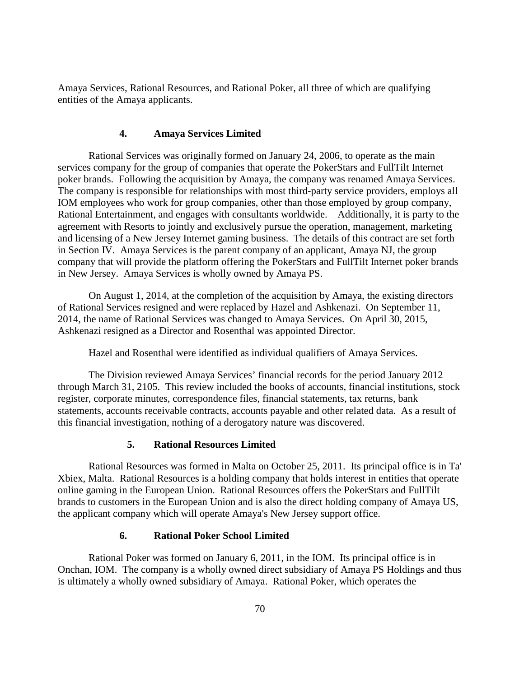Amaya Services, Rational Resources, and Rational Poker, all three of which are qualifying entities of the Amaya applicants.

### **4. Amaya Services Limited**

Rational Services was originally formed on January 24, 2006, to operate as the main services company for the group of companies that operate the PokerStars and FullTilt Internet poker brands. Following the acquisition by Amaya, the company was renamed Amaya Services. The company is responsible for relationships with most third-party service providers, employs all IOM employees who work for group companies, other than those employed by group company, Rational Entertainment, and engages with consultants worldwide. Additionally, it is party to the agreement with Resorts to jointly and exclusively pursue the operation, management, marketing and licensing of a New Jersey Internet gaming business. The details of this contract are set forth in Section IV. Amaya Services is the parent company of an applicant, Amaya NJ, the group company that will provide the platform offering the PokerStars and FullTilt Internet poker brands in New Jersey. Amaya Services is wholly owned by Amaya PS.

On August 1, 2014, at the completion of the acquisition by Amaya, the existing directors of Rational Services resigned and were replaced by Hazel and Ashkenazi. On September 11, 2014, the name of Rational Services was changed to Amaya Services. On April 30, 2015, Ashkenazi resigned as a Director and Rosenthal was appointed Director.

Hazel and Rosenthal were identified as individual qualifiers of Amaya Services.

The Division reviewed Amaya Services' financial records for the period January 2012 through March 31, 2105. This review included the books of accounts, financial institutions, stock register, corporate minutes, correspondence files, financial statements, tax returns, bank statements, accounts receivable contracts, accounts payable and other related data. As a result of this financial investigation, nothing of a derogatory nature was discovered.

## **5. Rational Resources Limited**

Rational Resources was formed in Malta on October 25, 2011. Its principal office is in Ta' Xbiex, Malta. Rational Resources is a holding company that holds interest in entities that operate online gaming in the European Union. Rational Resources offers the PokerStars and FullTilt brands to customers in the European Union and is also the direct holding company of Amaya US, the applicant company which will operate Amaya's New Jersey support office.

## **6. Rational Poker School Limited**

Rational Poker was formed on January 6, 2011, in the IOM. Its principal office is in Onchan, IOM. The company is a wholly owned direct subsidiary of Amaya PS Holdings and thus is ultimately a wholly owned subsidiary of Amaya. Rational Poker, which operates the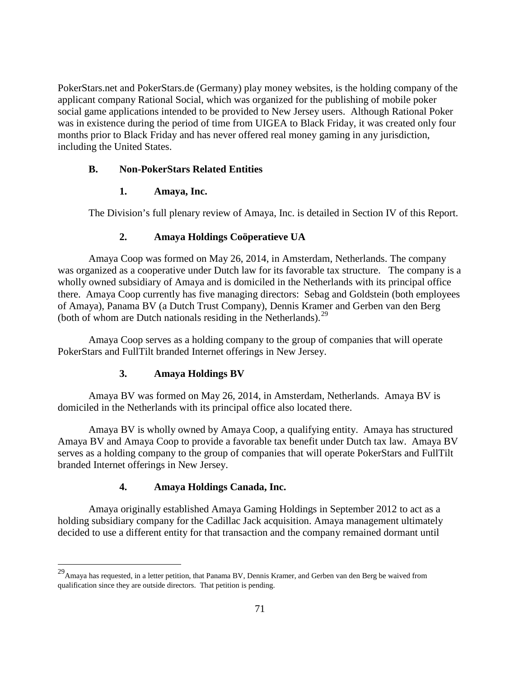PokerStars.net and PokerStars.de (Germany) play money websites, is the holding company of the applicant company Rational Social, which was organized for the publishing of mobile poker social game applications intended to be provided to New Jersey users. Although Rational Poker was in existence during the period of time from UIGEA to Black Friday, it was created only four months prior to Black Friday and has never offered real money gaming in any jurisdiction, including the United States.

### **B. Non-PokerStars Related Entities**

### **1. Amaya, Inc.**

The Division's full plenary review of Amaya, Inc. is detailed in Section IV of this Report.

### **2. Amaya Holdings Coöperatieve UA**

Amaya Coop was formed on May 26, 2014, in Amsterdam, Netherlands. The company was organized as a cooperative under Dutch law for its favorable tax structure. The company is a wholly owned subsidiary of Amaya and is domiciled in the Netherlands with its principal office there. Amaya Coop currently has five managing directors: Sebag and Goldstein (both employees of Amaya), Panama BV (a Dutch Trust Company), Dennis Kramer and Gerben van den Berg (both of whom are Dutch nationals residing in the Netherlands).<sup>[29](#page-71-0)</sup>

Amaya Coop serves as a holding company to the group of companies that will operate PokerStars and FullTilt branded Internet offerings in New Jersey.

### **3. Amaya Holdings BV**

Amaya BV was formed on May 26, 2014, in Amsterdam, Netherlands. Amaya BV is domiciled in the Netherlands with its principal office also located there.

Amaya BV is wholly owned by Amaya Coop, a qualifying entity. Amaya has structured Amaya BV and Amaya Coop to provide a favorable tax benefit under Dutch tax law. Amaya BV serves as a holding company to the group of companies that will operate PokerStars and FullTilt branded Internet offerings in New Jersey.

### **4. Amaya Holdings Canada, Inc.**

Amaya originally established Amaya Gaming Holdings in September 2012 to act as a holding subsidiary company for the Cadillac Jack acquisition. Amaya management ultimately decided to use a different entity for that transaction and the company remained dormant until

 <sup>29</sup>Amaya has requested, in a letter petition, that Panama BV, Dennis Kramer, and Gerben van den Berg be waived from qualification since they are outside directors. That petition is pending.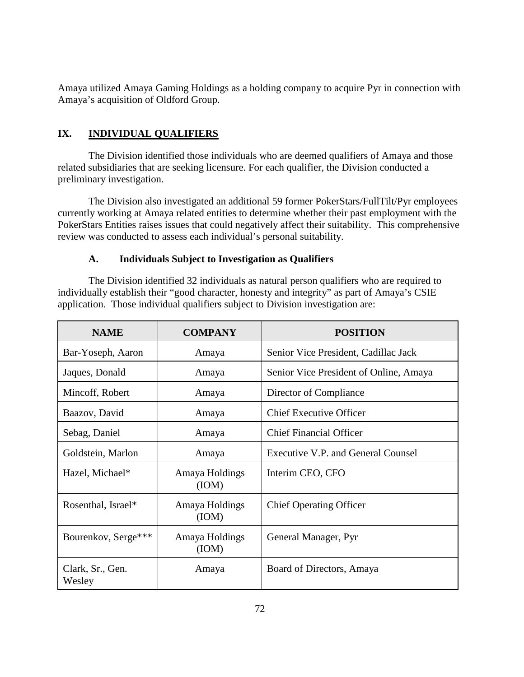Amaya utilized Amaya Gaming Holdings as a holding company to acquire Pyr in connection with Amaya's acquisition of Oldford Group.

# **IX. INDIVIDUAL QUALIFIERS**

The Division identified those individuals who are deemed qualifiers of Amaya and those related subsidiaries that are seeking licensure. For each qualifier, the Division conducted a preliminary investigation.

The Division also investigated an additional 59 former PokerStars/FullTilt/Pyr employees currently working at Amaya related entities to determine whether their past employment with the PokerStars Entities raises issues that could negatively affect their suitability. This comprehensive review was conducted to assess each individual's personal suitability.

## **A. Individuals Subject to Investigation as Qualifiers**

The Division identified 32 individuals as natural person qualifiers who are required to individually establish their "good character, honesty and integrity" as part of Amaya's CSIE application. Those individual qualifiers subject to Division investigation are:

| <b>NAME</b>                | <b>COMPANY</b>          | <b>POSITION</b>                        |
|----------------------------|-------------------------|----------------------------------------|
| Bar-Yoseph, Aaron          | Amaya                   | Senior Vice President, Cadillac Jack   |
| Jaques, Donald             | Amaya                   | Senior Vice President of Online, Amaya |
| Mincoff, Robert            | Amaya                   | Director of Compliance                 |
| Baazov, David              | Amaya                   | <b>Chief Executive Officer</b>         |
| Sebag, Daniel              | Amaya                   | <b>Chief Financial Officer</b>         |
| Goldstein, Marlon          | Amaya                   | Executive V.P. and General Counsel     |
| Hazel, Michael*            | Amaya Holdings<br>(IOM) | Interim CEO, CFO                       |
| Rosenthal, Israel*         | Amaya Holdings<br>(ION) | <b>Chief Operating Officer</b>         |
| Bourenkov, Serge***        | Amaya Holdings<br>(IOM) | General Manager, Pyr                   |
| Clark, Sr., Gen.<br>Wesley | Amaya                   | Board of Directors, Amaya              |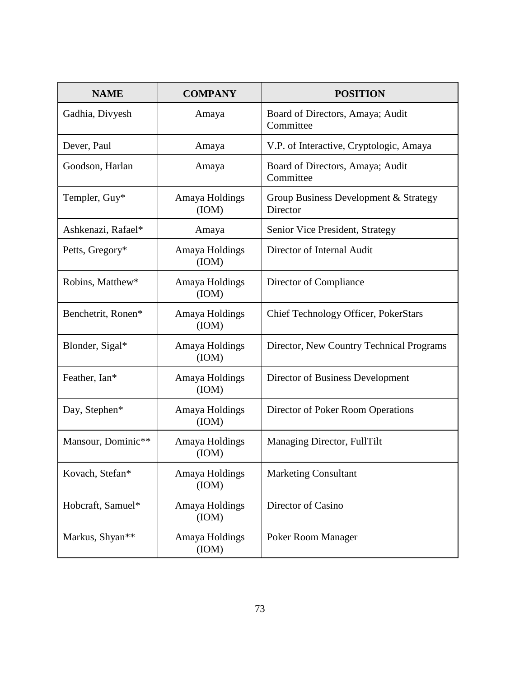| <b>NAME</b>        | <b>COMPANY</b>          | <b>POSITION</b>                                   |
|--------------------|-------------------------|---------------------------------------------------|
| Gadhia, Divyesh    | Amaya                   | Board of Directors, Amaya; Audit<br>Committee     |
| Dever, Paul        | Amaya                   | V.P. of Interactive, Cryptologic, Amaya           |
| Goodson, Harlan    | Amaya                   | Board of Directors, Amaya; Audit<br>Committee     |
| Templer, Guy*      | Amaya Holdings<br>(ION) | Group Business Development & Strategy<br>Director |
| Ashkenazi, Rafael* | Amaya                   | Senior Vice President, Strategy                   |
| Petts, Gregory*    | Amaya Holdings<br>(ION) | Director of Internal Audit                        |
| Robins, Matthew*   | Amaya Holdings<br>(ION) | Director of Compliance                            |
| Benchetrit, Ronen* | Amaya Holdings<br>(ION) | <b>Chief Technology Officer, PokerStars</b>       |
| Blonder, Sigal*    | Amaya Holdings<br>(ION) | Director, New Country Technical Programs          |
| Feather, Ian*      | Amaya Holdings<br>(ION) | Director of Business Development                  |
| Day, Stephen*      | Amaya Holdings<br>(ION) | Director of Poker Room Operations                 |
| Mansour, Dominic** | Amaya Holdings<br>(ION) | Managing Director, FullTilt                       |
| Kovach, Stefan*    | Amaya Holdings<br>(ION) | <b>Marketing Consultant</b>                       |
| Hobcraft, Samuel*  | Amaya Holdings<br>(ION) | Director of Casino                                |
| Markus, Shyan**    | Amaya Holdings<br>(ION) | Poker Room Manager                                |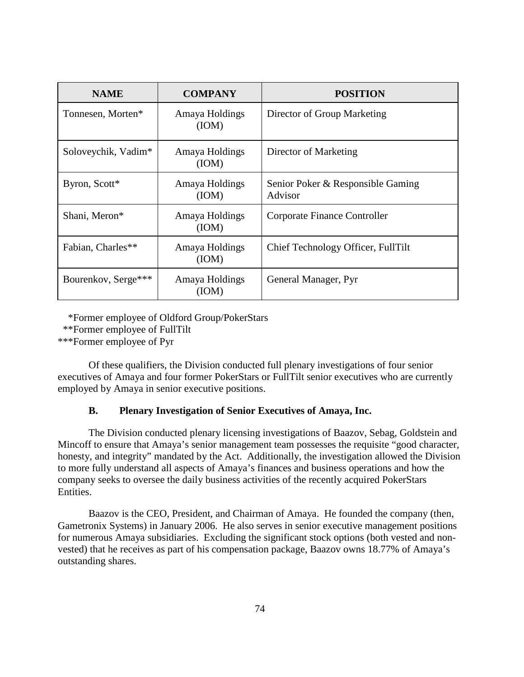| <b>NAME</b>         | <b>COMPANY</b>          | <b>POSITION</b>                              |
|---------------------|-------------------------|----------------------------------------------|
| Tonnesen, Morten*   | Amaya Holdings<br>(ION) | Director of Group Marketing                  |
| Soloveychik, Vadim* | Amaya Holdings<br>(ION) | Director of Marketing                        |
| Byron, Scott*       | Amaya Holdings<br>(IOM) | Senior Poker & Responsible Gaming<br>Advisor |
| Shani, Meron*       | Amaya Holdings<br>(ION) | Corporate Finance Controller                 |
| Fabian, Charles**   | Amaya Holdings<br>(ION) | Chief Technology Officer, FullTilt           |
| Bourenkov, Serge*** | Amaya Holdings<br>(ION) | General Manager, Pyr                         |

\*Former employee of Oldford Group/PokerStars

\*\*\*Former employee of Pyr

Of these qualifiers, the Division conducted full plenary investigations of four senior executives of Amaya and four former PokerStars or FullTilt senior executives who are currently employed by Amaya in senior executive positions.

# **B. Plenary Investigation of Senior Executives of Amaya, Inc.**

The Division conducted plenary licensing investigations of Baazov, Sebag, Goldstein and Mincoff to ensure that Amaya's senior management team possesses the requisite "good character, honesty, and integrity" mandated by the Act. Additionally, the investigation allowed the Division to more fully understand all aspects of Amaya's finances and business operations and how the company seeks to oversee the daily business activities of the recently acquired PokerStars Entities.

Baazov is the CEO, President, and Chairman of Amaya. He founded the company (then, Gametronix Systems) in January 2006. He also serves in senior executive management positions for numerous Amaya subsidiaries. Excluding the significant stock options (both vested and nonvested) that he receives as part of his compensation package, Baazov owns 18.77% of Amaya's outstanding shares.

 <sup>\*\*</sup>Former employee of FullTilt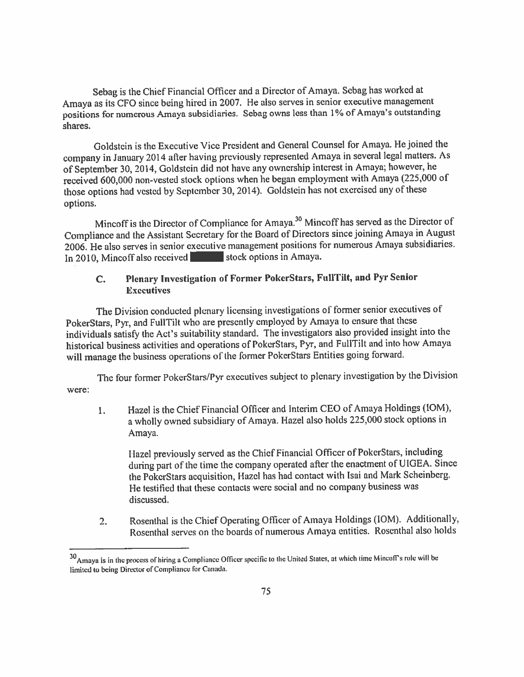Sebag is the Chief Financial Officer and a Director of Amaya. Sebag has worked at Amaya as its CFO since being hired in 2007. He also serves in senior executive management positions for numerous Amaya subsidiaries. Sebag owns less than 1% of Amaya's outstanding shares.

Goldstein is the Executive Vice President and General Counsel for Amaya. He joined the company in January 2014 after having previously represented Amaya in several legal matters. As of September 30, 2014, Goldstein did not have any ownership interest in Amaya; however, he received 600,000 non-vested stock options when he began employment with Amaya (225,000 of those options had vested by September 30, 2014). Goldstein has not exercised any of these options.

Mincoff is the Director of Compliance for Amaya.<sup>30</sup> Mincoff has served as the Director of Compliance and the Assistant Secretary for the Board of Directors since joining Amaya in August 2006. He also serves in senior executive management positions for numerous Amaya subsidiaries. In 2010, Mincoff also received stock options in Amaya.

#### Plenary Investigation of Former PokerStars, FullTilt, and Pyr Senior  $C_{\star}$ **Executives**

The Division conducted plenary licensing investigations of former senior executives of PokerStars, Pyr, and FullTilt who are presently employed by Amaya to ensure that these individuals satisfy the Act's suitability standard. The investigators also provided insight into the historical business activities and operations of PokerStars, Pyr, and FullTilt and into how Amaya will manage the business operations of the former PokerStars Entities going forward.

The four former PokerStars/Pyr executives subject to plenary investigation by the Division were:

Hazel is the Chief Financial Officer and Interim CEO of Amaya Holdings (IOM),  $1.$ a wholly owned subsidiary of Amaya. Hazel also holds 225,000 stock options in Amaya.

Hazel previously served as the Chief Financial Officer of PokerStars, including during part of the time the company operated after the enactment of UIGEA. Since the PokerStars acquisition, Hazel has had contact with Isai and Mark Scheinberg. He testified that these contacts were social and no company business was discussed.

Rosenthal is the Chief Operating Officer of Amaya Holdings (IOM). Additionally,  $2.$ Rosenthal serves on the boards of numerous Amaya entities. Rosenthal also holds

<sup>30</sup> Amaya is in the process of hiring a Compliance Officer specific to the United States, at which time Mincoff's role will be limited to being Director of Compliance for Canada.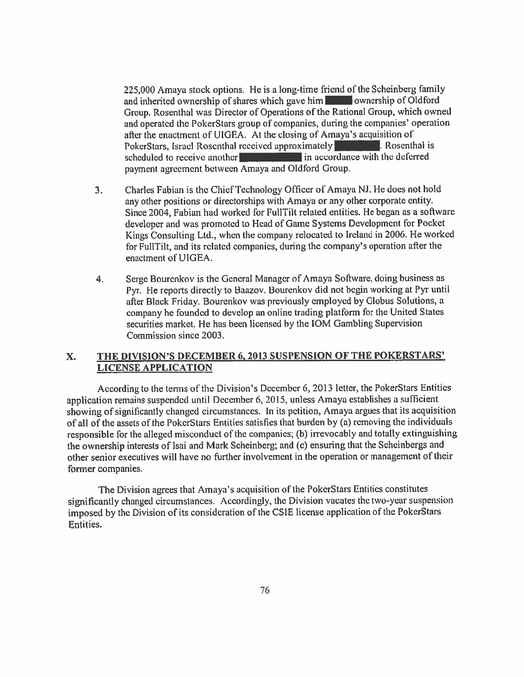225,000 Amaya stock options. He is a long-time friend of the Scheinberg family and inherited ownership of shares which gave him was ownership of Oldford Group. Rosenthal was Director of Operations of the Rational Group, which owned and operated the PokerStars group of companies, during the companies' operation after the enactment of UIGEA. At the closing of Amaya's acquisition of PokerStars, Israel Rosenthal received approximately Rosenthal is in accordance with the deferred scheduled to receive another payment agreement between Amaya and Oldford Group.

- Charles Fabian is the Chief Technology Officer of Amaya NJ. He does not hold  $3<sub>1</sub>$ any other positions or directorships with Amaya or any other corporate entity. Since 2004, Fabian had worked for FullTilt related entities. He began as a software developer and was promoted to Head of Game Systems Development for Pocket Kings Consulting Ltd., when the company relocated to Ireland in 2006. He worked for FullTilt, and its related companies, during the company's operation after the enactment of UIGEA.
- Serge Bourenkov is the General Manager of Amaya Software, doing business as  $4.$ Pyr. He reports directly to Baazov. Bourenkov did not begin working at Pyr until after Black Friday. Bourenkov was previously employed by Globus Solutions, a company he founded to develop an online trading platform for the United States securities market. He has been licensed by the IOM Gambling Supervision Commission since 2003.

#### THE DIVISION'S DECEMBER 6, 2013 SUSPENSION OF THE POKERSTARS' X. **LICENSE APPLICATION**

According to the terms of the Division's December 6, 2013 letter, the PokerStars Entities application remains suspended until December 6, 2015, unless Amaya establishes a sufficient showing of significantly changed circumstances. In its petition, Amaya argues that its acquisition of all of the assets of the PokerStars Entities satisfies that burden by (a) removing the individuals responsible for the alleged misconduct of the companies; (b) irrevocably and totally extinguishing the ownership interests of Isai and Mark Scheinberg; and (c) ensuring that the Scheinbergs and other senior executives will have no further involvement in the operation or management of their former companies.

The Division agrees that Amaya's acquisition of the PokerStars Entities constitutes significantly changed circumstances. Accordingly, the Division vacates the two-year suspension imposed by the Division of its consideration of the CSIE license application of the PokerStars Entities.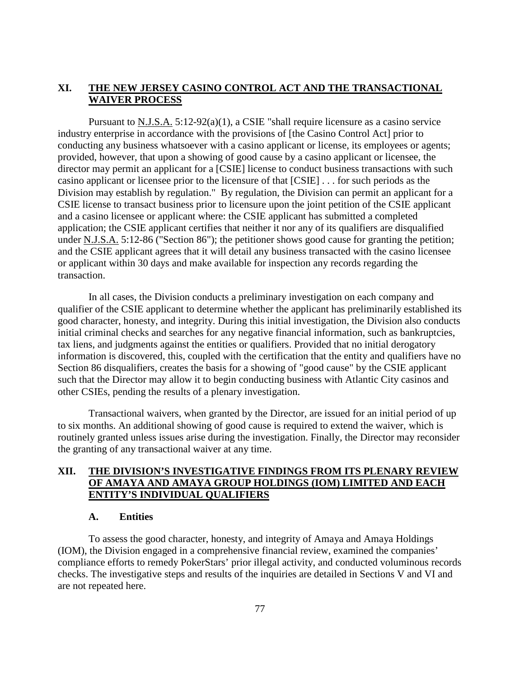## **XI. THE NEW JERSEY CASINO CONTROL ACT AND THE TRANSACTIONAL WAIVER PROCESS**

Pursuant to  $N.J.S.A.$  5:12-92(a)(1), a CSIE "shall require licensure as a casino service industry enterprise in accordance with the provisions of [the Casino Control Act] prior to conducting any business whatsoever with a casino applicant or license, its employees or agents; provided, however, that upon a showing of good cause by a casino applicant or licensee, the director may permit an applicant for a [CSIE] license to conduct business transactions with such casino applicant or licensee prior to the licensure of that [CSIE] . . . for such periods as the Division may establish by regulation." By regulation, the Division can permit an applicant for a CSIE license to transact business prior to licensure upon the joint petition of the CSIE applicant and a casino licensee or applicant where: the CSIE applicant has submitted a completed application; the CSIE applicant certifies that neither it nor any of its qualifiers are disqualified under N.J.S.A. 5:12-86 ("Section 86"); the petitioner shows good cause for granting the petition; and the CSIE applicant agrees that it will detail any business transacted with the casino licensee or applicant within 30 days and make available for inspection any records regarding the transaction.

In all cases, the Division conducts a preliminary investigation on each company and qualifier of the CSIE applicant to determine whether the applicant has preliminarily established its good character, honesty, and integrity. During this initial investigation, the Division also conducts initial criminal checks and searches for any negative financial information, such as bankruptcies, tax liens, and judgments against the entities or qualifiers. Provided that no initial derogatory information is discovered, this, coupled with the certification that the entity and qualifiers have no Section 86 disqualifiers, creates the basis for a showing of "good cause" by the CSIE applicant such that the Director may allow it to begin conducting business with Atlantic City casinos and other CSIEs, pending the results of a plenary investigation.

Transactional waivers, when granted by the Director, are issued for an initial period of up to six months. An additional showing of good cause is required to extend the waiver, which is routinely granted unless issues arise during the investigation. Finally, the Director may reconsider the granting of any transactional waiver at any time.

# **XII. THE DIVISION'S INVESTIGATIVE FINDINGS FROM ITS PLENARY REVIEW OF AMAYA AND AMAYA GROUP HOLDINGS (IOM) LIMITED AND EACH ENTITY'S INDIVIDUAL QUALIFIERS**

### **A. Entities**

To assess the good character, honesty, and integrity of Amaya and Amaya Holdings (IOM), the Division engaged in a comprehensive financial review, examined the companies' compliance efforts to remedy PokerStars' prior illegal activity, and conducted voluminous records checks. The investigative steps and results of the inquiries are detailed in Sections V and VI and are not repeated here.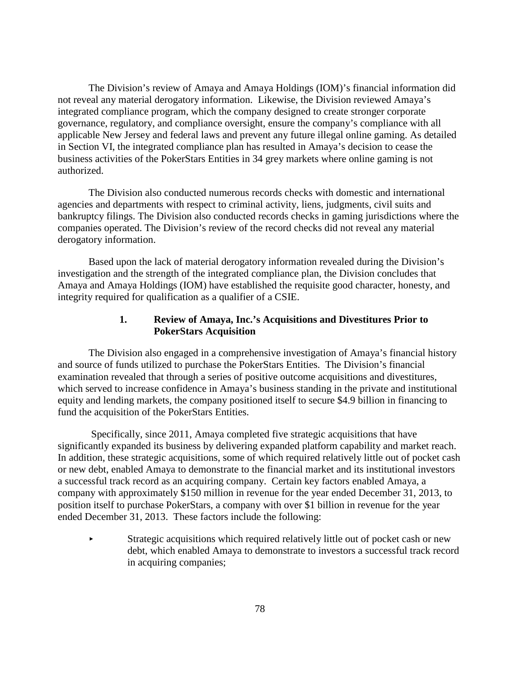The Division's review of Amaya and Amaya Holdings (IOM)'s financial information did not reveal any material derogatory information. Likewise, the Division reviewed Amaya's integrated compliance program, which the company designed to create stronger corporate governance, regulatory, and compliance oversight, ensure the company's compliance with all applicable New Jersey and federal laws and prevent any future illegal online gaming. As detailed in Section VI, the integrated compliance plan has resulted in Amaya's decision to cease the business activities of the PokerStars Entities in 34 grey markets where online gaming is not authorized.

The Division also conducted numerous records checks with domestic and international agencies and departments with respect to criminal activity, liens, judgments, civil suits and bankruptcy filings. The Division also conducted records checks in gaming jurisdictions where the companies operated. The Division's review of the record checks did not reveal any material derogatory information.

Based upon the lack of material derogatory information revealed during the Division's investigation and the strength of the integrated compliance plan, the Division concludes that Amaya and Amaya Holdings (IOM) have established the requisite good character, honesty, and integrity required for qualification as a qualifier of a CSIE.

## **1. Review of Amaya, Inc.'s Acquisitions and Divestitures Prior to PokerStars Acquisition**

The Division also engaged in a comprehensive investigation of Amaya's financial history and source of funds utilized to purchase the PokerStars Entities. The Division's financial examination revealed that through a series of positive outcome acquisitions and divestitures, which served to increase confidence in Amaya's business standing in the private and institutional equity and lending markets, the company positioned itself to secure \$4.9 billion in financing to fund the acquisition of the PokerStars Entities.

Specifically, since 2011, Amaya completed five strategic acquisitions that have significantly expanded its business by delivering expanded platform capability and market reach. In addition, these strategic acquisitions, some of which required relatively little out of pocket cash or new debt, enabled Amaya to demonstrate to the financial market and its institutional investors a successful track record as an acquiring company. Certain key factors enabled Amaya, a company with approximately \$150 million in revenue for the year ended December 31, 2013, to position itself to purchase PokerStars, a company with over \$1 billion in revenue for the year ended December 31, 2013. These factors include the following:

 Strategic acquisitions which required relatively little out of pocket cash or new debt, which enabled Amaya to demonstrate to investors a successful track record in acquiring companies;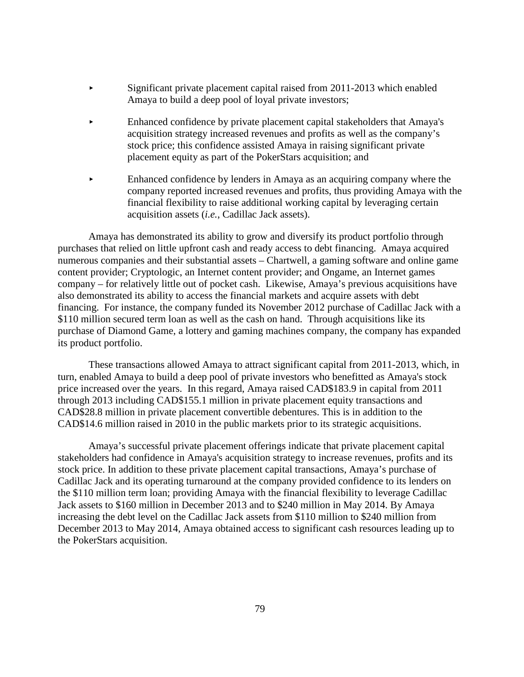- Significant private placement capital raised from 2011-2013 which enabled Amaya to build a deep pool of loyal private investors;
- Enhanced confidence by private placement capital stakeholders that Amaya's acquisition strategy increased revenues and profits as well as the company's stock price; this confidence assisted Amaya in raising significant private placement equity as part of the PokerStars acquisition; and
- Enhanced confidence by lenders in Amaya as an acquiring company where the company reported increased revenues and profits, thus providing Amaya with the financial flexibility to raise additional working capital by leveraging certain acquisition assets (*i.e.*, Cadillac Jack assets).

Amaya has demonstrated its ability to grow and diversify its product portfolio through purchases that relied on little upfront cash and ready access to debt financing. Amaya acquired numerous companies and their substantial assets – Chartwell, a gaming software and online game content provider; Cryptologic, an Internet content provider; and Ongame, an Internet games company – for relatively little out of pocket cash. Likewise, Amaya's previous acquisitions have also demonstrated its ability to access the financial markets and acquire assets with debt financing. For instance, the company funded its November 2012 purchase of Cadillac Jack with a \$110 million secured term loan as well as the cash on hand. Through acquisitions like its purchase of Diamond Game, a lottery and gaming machines company, the company has expanded its product portfolio.

These transactions allowed Amaya to attract significant capital from 2011-2013, which, in turn, enabled Amaya to build a deep pool of private investors who benefitted as Amaya's stock price increased over the years. In this regard, Amaya raised CAD\$183.9 in capital from 2011 through 2013 including CAD\$155.1 million in private placement equity transactions and CAD\$28.8 million in private placement convertible debentures. This is in addition to the CAD\$14.6 million raised in 2010 in the public markets prior to its strategic acquisitions.

Amaya's successful private placement offerings indicate that private placement capital stakeholders had confidence in Amaya's acquisition strategy to increase revenues, profits and its stock price. In addition to these private placement capital transactions, Amaya's purchase of Cadillac Jack and its operating turnaround at the company provided confidence to its lenders on the \$110 million term loan; providing Amaya with the financial flexibility to leverage Cadillac Jack assets to \$160 million in December 2013 and to \$240 million in May 2014. By Amaya increasing the debt level on the Cadillac Jack assets from \$110 million to \$240 million from December 2013 to May 2014, Amaya obtained access to significant cash resources leading up to the PokerStars acquisition.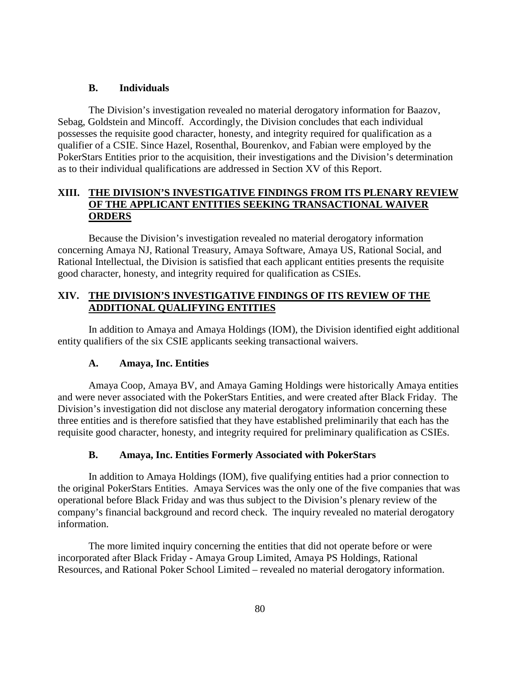### **B. Individuals**

The Division's investigation revealed no material derogatory information for Baazov, Sebag, Goldstein and Mincoff. Accordingly, the Division concludes that each individual possesses the requisite good character, honesty, and integrity required for qualification as a qualifier of a CSIE. Since Hazel, Rosenthal, Bourenkov, and Fabian were employed by the PokerStars Entities prior to the acquisition, their investigations and the Division's determination as to their individual qualifications are addressed in Section XV of this Report.

# **XIII. THE DIVISION'S INVESTIGATIVE FINDINGS FROM ITS PLENARY REVIEW OF THE APPLICANT ENTITIES SEEKING TRANSACTIONAL WAIVER ORDERS**

Because the Division's investigation revealed no material derogatory information concerning Amaya NJ, Rational Treasury, Amaya Software, Amaya US, Rational Social, and Rational Intellectual, the Division is satisfied that each applicant entities presents the requisite good character, honesty, and integrity required for qualification as CSIEs.

# **XIV. THE DIVISION'S INVESTIGATIVE FINDINGS OF ITS REVIEW OF THE ADDITIONAL QUALIFYING ENTITIES**

In addition to Amaya and Amaya Holdings (IOM), the Division identified eight additional entity qualifiers of the six CSIE applicants seeking transactional waivers.

### **A. Amaya, Inc. Entities**

Amaya Coop, Amaya BV, and Amaya Gaming Holdings were historically Amaya entities and were never associated with the PokerStars Entities, and were created after Black Friday. The Division's investigation did not disclose any material derogatory information concerning these three entities and is therefore satisfied that they have established preliminarily that each has the requisite good character, honesty, and integrity required for preliminary qualification as CSIEs.

### **B. Amaya, Inc. Entities Formerly Associated with PokerStars**

In addition to Amaya Holdings (IOM), five qualifying entities had a prior connection to the original PokerStars Entities. Amaya Services was the only one of the five companies that was operational before Black Friday and was thus subject to the Division's plenary review of the company's financial background and record check. The inquiry revealed no material derogatory information.

The more limited inquiry concerning the entities that did not operate before or were incorporated after Black Friday - Amaya Group Limited, Amaya PS Holdings, Rational Resources, and Rational Poker School Limited – revealed no material derogatory information.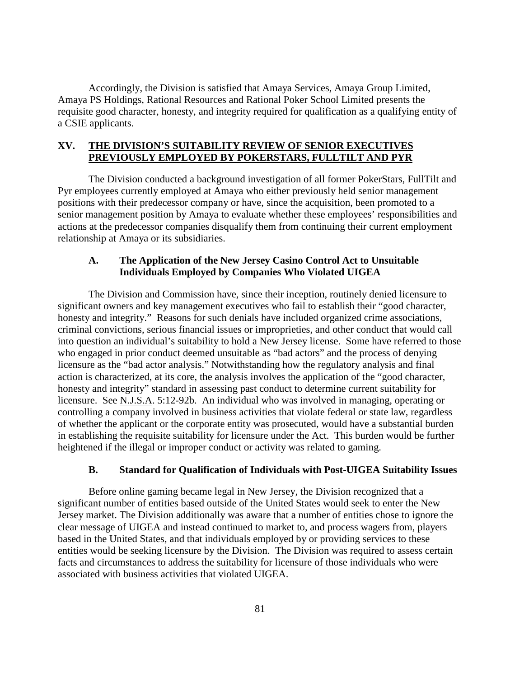Accordingly, the Division is satisfied that Amaya Services, Amaya Group Limited, Amaya PS Holdings, Rational Resources and Rational Poker School Limited presents the requisite good character, honesty, and integrity required for qualification as a qualifying entity of a CSIE applicants.

## **XV. THE DIVISION'S SUITABILITY REVIEW OF SENIOR EXECUTIVES PREVIOUSLY EMPLOYED BY POKERSTARS, FULLTILT AND PYR**

The Division conducted a background investigation of all former PokerStars, FullTilt and Pyr employees currently employed at Amaya who either previously held senior management positions with their predecessor company or have, since the acquisition, been promoted to a senior management position by Amaya to evaluate whether these employees' responsibilities and actions at the predecessor companies disqualify them from continuing their current employment relationship at Amaya or its subsidiaries.

# **A. The Application of the New Jersey Casino Control Act to Unsuitable Individuals Employed by Companies Who Violated UIGEA**

The Division and Commission have, since their inception, routinely denied licensure to significant owners and key management executives who fail to establish their "good character, honesty and integrity." Reasons for such denials have included organized crime associations, criminal convictions, serious financial issues or improprieties, and other conduct that would call into question an individual's suitability to hold a New Jersey license. Some have referred to those who engaged in prior conduct deemed unsuitable as "bad actors" and the process of denying licensure as the "bad actor analysis." Notwithstanding how the regulatory analysis and final action is characterized, at its core, the analysis involves the application of the "good character, honesty and integrity" standard in assessing past conduct to determine current suitability for licensure. See N.J.S.A. 5:12-92b. An individual who was involved in managing, operating or controlling a company involved in business activities that violate federal or state law, regardless of whether the applicant or the corporate entity was prosecuted, would have a substantial burden in establishing the requisite suitability for licensure under the Act. This burden would be further heightened if the illegal or improper conduct or activity was related to gaming.

## **B. Standard for Qualification of Individuals with Post-UIGEA Suitability Issues**

Before online gaming became legal in New Jersey, the Division recognized that a significant number of entities based outside of the United States would seek to enter the New Jersey market. The Division additionally was aware that a number of entities chose to ignore the clear message of UIGEA and instead continued to market to, and process wagers from, players based in the United States, and that individuals employed by or providing services to these entities would be seeking licensure by the Division. The Division was required to assess certain facts and circumstances to address the suitability for licensure of those individuals who were associated with business activities that violated UIGEA.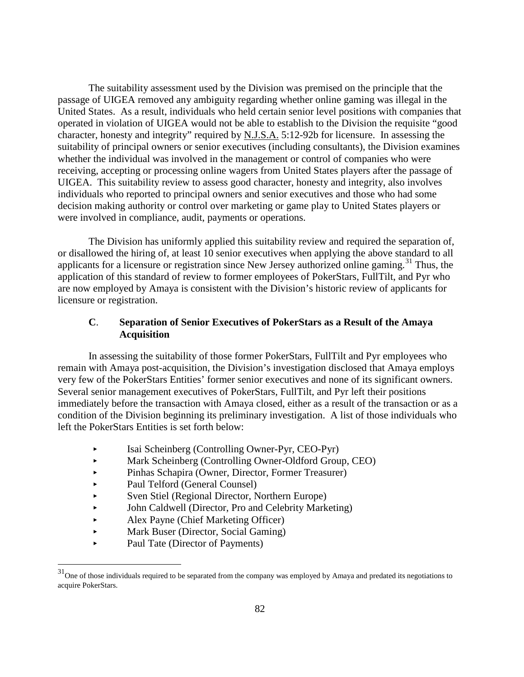The suitability assessment used by the Division was premised on the principle that the passage of UIGEA removed any ambiguity regarding whether online gaming was illegal in the United States. As a result, individuals who held certain senior level positions with companies that operated in violation of UIGEA would not be able to establish to the Division the requisite "good character, honesty and integrity" required by N.J.S.A. 5:12-92b for licensure. In assessing the suitability of principal owners or senior executives (including consultants), the Division examines whether the individual was involved in the management or control of companies who were receiving, accepting or processing online wagers from United States players after the passage of UIGEA. This suitability review to assess good character, honesty and integrity, also involves individuals who reported to principal owners and senior executives and those who had some decision making authority or control over marketing or game play to United States players or were involved in compliance, audit, payments or operations.

The Division has uniformly applied this suitability review and required the separation of, or disallowed the hiring of, at least 10 senior executives when applying the above standard to all applicants for a licensure or registration since New Jersey authorized online gaming.<sup>31</sup> Thus, the application of this standard of review to former employees of PokerStars, FullTilt, and Pyr who are now employed by Amaya is consistent with the Division's historic review of applicants for licensure or registration.

# **C**. **Separation of Senior Executives of PokerStars as a Result of the Amaya Acquisition**

In assessing the suitability of those former PokerStars, FullTilt and Pyr employees who remain with Amaya post-acquisition, the Division's investigation disclosed that Amaya employs very few of the PokerStars Entities' former senior executives and none of its significant owners. Several senior management executives of PokerStars, FullTilt, and Pyr left their positions immediately before the transaction with Amaya closed, either as a result of the transaction or as a condition of the Division beginning its preliminary investigation. A list of those individuals who left the PokerStars Entities is set forth below:

- Isai Scheinberg (Controlling Owner-Pyr, CEO-Pyr)
- Mark Scheinberg (Controlling Owner-Oldford Group, CEO)
- Pinhas Schapira (Owner, Director, Former Treasurer)
- Paul Telford (General Counsel)
- Sven Stiel (Regional Director, Northern Europe)
- John Caldwell (Director, Pro and Celebrity Marketing)
- Alex Payne (Chief Marketing Officer)
- Mark Buser (Director, Social Gaming)
- Paul Tate (Director of Payments)

<span id="page-87-0"></span> $31$ One of those individuals required to be separated from the company was employed by Amaya and predated its negotiations to acquire PokerStars.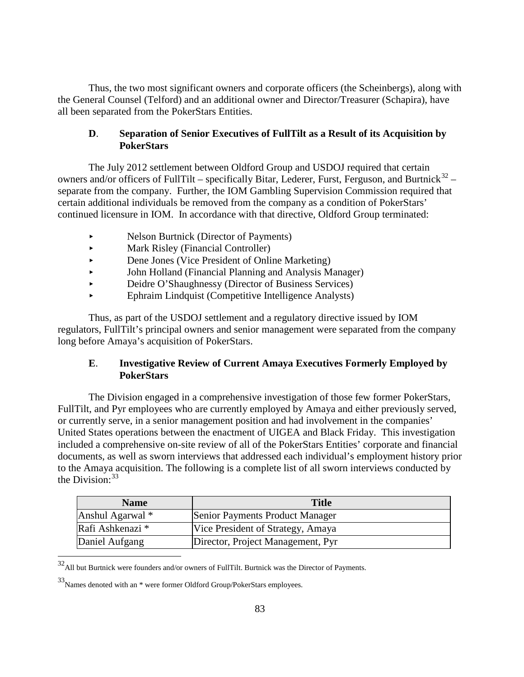Thus, the two most significant owners and corporate officers (the Scheinbergs), along with the General Counsel (Telford) and an additional owner and Director/Treasurer (Schapira), have all been separated from the PokerStars Entities.

# **D**. **Separation of Senior Executives of FullTilt as a Result of its Acquisition by PokerStars**

The July 2012 settlement between Oldford Group and USDOJ required that certain owners and/or officers of FullTilt – specifically Bitar, Lederer, Furst, Ferguson, and Burtnick $32$  – separate from the company. Further, the IOM Gambling Supervision Commission required that certain additional individuals be removed from the company as a condition of PokerStars' continued licensure in IOM. In accordance with that directive, Oldford Group terminated:

- Nelson Burtnick (Director of Payments)
- Mark Risley (Financial Controller)
- Dene Jones (Vice President of Online Marketing)
- John Holland (Financial Planning and Analysis Manager)
- Deidre O'Shaughnessy (Director of Business Services)
- Ephraim Lindquist (Competitive Intelligence Analysts)

Thus, as part of the USDOJ settlement and a regulatory directive issued by IOM regulators, FullTilt's principal owners and senior management were separated from the company long before Amaya's acquisition of PokerStars.

# **E**. **Investigative Review of Current Amaya Executives Formerly Employed by PokerStars**

The Division engaged in a comprehensive investigation of those few former PokerStars, FullTilt, and Pyr employees who are currently employed by Amaya and either previously served, or currently serve, in a senior management position and had involvement in the companies' United States operations between the enactment of UIGEA and Black Friday. This investigation included a comprehensive on-site review of all of the PokerStars Entities' corporate and financial documents, as well as sworn interviews that addressed each individual's employment history prior to the Amaya acquisition. The following is a complete list of all sworn interviews conducted by the Division:  $33$ 

| <b>Name</b>      | <b>Title</b>                      |
|------------------|-----------------------------------|
| Anshul Agarwal * | Senior Payments Product Manager   |
| Rafi Ashkenazi * | Vice President of Strategy, Amaya |
| Daniel Aufgang   | Director, Project Management, Pyr |

 $^{32}\!$  All but Burtnick were founders and/or owners of FullTilt. Burtnick was the Director of Payments.

<span id="page-88-0"></span><sup>33</sup>Names denoted with an \* were former Oldford Group/PokerStars employees.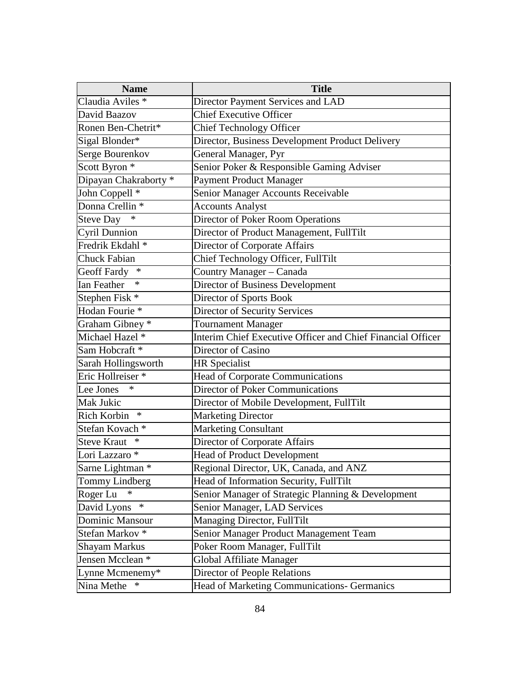| <b>Name</b>                  | <b>Title</b>                                                |
|------------------------------|-------------------------------------------------------------|
| Claudia Aviles <sup>*</sup>  | Director Payment Services and LAD                           |
| David Baazov                 | <b>Chief Executive Officer</b>                              |
| Ronen Ben-Chetrit*           | <b>Chief Technology Officer</b>                             |
| Sigal Blonder*               | Director, Business Development Product Delivery             |
| Serge Bourenkov              | General Manager, Pyr                                        |
| Scott Byron <sup>*</sup>     | Senior Poker & Responsible Gaming Adviser                   |
| Dipayan Chakraborty*         | <b>Payment Product Manager</b>                              |
| John Coppell <sup>*</sup>    | Senior Manager Accounts Receivable                          |
| Donna Crellin <sup>*</sup>   | <b>Accounts Analyst</b>                                     |
| $\ast$<br><b>Steve Day</b>   | Director of Poker Room Operations                           |
| Cyril Dunnion                | Director of Product Management, FullTilt                    |
| Fredrik Ekdahl <sup>*</sup>  | Director of Corporate Affairs                               |
| <b>Chuck Fabian</b>          | Chief Technology Officer, FullTilt                          |
| $\ast$<br>Geoff Fardy        | Country Manager - Canada                                    |
| $\ast$<br><b>Ian Feather</b> | Director of Business Development                            |
| Stephen Fisk *               | Director of Sports Book                                     |
| Hodan Fourie <sup>*</sup>    | Director of Security Services                               |
| Graham Gibney *              | Tournament Manager                                          |
| Michael Hazel *              | Interim Chief Executive Officer and Chief Financial Officer |
| Sam Hobcraft <sup>*</sup>    | Director of Casino                                          |
| Sarah Hollingsworth          | <b>HR</b> Specialist                                        |
| Eric Hollreiser <sup>*</sup> | Head of Corporate Communications                            |
| $\ast$<br>Lee Jones          | Director of Poker Communications                            |
| Mak Jukic                    | Director of Mobile Development, FullTilt                    |
| Rich Korbin<br>$\ast$        | <b>Marketing Director</b>                                   |
| Stefan Kovach <sup>*</sup>   | <b>Marketing Consultant</b>                                 |
| <b>Steve Kraut</b><br>∗      | Director of Corporate Affairs                               |
| Lori Lazzaro *               | <b>Head of Product Development</b>                          |
| Sarne Lightman *             | Regional Director, UK, Canada, and ANZ                      |
| Tommy Lindberg               | Head of Information Security, FullTilt                      |
| Roger Lu<br>∗                | Senior Manager of Strategic Planning & Development          |
| $\ast$<br>David Lyons        | Senior Manager, LAD Services                                |
| Dominic Mansour              | Managing Director, FullTilt                                 |
| Stefan Markov <sup>*</sup>   | Senior Manager Product Management Team                      |
| <b>Shayam Markus</b>         | Poker Room Manager, FullTilt                                |
| Jensen Mcclean *             | <b>Global Affiliate Manager</b>                             |
| Lynne Mcmenemy*              | Director of People Relations                                |
| Nina Methe                   | <b>Head of Marketing Communications- Germanics</b>          |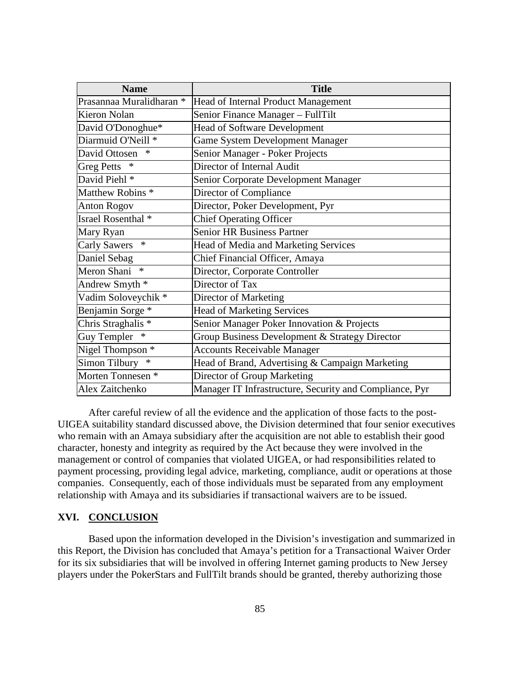| <b>Name</b>                   | <b>Title</b>                                            |
|-------------------------------|---------------------------------------------------------|
| Prasannaa Muralidharan *      | Head of Internal Product Management                     |
| <b>Kieron Nolan</b>           | Senior Finance Manager - FullTilt                       |
| David O'Donoghue*             | <b>Head of Software Development</b>                     |
| Diarmuid O'Neill <sup>*</sup> | Game System Development Manager                         |
| $\ast$<br>David Ottosen       | Senior Manager - Poker Projects                         |
| <b>Greg Petts</b>             | Director of Internal Audit                              |
| David Piehl <sup>*</sup>      | Senior Corporate Development Manager                    |
| Matthew Robins <sup>*</sup>   | Director of Compliance                                  |
| <b>Anton Rogov</b>            | Director, Poker Development, Pyr                        |
| Israel Rosenthal <sup>*</sup> | <b>Chief Operating Officer</b>                          |
| Mary Ryan                     | <b>Senior HR Business Partner</b>                       |
| <b>Carly Sawers</b><br>$\ast$ | Head of Media and Marketing Services                    |
| Daniel Sebag                  | Chief Financial Officer, Amaya                          |
| Meron Shani<br>$\ast$         | Director, Corporate Controller                          |
| Andrew Smyth *                | Director of Tax                                         |
| Vadim Soloveychik *           | Director of Marketing                                   |
| Benjamin Sorge *              | <b>Head of Marketing Services</b>                       |
| Chris Straghalis <sup>*</sup> | Senior Manager Poker Innovation & Projects              |
| <b>Guy Templer</b><br>∗       | Group Business Development & Strategy Director          |
| Nigel Thompson <sup>*</sup>   | <b>Accounts Receivable Manager</b>                      |
| Simon Tilbury *               | Head of Brand, Advertising & Campaign Marketing         |
| Morten Tonnesen <sup>*</sup>  | Director of Group Marketing                             |
| Alex Zaitchenko               | Manager IT Infrastructure, Security and Compliance, Pyr |

After careful review of all the evidence and the application of those facts to the post-UIGEA suitability standard discussed above, the Division determined that four senior executives who remain with an Amaya subsidiary after the acquisition are not able to establish their good character, honesty and integrity as required by the Act because they were involved in the management or control of companies that violated UIGEA, or had responsibilities related to payment processing, providing legal advice, marketing, compliance, audit or operations at those companies. Consequently, each of those individuals must be separated from any employment relationship with Amaya and its subsidiaries if transactional waivers are to be issued.

### **XVI. CONCLUSION**

Based upon the information developed in the Division's investigation and summarized in this Report, the Division has concluded that Amaya's petition for a Transactional Waiver Order for its six subsidiaries that will be involved in offering Internet gaming products to New Jersey players under the PokerStars and FullTilt brands should be granted, thereby authorizing those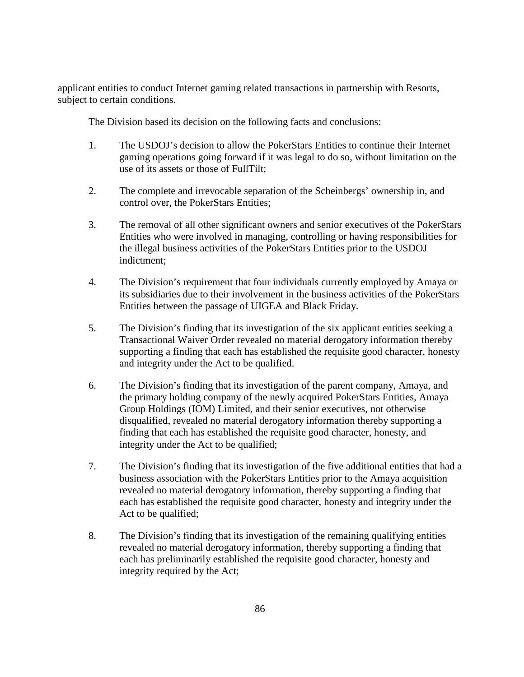applicant entities to conduct Internet gaming related transactions in partnership with Resorts, subject to certain conditions.

The Division based its decision on the following facts and conclusions:

- 1. The USDOJ's decision to allow the PokerStars Entities to continue their Internet gaming operations going forward if it was legal to do so, without limitation on the use of its assets or those of FullTilt;
- 2. The complete and irrevocable separation of the Scheinbergs' ownership in, and control over, the PokerStars Entities;
- 3. The removal of all other significant owners and senior executives of the PokerStars Entities who were involved in managing, controlling or having responsibilities for the illegal business activities of the PokerStars Entities prior to the USDOJ indictment;
- 4. The Division's requirement that four individuals currently employed by Amaya or its subsidiaries due to their involvement in the business activities of the PokerStars Entities between the passage of UIGEA and Black Friday.
- 5. The Division's finding that its investigation of the six applicant entities seeking a Transactional Waiver Order revealed no material derogatory information thereby supporting a finding that each has established the requisite good character, honesty and integrity under the Act to be qualified.
- 6. The Division's finding that its investigation of the parent company, Amaya, and the primary holding company of the newly acquired PokerStars Entities, Amaya Group Holdings (IOM) Limited, and their senior executives, not otherwise disqualified, revealed no material derogatory information thereby supporting a finding that each has established the requisite good character, honesty, and integrity under the Act to be qualified;
- 7. The Division's finding that its investigation of the five additional entities that had a business association with the PokerStars Entities prior to the Amaya acquisition revealed no material derogatory information, thereby supporting a finding that each has established the requisite good character, honesty and integrity under the Act to be qualified;
- 8. The Division's finding that its investigation of the remaining qualifying entities revealed no material derogatory information, thereby supporting a finding that each has preliminarily established the requisite good character, honesty and integrity required by the Act;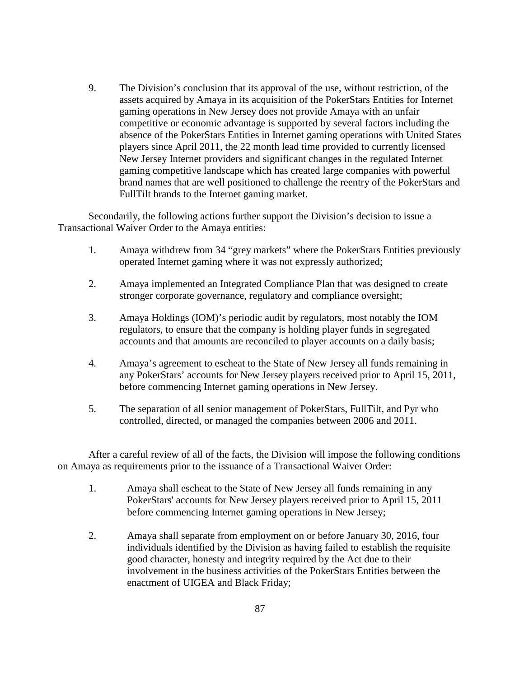9. The Division's conclusion that its approval of the use, without restriction, of the assets acquired by Amaya in its acquisition of the PokerStars Entities for Internet gaming operations in New Jersey does not provide Amaya with an unfair competitive or economic advantage is supported by several factors including the absence of the PokerStars Entities in Internet gaming operations with United States players since April 2011, the 22 month lead time provided to currently licensed New Jersey Internet providers and significant changes in the regulated Internet gaming competitive landscape which has created large companies with powerful brand names that are well positioned to challenge the reentry of the PokerStars and FullTilt brands to the Internet gaming market.

Secondarily, the following actions further support the Division's decision to issue a Transactional Waiver Order to the Amaya entities:

- 1. Amaya withdrew from 34 "grey markets" where the PokerStars Entities previously operated Internet gaming where it was not expressly authorized;
- 2. Amaya implemented an Integrated Compliance Plan that was designed to create stronger corporate governance, regulatory and compliance oversight;
- 3. Amaya Holdings (IOM)'s periodic audit by regulators, most notably the IOM regulators, to ensure that the company is holding player funds in segregated accounts and that amounts are reconciled to player accounts on a daily basis;
- 4. Amaya's agreement to escheat to the State of New Jersey all funds remaining in any PokerStars' accounts for New Jersey players received prior to April 15, 2011, before commencing Internet gaming operations in New Jersey.
- 5. The separation of all senior management of PokerStars, FullTilt, and Pyr who controlled, directed, or managed the companies between 2006 and 2011.

After a careful review of all of the facts, the Division will impose the following conditions on Amaya as requirements prior to the issuance of a Transactional Waiver Order:

- 1. Amaya shall escheat to the State of New Jersey all funds remaining in any PokerStars' accounts for New Jersey players received prior to April 15, 2011 before commencing Internet gaming operations in New Jersey;
- 2. Amaya shall separate from employment on or before January 30, 2016, four individuals identified by the Division as having failed to establish the requisite good character, honesty and integrity required by the Act due to their involvement in the business activities of the PokerStars Entities between the enactment of UIGEA and Black Friday;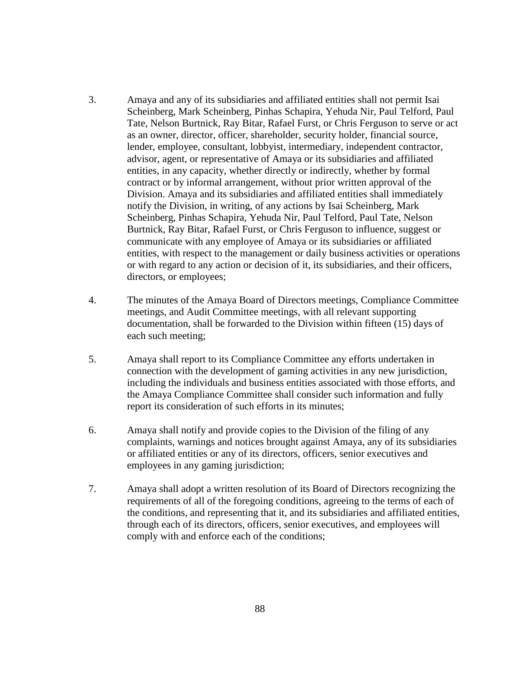- 3. Amaya and any of its subsidiaries and affiliated entities shall not permit Isai Scheinberg, Mark Scheinberg, Pinhas Schapira, Yehuda Nir, Paul Telford, Paul Tate, Nelson Burtnick, Ray Bitar, Rafael Furst, or Chris Ferguson to serve or act as an owner, director, officer, shareholder, security holder, financial source, lender, employee, consultant, lobbyist, intermediary, independent contractor, advisor, agent, or representative of Amaya or its subsidiaries and affiliated entities, in any capacity, whether directly or indirectly, whether by formal contract or by informal arrangement, without prior written approval of the Division. Amaya and its subsidiaries and affiliated entities shall immediately notify the Division, in writing, of any actions by Isai Scheinberg, Mark Scheinberg, Pinhas Schapira, Yehuda Nir, Paul Telford, Paul Tate, Nelson Burtnick, Ray Bitar, Rafael Furst, or Chris Ferguson to influence, suggest or communicate with any employee of Amaya or its subsidiaries or affiliated entities, with respect to the management or daily business activities or operations or with regard to any action or decision of it, its subsidiaries, and their officers, directors, or employees;
- 4. The minutes of the Amaya Board of Directors meetings, Compliance Committee meetings, and Audit Committee meetings, with all relevant supporting documentation, shall be forwarded to the Division within fifteen (15) days of each such meeting;
- 5. Amaya shall report to its Compliance Committee any efforts undertaken in connection with the development of gaming activities in any new jurisdiction, including the individuals and business entities associated with those efforts, and the Amaya Compliance Committee shall consider such information and fully report its consideration of such efforts in its minutes;
- 6. Amaya shall notify and provide copies to the Division of the filing of any complaints, warnings and notices brought against Amaya, any of its subsidiaries or affiliated entities or any of its directors, officers, senior executives and employees in any gaming jurisdiction;
- 7. Amaya shall adopt a written resolution of its Board of Directors recognizing the requirements of all of the foregoing conditions, agreeing to the terms of each of the conditions, and representing that it, and its subsidiaries and affiliated entities, through each of its directors, officers, senior executives, and employees will comply with and enforce each of the conditions;